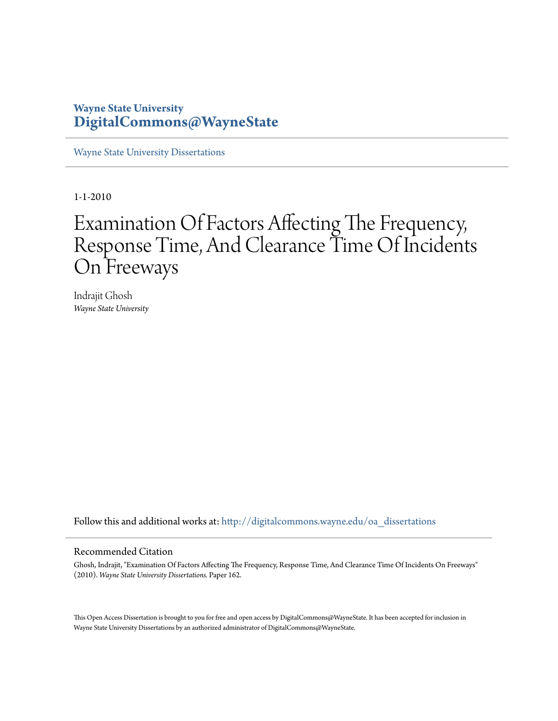### **Wayne State University [DigitalCommons@WayneState](http://digitalcommons.wayne.edu?utm_source=digitalcommons.wayne.edu%2Foa_dissertations%2F162&utm_medium=PDF&utm_campaign=PDFCoverPages)**

[Wayne State University Dissertations](http://digitalcommons.wayne.edu/oa_dissertations?utm_source=digitalcommons.wayne.edu%2Foa_dissertations%2F162&utm_medium=PDF&utm_campaign=PDFCoverPages)

1-1-2010

# Examination Of Factors Affecting The Frequency, Response Time, And Clearance Time Of Incidents On Freeways

Indrajit Ghosh *Wayne State University*

Follow this and additional works at: [http://digitalcommons.wayne.edu/oa\\_dissertations](http://digitalcommons.wayne.edu/oa_dissertations?utm_source=digitalcommons.wayne.edu%2Foa_dissertations%2F162&utm_medium=PDF&utm_campaign=PDFCoverPages)

#### Recommended Citation

Ghosh, Indrajit, "Examination Of Factors Affecting The Frequency, Response Time, And Clearance Time Of Incidents On Freeways" (2010). *Wayne State University Dissertations.* Paper 162.

This Open Access Dissertation is brought to you for free and open access by DigitalCommons@WayneState. It has been accepted for inclusion in Wayne State University Dissertations by an authorized administrator of DigitalCommons@WayneState.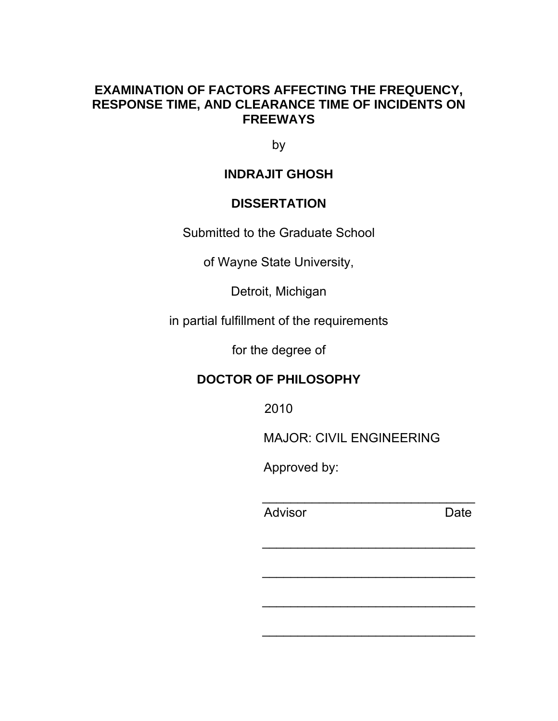### **EXAMINATION OF FACTORS AFFECTING THE FREQUENCY, RESPONSE TIME, AND CLEARANCE TIME OF INCIDENTS ON FREEWAYS**

by

## **INDRAJIT GHOSH**

## **DISSERTATION**

Submitted to the Graduate School

of Wayne State University,

Detroit, Michigan

in partial fulfillment of the requirements

for the degree of

## **DOCTOR OF PHILOSOPHY**

2010

MAJOR: CIVIL ENGINEERING

\_\_\_\_\_\_\_\_\_\_\_\_\_\_\_\_\_\_\_\_\_\_\_\_\_\_\_\_\_\_

\_\_\_\_\_\_\_\_\_\_\_\_\_\_\_\_\_\_\_\_\_\_\_\_\_\_\_\_\_\_

\_\_\_\_\_\_\_\_\_\_\_\_\_\_\_\_\_\_\_\_\_\_\_\_\_\_\_\_\_\_

\_\_\_\_\_\_\_\_\_\_\_\_\_\_\_\_\_\_\_\_\_\_\_\_\_\_\_\_\_\_

Approved by:

example and Advisor and Advisor and Date

\_\_\_\_\_\_\_\_\_\_\_\_\_\_\_\_\_\_\_\_\_\_\_\_\_\_\_\_\_\_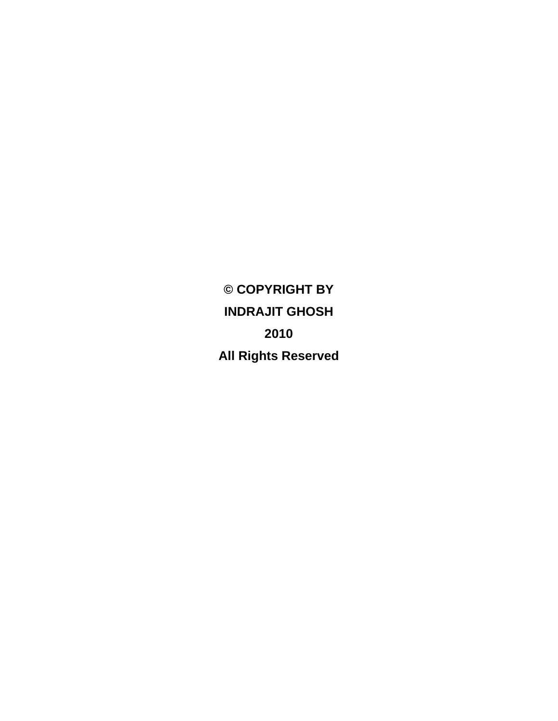**© COPYRIGHT BY INDRAJIT GHOSH 2010 All Rights Reserved**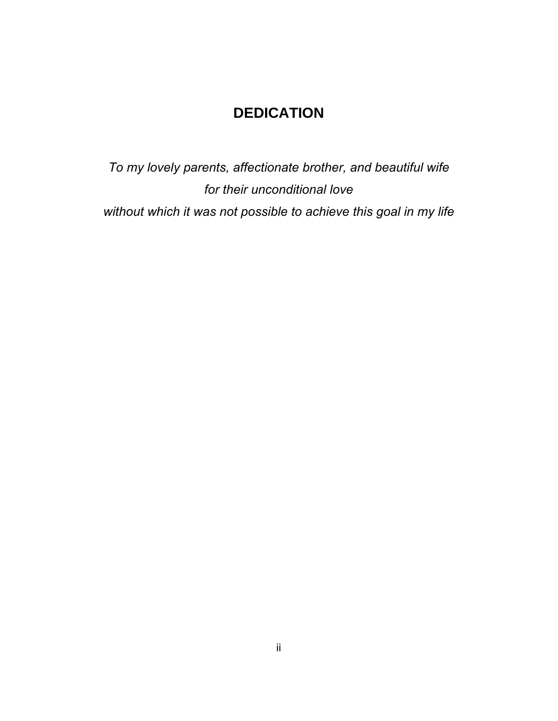## **DEDICATION**

*To my lovely parents, affectionate brother, and beautiful wife for their unconditional love without which it was not possible to achieve this goal in my life*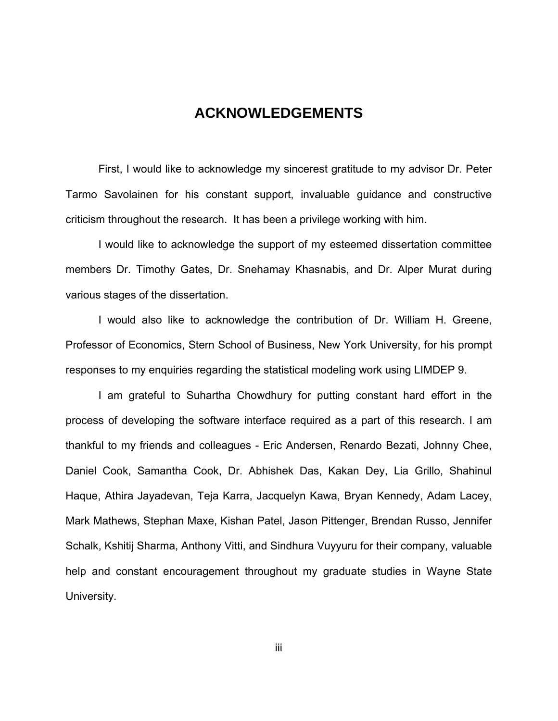### **ACKNOWLEDGEMENTS**

First, I would like to acknowledge my sincerest gratitude to my advisor Dr. Peter Tarmo Savolainen for his constant support, invaluable guidance and constructive criticism throughout the research. It has been a privilege working with him.

I would like to acknowledge the support of my esteemed dissertation committee members Dr. Timothy Gates, Dr. Snehamay Khasnabis, and Dr. Alper Murat during various stages of the dissertation.

I would also like to acknowledge the contribution of Dr. William H. Greene, Professor of Economics, Stern School of Business, New York University, for his prompt responses to my enquiries regarding the statistical modeling work using LIMDEP 9.

I am grateful to Suhartha Chowdhury for putting constant hard effort in the process of developing the software interface required as a part of this research. I am thankful to my friends and colleagues - Eric Andersen, Renardo Bezati, Johnny Chee, Daniel Cook, Samantha Cook, Dr. Abhishek Das, Kakan Dey, Lia Grillo, Shahinul Haque, Athira Jayadevan, Teja Karra, Jacquelyn Kawa, Bryan Kennedy, Adam Lacey, Mark Mathews, Stephan Maxe, Kishan Patel, Jason Pittenger, Brendan Russo, Jennifer Schalk, Kshitij Sharma, Anthony Vitti, and Sindhura Vuyyuru for their company, valuable help and constant encouragement throughout my graduate studies in Wayne State University.

iii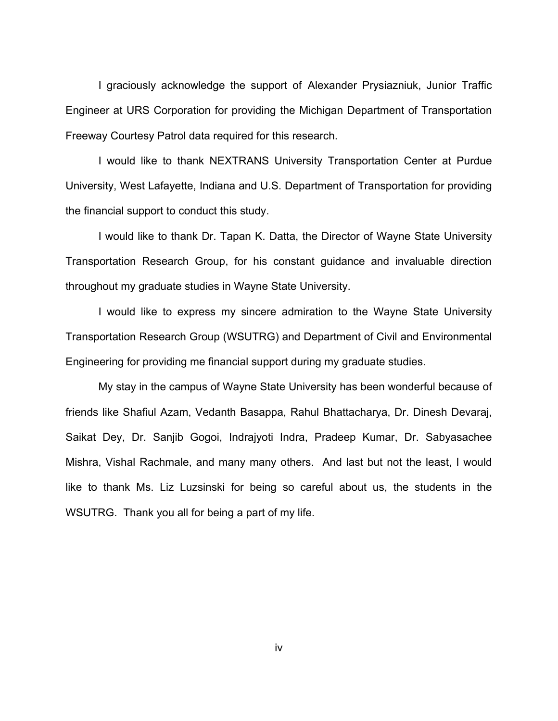I graciously acknowledge the support of Alexander Prysiazniuk, Junior Traffic Engineer at URS Corporation for providing the Michigan Department of Transportation Freeway Courtesy Patrol data required for this research.

I would like to thank NEXTRANS University Transportation Center at Purdue University, West Lafayette, Indiana and U.S. Department of Transportation for providing the financial support to conduct this study.

I would like to thank Dr. Tapan K. Datta, the Director of Wayne State University Transportation Research Group, for his constant guidance and invaluable direction throughout my graduate studies in Wayne State University.

I would like to express my sincere admiration to the Wayne State University Transportation Research Group (WSUTRG) and Department of Civil and Environmental Engineering for providing me financial support during my graduate studies.

My stay in the campus of Wayne State University has been wonderful because of friends like Shafiul Azam, Vedanth Basappa, Rahul Bhattacharya, Dr. Dinesh Devaraj, Saikat Dey, Dr. Sanjib Gogoi, Indrajyoti Indra, Pradeep Kumar, Dr. Sabyasachee Mishra, Vishal Rachmale, and many many others. And last but not the least, I would like to thank Ms. Liz Luzsinski for being so careful about us, the students in the WSUTRG. Thank you all for being a part of my life.

iv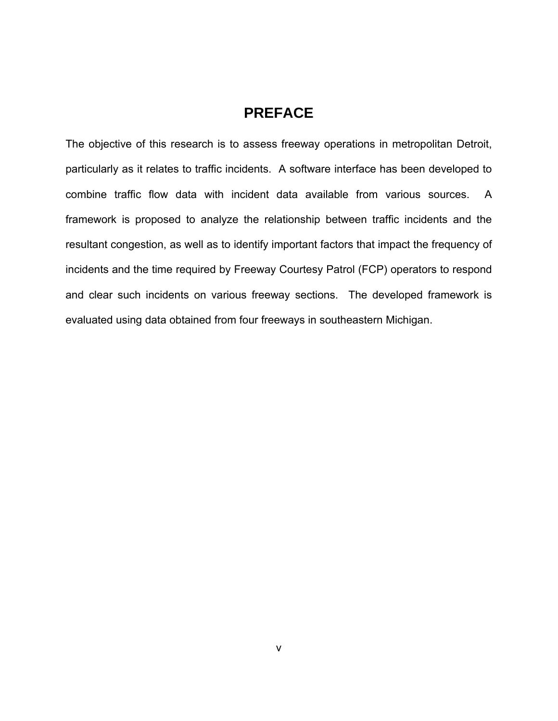## **PREFACE**

The objective of this research is to assess freeway operations in metropolitan Detroit, particularly as it relates to traffic incidents. A software interface has been developed to combine traffic flow data with incident data available from various sources. A framework is proposed to analyze the relationship between traffic incidents and the resultant congestion, as well as to identify important factors that impact the frequency of incidents and the time required by Freeway Courtesy Patrol (FCP) operators to respond and clear such incidents on various freeway sections. The developed framework is evaluated using data obtained from four freeways in southeastern Michigan.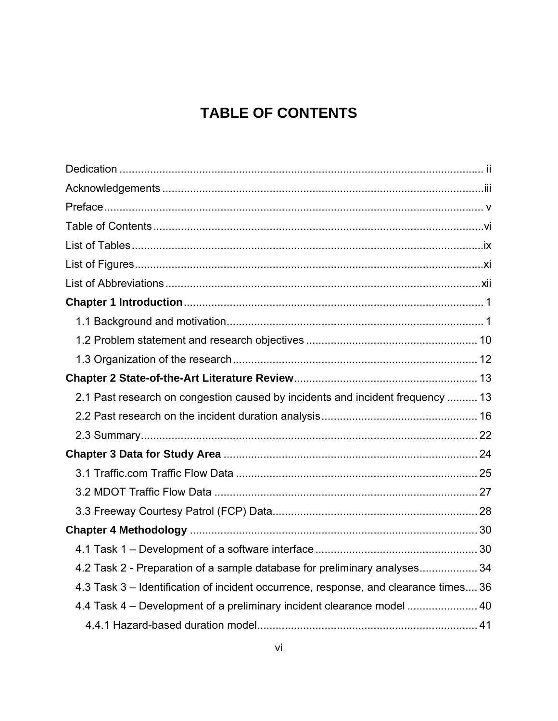## **TABLE OF CONTENTS**

| 2.1 Past research on congestion caused by incidents and incident frequency  13       |  |
|--------------------------------------------------------------------------------------|--|
|                                                                                      |  |
|                                                                                      |  |
|                                                                                      |  |
|                                                                                      |  |
|                                                                                      |  |
|                                                                                      |  |
|                                                                                      |  |
|                                                                                      |  |
| 4.2 Task 2 - Preparation of a sample database for preliminary analyses 34            |  |
| 4.3 Task 3 – Identification of incident occurrence, response, and clearance times 36 |  |
| 4.4 Task 4 – Development of a preliminary incident clearance model  40               |  |
|                                                                                      |  |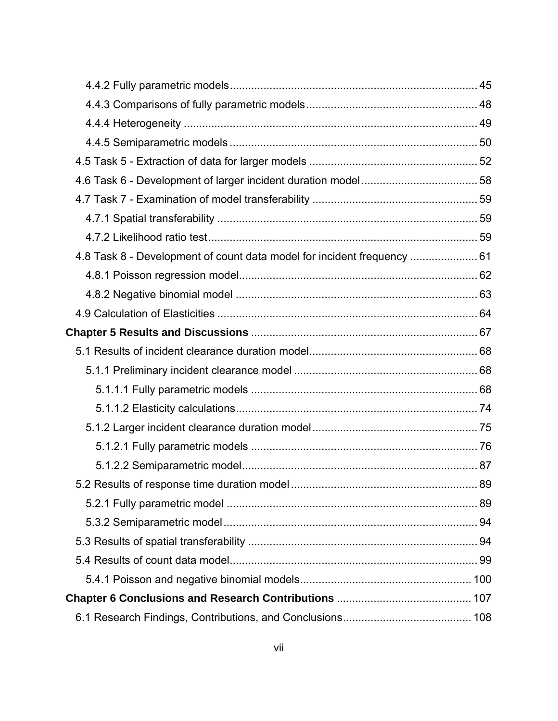| 4.8 Task 8 - Development of count data model for incident frequency  61 |    |
|-------------------------------------------------------------------------|----|
|                                                                         |    |
|                                                                         |    |
|                                                                         |    |
|                                                                         |    |
|                                                                         |    |
|                                                                         |    |
|                                                                         |    |
|                                                                         |    |
|                                                                         |    |
|                                                                         |    |
|                                                                         |    |
|                                                                         | 89 |
|                                                                         |    |
|                                                                         |    |
|                                                                         |    |
|                                                                         |    |
|                                                                         |    |
|                                                                         |    |
|                                                                         |    |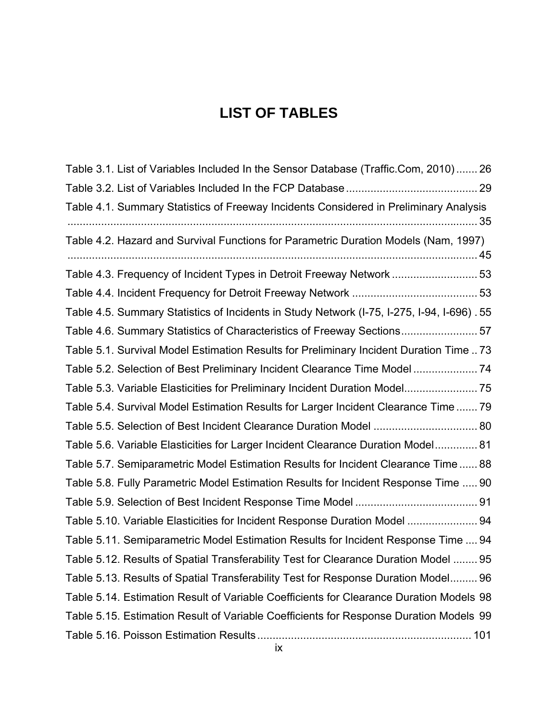## **LIST OF TABLES**

| Table 3.1. List of Variables Included In the Sensor Database (Traffic.Com, 2010) 26        |
|--------------------------------------------------------------------------------------------|
|                                                                                            |
| Table 4.1. Summary Statistics of Freeway Incidents Considered in Preliminary Analysis      |
| Table 4.2. Hazard and Survival Functions for Parametric Duration Models (Nam, 1997)        |
| Table 4.3. Frequency of Incident Types in Detroit Freeway Network  53                      |
|                                                                                            |
| Table 4.5. Summary Statistics of Incidents in Study Network (I-75, I-275, I-94, I-696). 55 |
| Table 4.6. Summary Statistics of Characteristics of Freeway Sections57                     |
| Table 5.1. Survival Model Estimation Results for Preliminary Incident Duration Time 73     |
| Table 5.2. Selection of Best Preliminary Incident Clearance Time Model 74                  |
| Table 5.3. Variable Elasticities for Preliminary Incident Duration Model 75                |
| Table 5.4. Survival Model Estimation Results for Larger Incident Clearance Time 79         |
| Table 5.5. Selection of Best Incident Clearance Duration Model  80                         |
| Table 5.6. Variable Elasticities for Larger Incident Clearance Duration Model 81           |
| Table 5.7. Semiparametric Model Estimation Results for Incident Clearance Time 88          |
| Table 5.8. Fully Parametric Model Estimation Results for Incident Response Time  90        |
|                                                                                            |
| Table 5.10. Variable Elasticities for Incident Response Duration Model  94                 |
| Table 5.11. Semiparametric Model Estimation Results for Incident Response Time  94         |
| Table 5.12. Results of Spatial Transferability Test for Clearance Duration Model  95       |
| Table 5.13. Results of Spatial Transferability Test for Response Duration Model 96         |
| Table 5.14. Estimation Result of Variable Coefficients for Clearance Duration Models 98    |
| Table 5.15. Estimation Result of Variable Coefficients for Response Duration Models 99     |
|                                                                                            |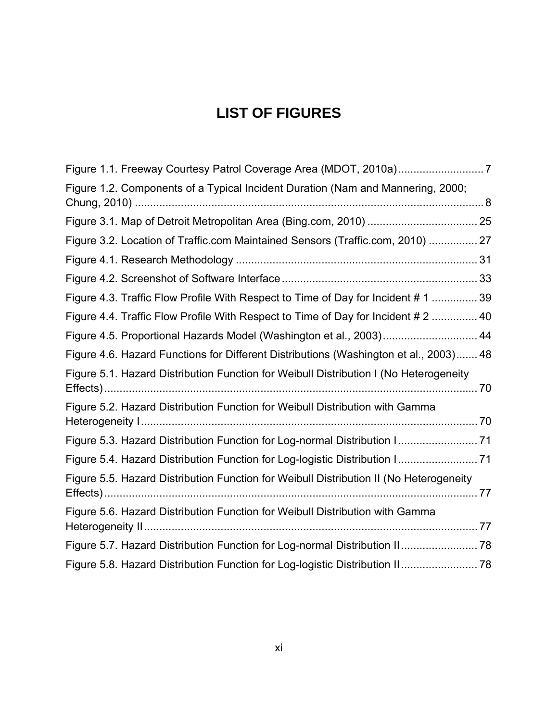## **LIST OF FIGURES**

| Figure 1.2. Components of a Typical Incident Duration (Nam and Mannering, 2000;        |  |
|----------------------------------------------------------------------------------------|--|
|                                                                                        |  |
| Figure 3.2. Location of Traffic.com Maintained Sensors (Traffic.com, 2010)  27         |  |
|                                                                                        |  |
|                                                                                        |  |
| Figure 4.3. Traffic Flow Profile With Respect to Time of Day for Incident #1  39       |  |
| Figure 4.4. Traffic Flow Profile With Respect to Time of Day for Incident # 2  40      |  |
| Figure 4.5. Proportional Hazards Model (Washington et al., 2003) 44                    |  |
| Figure 4.6. Hazard Functions for Different Distributions (Washington et al., 2003) 48  |  |
| Figure 5.1. Hazard Distribution Function for Weibull Distribution I (No Heterogeneity  |  |
| Figure 5.2. Hazard Distribution Function for Weibull Distribution with Gamma           |  |
| Figure 5.3. Hazard Distribution Function for Log-normal Distribution I 71              |  |
| Figure 5.4. Hazard Distribution Function for Log-logistic Distribution I 71            |  |
| Figure 5.5. Hazard Distribution Function for Weibull Distribution II (No Heterogeneity |  |
| Figure 5.6. Hazard Distribution Function for Weibull Distribution with Gamma           |  |
| Figure 5.7. Hazard Distribution Function for Log-normal Distribution II 78             |  |
| Figure 5.8. Hazard Distribution Function for Log-logistic Distribution II 78           |  |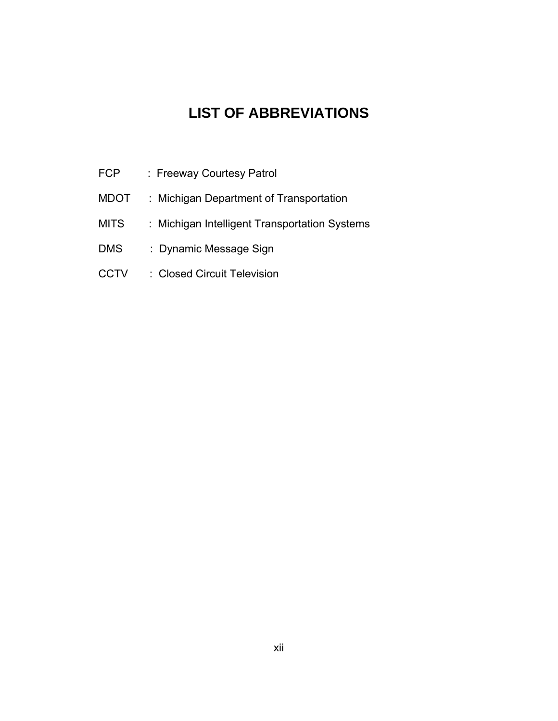## **LIST OF ABBREVIATIONS**

- FCP : Freeway Courtesy Patrol
- MDOT : Michigan Department of Transportation
- MITS : Michigan Intelligent Transportation Systems
- DMS : Dynamic Message Sign
- CCTV : Closed Circuit Television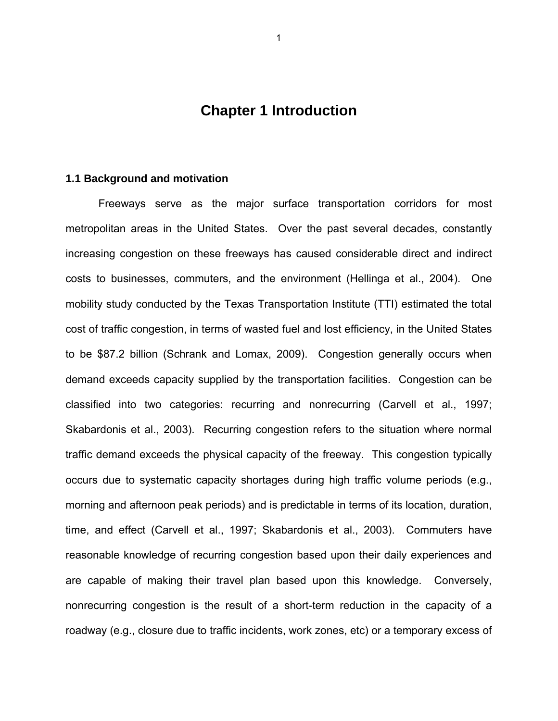### **Chapter 1 Introduction**

#### **1.1 Background and motivation**

Freeways serve as the major surface transportation corridors for most metropolitan areas in the United States. Over the past several decades, constantly increasing congestion on these freeways has caused considerable direct and indirect costs to businesses, commuters, and the environment (Hellinga et al., 2004). One mobility study conducted by the Texas Transportation Institute (TTI) estimated the total cost of traffic congestion, in terms of wasted fuel and lost efficiency, in the United States to be \$87.2 billion (Schrank and Lomax, 2009). Congestion generally occurs when demand exceeds capacity supplied by the transportation facilities. Congestion can be classified into two categories: recurring and nonrecurring (Carvell et al., 1997; Skabardonis et al., 2003). Recurring congestion refers to the situation where normal traffic demand exceeds the physical capacity of the freeway. This congestion typically occurs due to systematic capacity shortages during high traffic volume periods (e.g., morning and afternoon peak periods) and is predictable in terms of its location, duration, time, and effect (Carvell et al., 1997; Skabardonis et al., 2003). Commuters have reasonable knowledge of recurring congestion based upon their daily experiences and are capable of making their travel plan based upon this knowledge. Conversely, nonrecurring congestion is the result of a short-term reduction in the capacity of a roadway (e.g., closure due to traffic incidents, work zones, etc) or a temporary excess of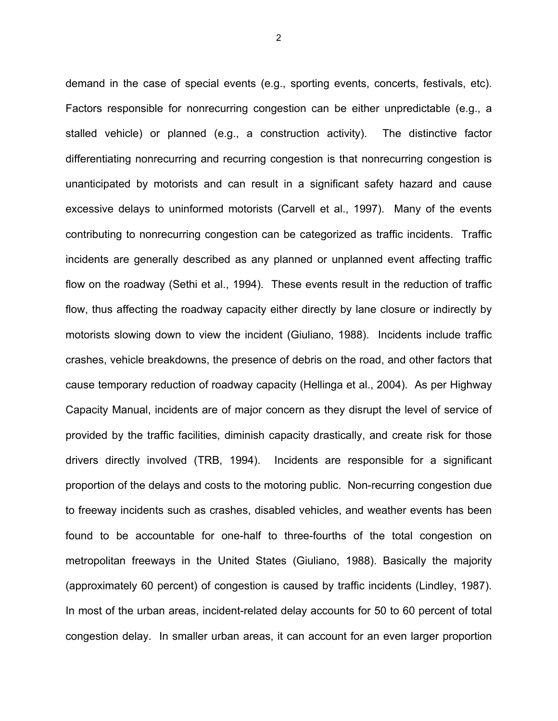demand in the case of special events (e.g., sporting events, concerts, festivals, etc). Factors responsible for nonrecurring congestion can be either unpredictable (e.g., a stalled vehicle) or planned (e.g., a construction activity). The distinctive factor differentiating nonrecurring and recurring congestion is that nonrecurring congestion is unanticipated by motorists and can result in a significant safety hazard and cause excessive delays to uninformed motorists (Carvell et al., 1997). Many of the events contributing to nonrecurring congestion can be categorized as traffic incidents. Traffic incidents are generally described as any planned or unplanned event affecting traffic flow on the roadway (Sethi et al., 1994). These events result in the reduction of traffic flow, thus affecting the roadway capacity either directly by lane closure or indirectly by motorists slowing down to view the incident (Giuliano, 1988). Incidents include traffic crashes, vehicle breakdowns, the presence of debris on the road, and other factors that cause temporary reduction of roadway capacity (Hellinga et al., 2004). As per Highway Capacity Manual, incidents are of major concern as they disrupt the level of service of provided by the traffic facilities, diminish capacity drastically, and create risk for those drivers directly involved (TRB, 1994). Incidents are responsible for a significant proportion of the delays and costs to the motoring public. Non-recurring congestion due to freeway incidents such as crashes, disabled vehicles, and weather events has been found to be accountable for one-half to three-fourths of the total congestion on metropolitan freeways in the United States (Giuliano, 1988). Basically the majority (approximately 60 percent) of congestion is caused by traffic incidents (Lindley, 1987). In most of the urban areas, incident-related delay accounts for 50 to 60 percent of total congestion delay. In smaller urban areas, it can account for an even larger proportion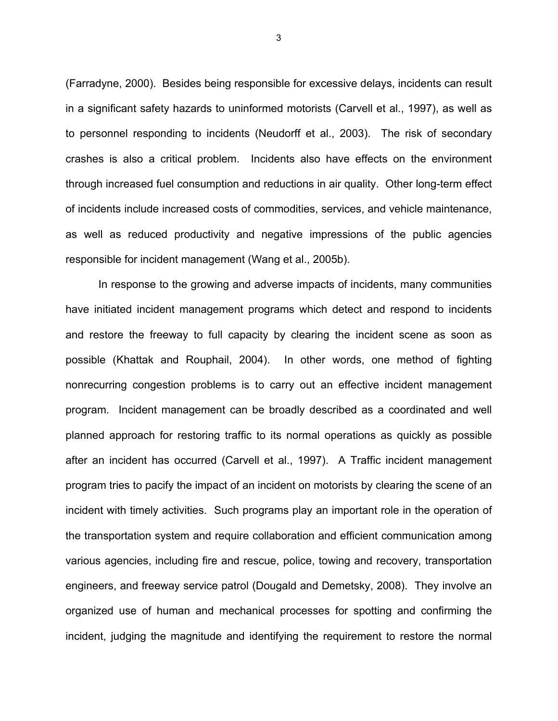(Farradyne, 2000). Besides being responsible for excessive delays, incidents can result in a significant safety hazards to uninformed motorists (Carvell et al., 1997), as well as to personnel responding to incidents (Neudorff et al., 2003). The risk of secondary crashes is also a critical problem. Incidents also have effects on the environment through increased fuel consumption and reductions in air quality. Other long-term effect of incidents include increased costs of commodities, services, and vehicle maintenance, as well as reduced productivity and negative impressions of the public agencies responsible for incident management (Wang et al., 2005b).

In response to the growing and adverse impacts of incidents, many communities have initiated incident management programs which detect and respond to incidents and restore the freeway to full capacity by clearing the incident scene as soon as possible (Khattak and Rouphail, 2004). In other words, one method of fighting nonrecurring congestion problems is to carry out an effective incident management program. Incident management can be broadly described as a coordinated and well planned approach for restoring traffic to its normal operations as quickly as possible after an incident has occurred (Carvell et al., 1997). A Traffic incident management program tries to pacify the impact of an incident on motorists by clearing the scene of an incident with timely activities. Such programs play an important role in the operation of the transportation system and require collaboration and efficient communication among various agencies, including fire and rescue, police, towing and recovery, transportation engineers, and freeway service patrol (Dougald and Demetsky, 2008). They involve an organized use of human and mechanical processes for spotting and confirming the incident, judging the magnitude and identifying the requirement to restore the normal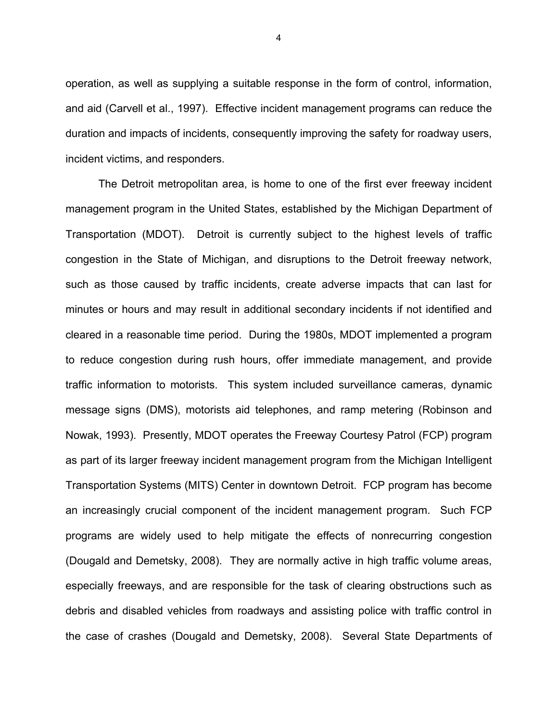operation, as well as supplying a suitable response in the form of control, information, and aid (Carvell et al., 1997). Effective incident management programs can reduce the duration and impacts of incidents, consequently improving the safety for roadway users, incident victims, and responders.

The Detroit metropolitan area, is home to one of the first ever freeway incident management program in the United States, established by the Michigan Department of Transportation (MDOT). Detroit is currently subject to the highest levels of traffic congestion in the State of Michigan, and disruptions to the Detroit freeway network, such as those caused by traffic incidents, create adverse impacts that can last for minutes or hours and may result in additional secondary incidents if not identified and cleared in a reasonable time period. During the 1980s, MDOT implemented a program to reduce congestion during rush hours, offer immediate management, and provide traffic information to motorists. This system included surveillance cameras, dynamic message signs (DMS), motorists aid telephones, and ramp metering (Robinson and Nowak, 1993). Presently, MDOT operates the Freeway Courtesy Patrol (FCP) program as part of its larger freeway incident management program from the Michigan Intelligent Transportation Systems (MITS) Center in downtown Detroit. FCP program has become an increasingly crucial component of the incident management program. Such FCP programs are widely used to help mitigate the effects of nonrecurring congestion (Dougald and Demetsky, 2008). They are normally active in high traffic volume areas, especially freeways, and are responsible for the task of clearing obstructions such as debris and disabled vehicles from roadways and assisting police with traffic control in the case of crashes (Dougald and Demetsky, 2008). Several State Departments of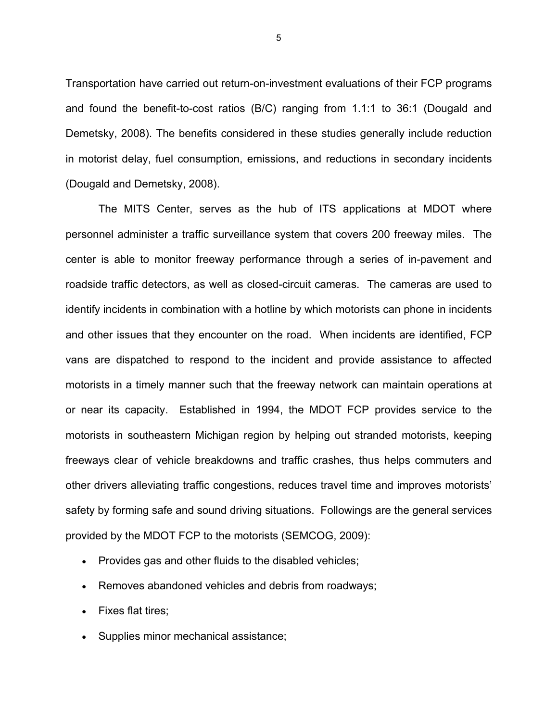Transportation have carried out return-on-investment evaluations of their FCP programs and found the benefit-to-cost ratios (B/C) ranging from 1.1:1 to 36:1 (Dougald and Demetsky, 2008). The benefits considered in these studies generally include reduction in motorist delay, fuel consumption, emissions, and reductions in secondary incidents (Dougald and Demetsky, 2008).

The MITS Center, serves as the hub of ITS applications at MDOT where personnel administer a traffic surveillance system that covers 200 freeway miles. The center is able to monitor freeway performance through a series of in-pavement and roadside traffic detectors, as well as closed-circuit cameras. The cameras are used to identify incidents in combination with a hotline by which motorists can phone in incidents and other issues that they encounter on the road. When incidents are identified, FCP vans are dispatched to respond to the incident and provide assistance to affected motorists in a timely manner such that the freeway network can maintain operations at or near its capacity. Established in 1994, the MDOT FCP provides service to the motorists in southeastern Michigan region by helping out stranded motorists, keeping freeways clear of vehicle breakdowns and traffic crashes, thus helps commuters and other drivers alleviating traffic congestions, reduces travel time and improves motorists' safety by forming safe and sound driving situations. Followings are the general services provided by the MDOT FCP to the motorists (SEMCOG, 2009):

- Provides gas and other fluids to the disabled vehicles;
- Removes abandoned vehicles and debris from roadways;
- Fixes flat tires;
- Supplies minor mechanical assistance;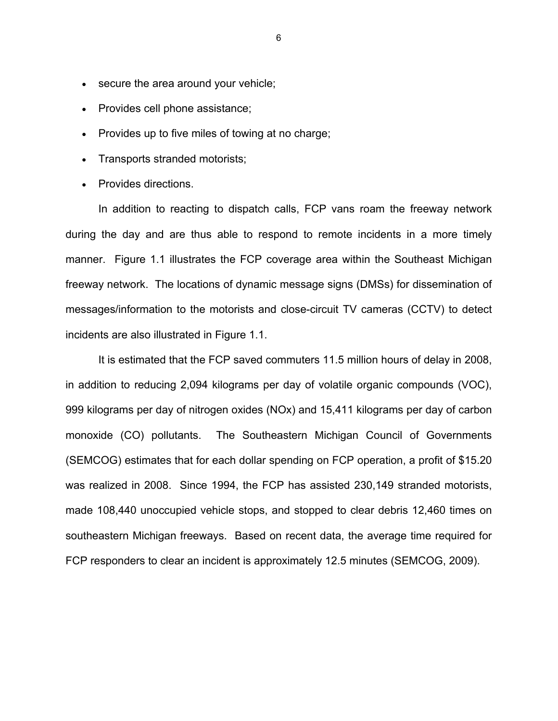- secure the area around your vehicle;
- Provides cell phone assistance;
- Provides up to five miles of towing at no charge;
- Transports stranded motorists;
- Provides directions.

In addition to reacting to dispatch calls, FCP vans roam the freeway network during the day and are thus able to respond to remote incidents in a more timely manner. Figure 1.1 illustrates the FCP coverage area within the Southeast Michigan freeway network. The locations of dynamic message signs (DMSs) for dissemination of messages/information to the motorists and close-circuit TV cameras (CCTV) to detect incidents are also illustrated in Figure 1.1.

It is estimated that the FCP saved commuters 11.5 million hours of delay in 2008, in addition to reducing 2,094 kilograms per day of volatile organic compounds (VOC), 999 kilograms per day of nitrogen oxides (NOx) and 15,411 kilograms per day of carbon monoxide (CO) pollutants. The Southeastern Michigan Council of Governments (SEMCOG) estimates that for each dollar spending on FCP operation, a profit of \$15.20 was realized in 2008. Since 1994, the FCP has assisted 230,149 stranded motorists, made 108,440 unoccupied vehicle stops, and stopped to clear debris 12,460 times on southeastern Michigan freeways. Based on recent data, the average time required for FCP responders to clear an incident is approximately 12.5 minutes (SEMCOG, 2009).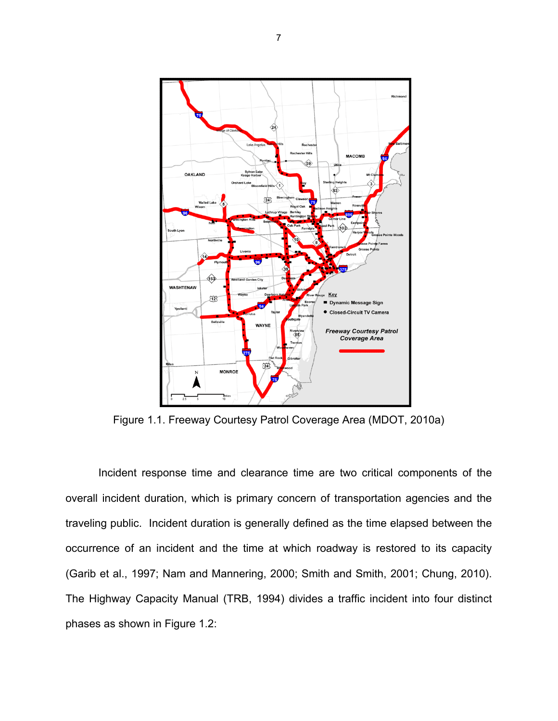

Figure 1.1. Freeway Courtesy Patrol Coverage Area (MDOT, 2010a)

Incident response time and clearance time are two critical components of the overall incident duration, which is primary concern of transportation agencies and the traveling public. Incident duration is generally defined as the time elapsed between the occurrence of an incident and the time at which roadway is restored to its capacity (Garib et al., 1997; Nam and Mannering, 2000; Smith and Smith, 2001; Chung, 2010). The Highway Capacity Manual (TRB, 1994) divides a traffic incident into four distinct phases as shown in Figure 1.2: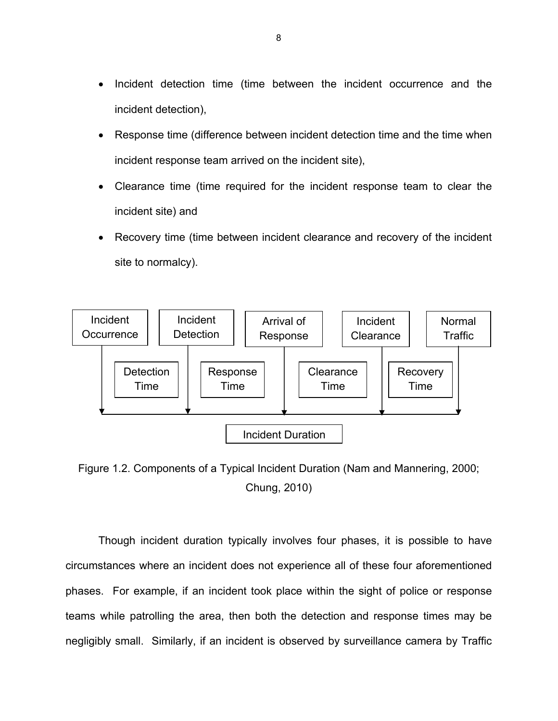- Incident detection time (time between the incident occurrence and the incident detection),
- Response time (difference between incident detection time and the time when incident response team arrived on the incident site),
- Clearance time (time required for the incident response team to clear the incident site) and
- Recovery time (time between incident clearance and recovery of the incident site to normalcy).



Figure 1.2. Components of a Typical Incident Duration (Nam and Mannering, 2000; Chung, 2010)

Though incident duration typically involves four phases, it is possible to have circumstances where an incident does not experience all of these four aforementioned phases. For example, if an incident took place within the sight of police or response teams while patrolling the area, then both the detection and response times may be negligibly small. Similarly, if an incident is observed by surveillance camera by Traffic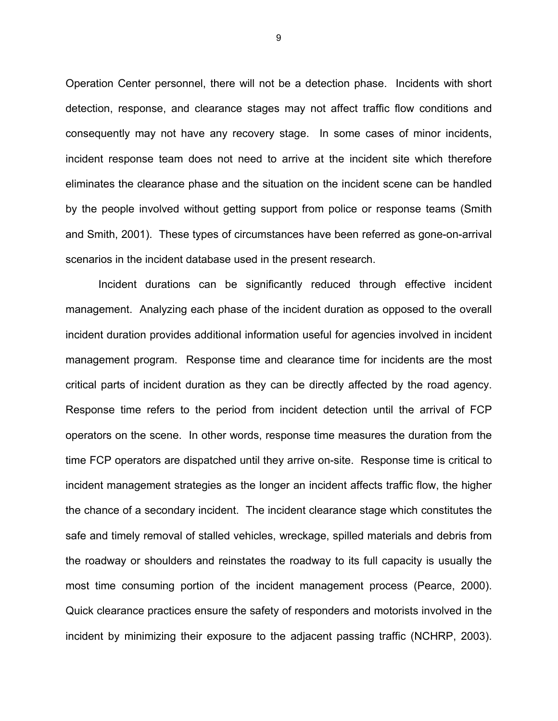Operation Center personnel, there will not be a detection phase. Incidents with short detection, response, and clearance stages may not affect traffic flow conditions and consequently may not have any recovery stage. In some cases of minor incidents, incident response team does not need to arrive at the incident site which therefore eliminates the clearance phase and the situation on the incident scene can be handled by the people involved without getting support from police or response teams (Smith and Smith, 2001). These types of circumstances have been referred as gone-on-arrival scenarios in the incident database used in the present research.

Incident durations can be significantly reduced through effective incident management. Analyzing each phase of the incident duration as opposed to the overall incident duration provides additional information useful for agencies involved in incident management program. Response time and clearance time for incidents are the most critical parts of incident duration as they can be directly affected by the road agency. Response time refers to the period from incident detection until the arrival of FCP operators on the scene. In other words, response time measures the duration from the time FCP operators are dispatched until they arrive on-site. Response time is critical to incident management strategies as the longer an incident affects traffic flow, the higher the chance of a secondary incident. The incident clearance stage which constitutes the safe and timely removal of stalled vehicles, wreckage, spilled materials and debris from the roadway or shoulders and reinstates the roadway to its full capacity is usually the most time consuming portion of the incident management process (Pearce, 2000). Quick clearance practices ensure the safety of responders and motorists involved in the incident by minimizing their exposure to the adjacent passing traffic (NCHRP, 2003).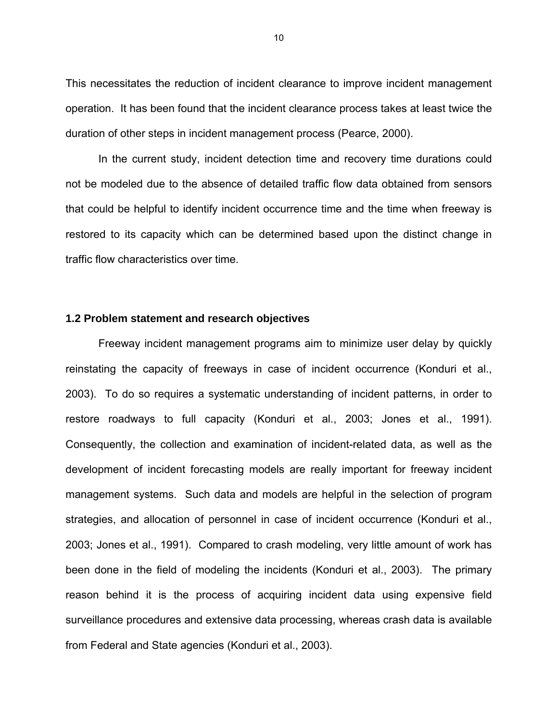This necessitates the reduction of incident clearance to improve incident management operation. It has been found that the incident clearance process takes at least twice the duration of other steps in incident management process (Pearce, 2000).

In the current study, incident detection time and recovery time durations could not be modeled due to the absence of detailed traffic flow data obtained from sensors that could be helpful to identify incident occurrence time and the time when freeway is restored to its capacity which can be determined based upon the distinct change in traffic flow characteristics over time.

#### **1.2 Problem statement and research objectives**

Freeway incident management programs aim to minimize user delay by quickly reinstating the capacity of freeways in case of incident occurrence (Konduri et al., 2003). To do so requires a systematic understanding of incident patterns, in order to restore roadways to full capacity (Konduri et al., 2003; Jones et al., 1991). Consequently, the collection and examination of incident-related data, as well as the development of incident forecasting models are really important for freeway incident management systems. Such data and models are helpful in the selection of program strategies, and allocation of personnel in case of incident occurrence (Konduri et al., 2003; Jones et al., 1991). Compared to crash modeling, very little amount of work has been done in the field of modeling the incidents (Konduri et al., 2003). The primary reason behind it is the process of acquiring incident data using expensive field surveillance procedures and extensive data processing, whereas crash data is available from Federal and State agencies (Konduri et al., 2003).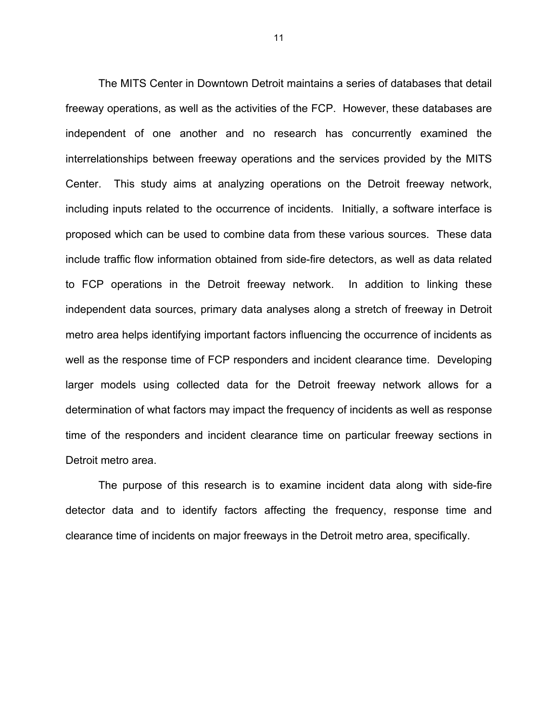The MITS Center in Downtown Detroit maintains a series of databases that detail freeway operations, as well as the activities of the FCP. However, these databases are independent of one another and no research has concurrently examined the interrelationships between freeway operations and the services provided by the MITS Center. This study aims at analyzing operations on the Detroit freeway network, including inputs related to the occurrence of incidents. Initially, a software interface is proposed which can be used to combine data from these various sources. These data include traffic flow information obtained from side-fire detectors, as well as data related to FCP operations in the Detroit freeway network. In addition to linking these independent data sources, primary data analyses along a stretch of freeway in Detroit metro area helps identifying important factors influencing the occurrence of incidents as well as the response time of FCP responders and incident clearance time. Developing larger models using collected data for the Detroit freeway network allows for a determination of what factors may impact the frequency of incidents as well as response time of the responders and incident clearance time on particular freeway sections in Detroit metro area.

The purpose of this research is to examine incident data along with side-fire detector data and to identify factors affecting the frequency, response time and clearance time of incidents on major freeways in the Detroit metro area, specifically.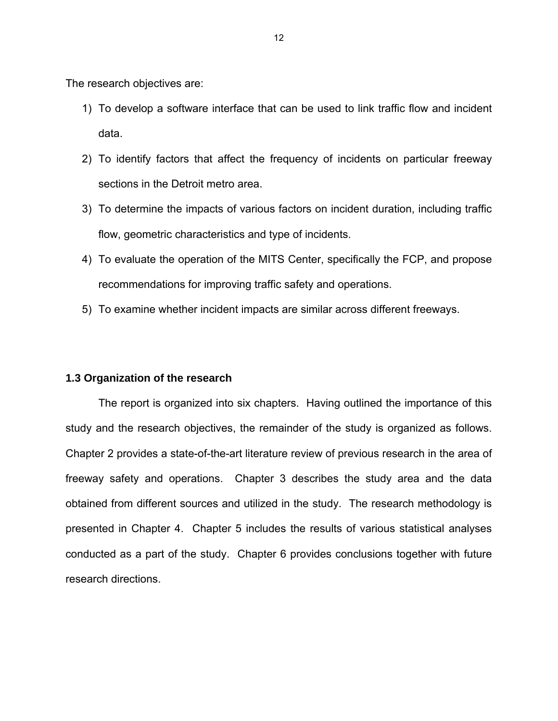The research objectives are:

- 1) To develop a software interface that can be used to link traffic flow and incident data.
- 2) To identify factors that affect the frequency of incidents on particular freeway sections in the Detroit metro area.
- 3) To determine the impacts of various factors on incident duration, including traffic flow, geometric characteristics and type of incidents.
- 4) To evaluate the operation of the MITS Center, specifically the FCP, and propose recommendations for improving traffic safety and operations.
- 5) To examine whether incident impacts are similar across different freeways.

### **1.3 Organization of the research**

The report is organized into six chapters. Having outlined the importance of this study and the research objectives, the remainder of the study is organized as follows. Chapter 2 provides a state-of-the-art literature review of previous research in the area of freeway safety and operations. Chapter 3 describes the study area and the data obtained from different sources and utilized in the study. The research methodology is presented in Chapter 4. Chapter 5 includes the results of various statistical analyses conducted as a part of the study. Chapter 6 provides conclusions together with future research directions.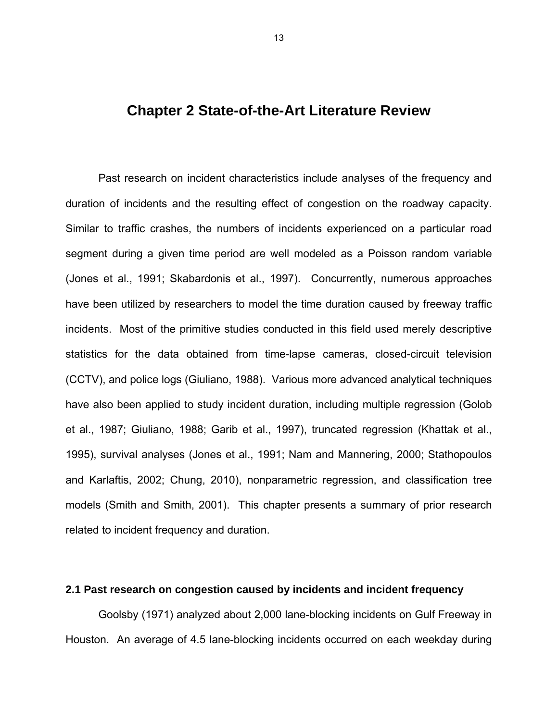### **Chapter 2 State-of-the-Art Literature Review**

Past research on incident characteristics include analyses of the frequency and duration of incidents and the resulting effect of congestion on the roadway capacity. Similar to traffic crashes, the numbers of incidents experienced on a particular road segment during a given time period are well modeled as a Poisson random variable (Jones et al., 1991; Skabardonis et al., 1997). Concurrently, numerous approaches have been utilized by researchers to model the time duration caused by freeway traffic incidents. Most of the primitive studies conducted in this field used merely descriptive statistics for the data obtained from time-lapse cameras, closed-circuit television (CCTV), and police logs (Giuliano, 1988). Various more advanced analytical techniques have also been applied to study incident duration, including multiple regression (Golob et al., 1987; Giuliano, 1988; Garib et al., 1997), truncated regression (Khattak et al., 1995), survival analyses (Jones et al., 1991; Nam and Mannering, 2000; Stathopoulos and Karlaftis, 2002; Chung, 2010), nonparametric regression, and classification tree models (Smith and Smith, 2001). This chapter presents a summary of prior research related to incident frequency and duration.

### **2.1 Past research on congestion caused by incidents and incident frequency**

Goolsby (1971) analyzed about 2,000 lane-blocking incidents on Gulf Freeway in Houston. An average of 4.5 lane-blocking incidents occurred on each weekday during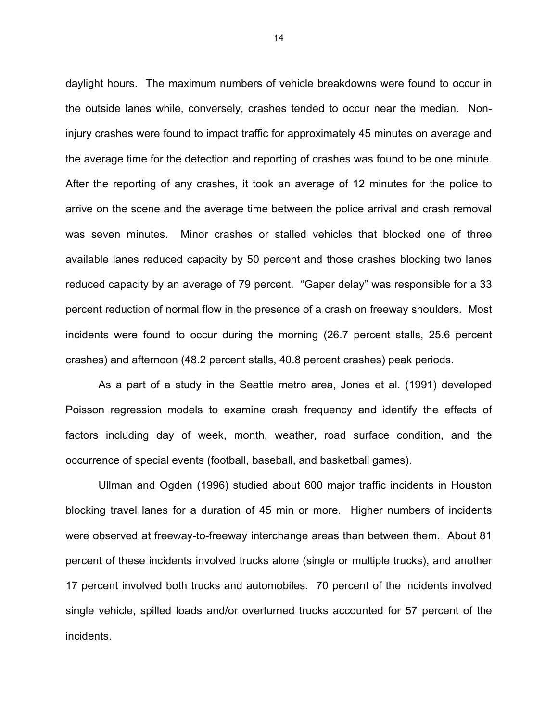daylight hours. The maximum numbers of vehicle breakdowns were found to occur in the outside lanes while, conversely, crashes tended to occur near the median. Noninjury crashes were found to impact traffic for approximately 45 minutes on average and the average time for the detection and reporting of crashes was found to be one minute. After the reporting of any crashes, it took an average of 12 minutes for the police to arrive on the scene and the average time between the police arrival and crash removal was seven minutes. Minor crashes or stalled vehicles that blocked one of three available lanes reduced capacity by 50 percent and those crashes blocking two lanes reduced capacity by an average of 79 percent. "Gaper delay" was responsible for a 33 percent reduction of normal flow in the presence of a crash on freeway shoulders. Most incidents were found to occur during the morning (26.7 percent stalls, 25.6 percent crashes) and afternoon (48.2 percent stalls, 40.8 percent crashes) peak periods.

As a part of a study in the Seattle metro area, Jones et al. (1991) developed Poisson regression models to examine crash frequency and identify the effects of factors including day of week, month, weather, road surface condition, and the occurrence of special events (football, baseball, and basketball games).

Ullman and Ogden (1996) studied about 600 major traffic incidents in Houston blocking travel lanes for a duration of 45 min or more. Higher numbers of incidents were observed at freeway-to-freeway interchange areas than between them. About 81 percent of these incidents involved trucks alone (single or multiple trucks), and another 17 percent involved both trucks and automobiles. 70 percent of the incidents involved single vehicle, spilled loads and/or overturned trucks accounted for 57 percent of the incidents.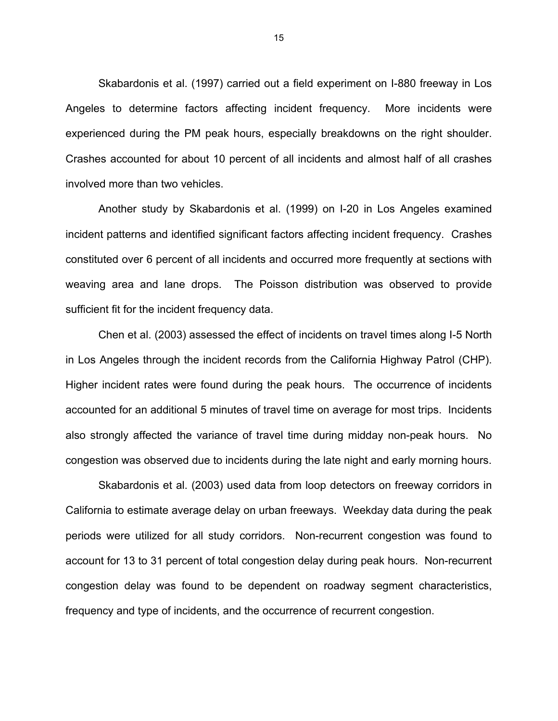Skabardonis et al. (1997) carried out a field experiment on I-880 freeway in Los Angeles to determine factors affecting incident frequency. More incidents were experienced during the PM peak hours, especially breakdowns on the right shoulder. Crashes accounted for about 10 percent of all incidents and almost half of all crashes involved more than two vehicles.

Another study by Skabardonis et al. (1999) on I-20 in Los Angeles examined incident patterns and identified significant factors affecting incident frequency. Crashes constituted over 6 percent of all incidents and occurred more frequently at sections with weaving area and lane drops. The Poisson distribution was observed to provide sufficient fit for the incident frequency data.

Chen et al. (2003) assessed the effect of incidents on travel times along I-5 North in Los Angeles through the incident records from the California Highway Patrol (CHP). Higher incident rates were found during the peak hours. The occurrence of incidents accounted for an additional 5 minutes of travel time on average for most trips. Incidents also strongly affected the variance of travel time during midday non-peak hours. No congestion was observed due to incidents during the late night and early morning hours.

Skabardonis et al. (2003) used data from loop detectors on freeway corridors in California to estimate average delay on urban freeways. Weekday data during the peak periods were utilized for all study corridors. Non-recurrent congestion was found to account for 13 to 31 percent of total congestion delay during peak hours. Non-recurrent congestion delay was found to be dependent on roadway segment characteristics, frequency and type of incidents, and the occurrence of recurrent congestion.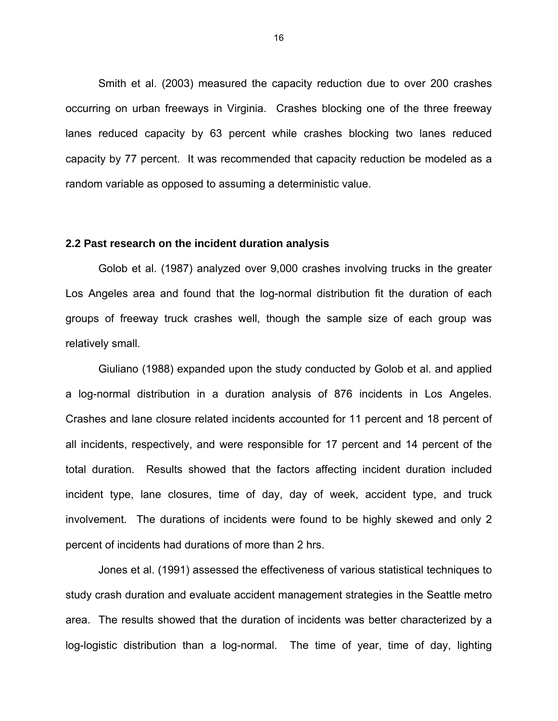Smith et al. (2003) measured the capacity reduction due to over 200 crashes occurring on urban freeways in Virginia. Crashes blocking one of the three freeway lanes reduced capacity by 63 percent while crashes blocking two lanes reduced capacity by 77 percent. It was recommended that capacity reduction be modeled as a random variable as opposed to assuming a deterministic value.

#### **2.2 Past research on the incident duration analysis**

Golob et al. (1987) analyzed over 9,000 crashes involving trucks in the greater Los Angeles area and found that the log-normal distribution fit the duration of each groups of freeway truck crashes well, though the sample size of each group was relatively small.

Giuliano (1988) expanded upon the study conducted by Golob et al. and applied a log-normal distribution in a duration analysis of 876 incidents in Los Angeles. Crashes and lane closure related incidents accounted for 11 percent and 18 percent of all incidents, respectively, and were responsible for 17 percent and 14 percent of the total duration. Results showed that the factors affecting incident duration included incident type, lane closures, time of day, day of week, accident type, and truck involvement. The durations of incidents were found to be highly skewed and only 2 percent of incidents had durations of more than 2 hrs.

Jones et al. (1991) assessed the effectiveness of various statistical techniques to study crash duration and evaluate accident management strategies in the Seattle metro area. The results showed that the duration of incidents was better characterized by a log-logistic distribution than a log-normal. The time of year, time of day, lighting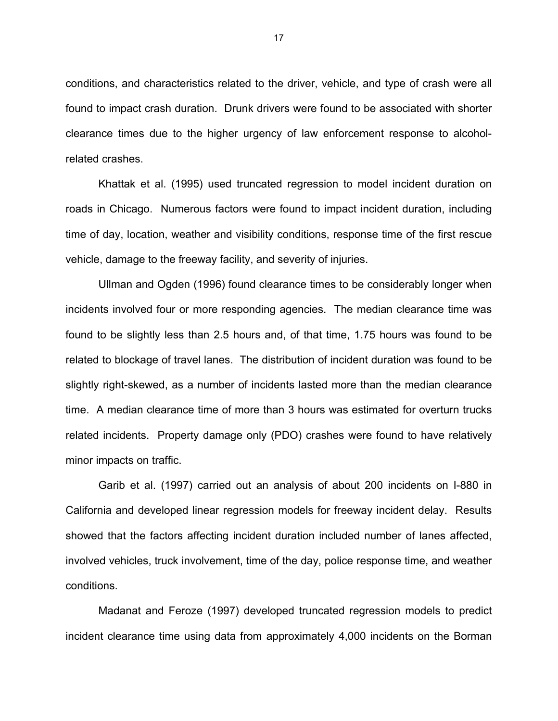conditions, and characteristics related to the driver, vehicle, and type of crash were all found to impact crash duration. Drunk drivers were found to be associated with shorter clearance times due to the higher urgency of law enforcement response to alcoholrelated crashes.

Khattak et al. (1995) used truncated regression to model incident duration on roads in Chicago. Numerous factors were found to impact incident duration, including time of day, location, weather and visibility conditions, response time of the first rescue vehicle, damage to the freeway facility, and severity of injuries.

Ullman and Ogden (1996) found clearance times to be considerably longer when incidents involved four or more responding agencies. The median clearance time was found to be slightly less than 2.5 hours and, of that time, 1.75 hours was found to be related to blockage of travel lanes. The distribution of incident duration was found to be slightly right-skewed, as a number of incidents lasted more than the median clearance time. A median clearance time of more than 3 hours was estimated for overturn trucks related incidents. Property damage only (PDO) crashes were found to have relatively minor impacts on traffic.

Garib et al. (1997) carried out an analysis of about 200 incidents on I-880 in California and developed linear regression models for freeway incident delay. Results showed that the factors affecting incident duration included number of lanes affected, involved vehicles, truck involvement, time of the day, police response time, and weather conditions.

Madanat and Feroze (1997) developed truncated regression models to predict incident clearance time using data from approximately 4,000 incidents on the Borman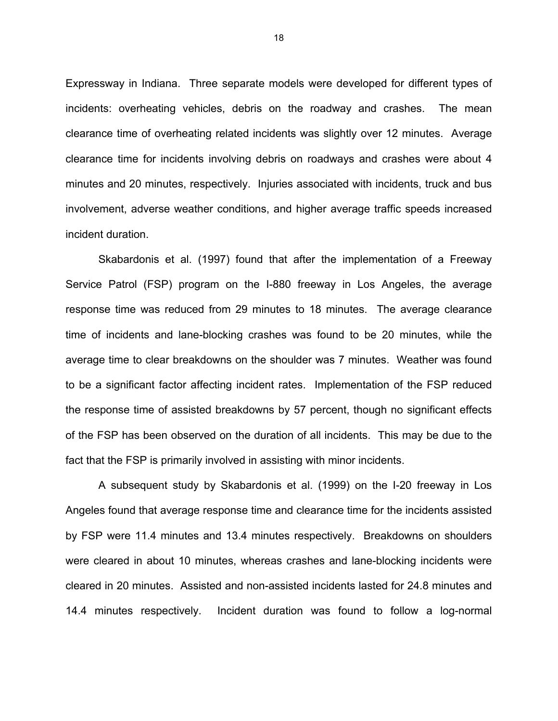Expressway in Indiana. Three separate models were developed for different types of incidents: overheating vehicles, debris on the roadway and crashes. The mean clearance time of overheating related incidents was slightly over 12 minutes. Average clearance time for incidents involving debris on roadways and crashes were about 4 minutes and 20 minutes, respectively. Injuries associated with incidents, truck and bus involvement, adverse weather conditions, and higher average traffic speeds increased incident duration.

Skabardonis et al. (1997) found that after the implementation of a Freeway Service Patrol (FSP) program on the I-880 freeway in Los Angeles, the average response time was reduced from 29 minutes to 18 minutes. The average clearance time of incidents and lane-blocking crashes was found to be 20 minutes, while the average time to clear breakdowns on the shoulder was 7 minutes. Weather was found to be a significant factor affecting incident rates. Implementation of the FSP reduced the response time of assisted breakdowns by 57 percent, though no significant effects of the FSP has been observed on the duration of all incidents. This may be due to the fact that the FSP is primarily involved in assisting with minor incidents.

A subsequent study by Skabardonis et al. (1999) on the I-20 freeway in Los Angeles found that average response time and clearance time for the incidents assisted by FSP were 11.4 minutes and 13.4 minutes respectively. Breakdowns on shoulders were cleared in about 10 minutes, whereas crashes and lane-blocking incidents were cleared in 20 minutes. Assisted and non-assisted incidents lasted for 24.8 minutes and 14.4 minutes respectively. Incident duration was found to follow a log-normal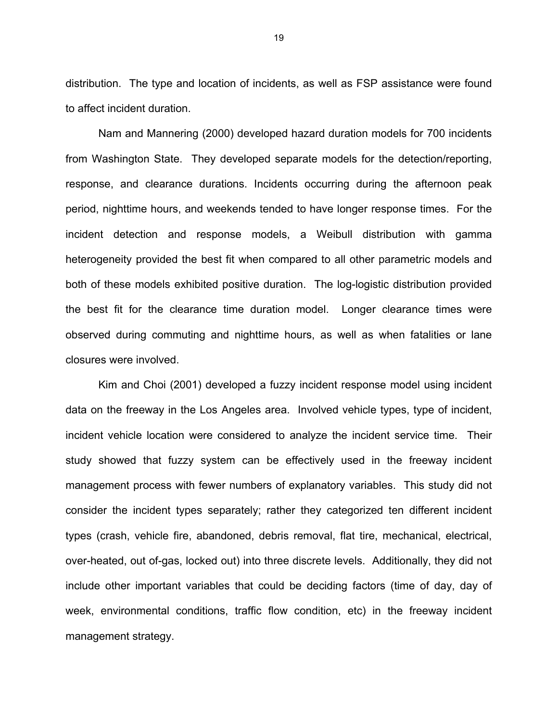distribution. The type and location of incidents, as well as FSP assistance were found to affect incident duration.

Nam and Mannering (2000) developed hazard duration models for 700 incidents from Washington State. They developed separate models for the detection/reporting, response, and clearance durations. Incidents occurring during the afternoon peak period, nighttime hours, and weekends tended to have longer response times. For the incident detection and response models, a Weibull distribution with gamma heterogeneity provided the best fit when compared to all other parametric models and both of these models exhibited positive duration. The log-logistic distribution provided the best fit for the clearance time duration model. Longer clearance times were observed during commuting and nighttime hours, as well as when fatalities or lane closures were involved.

Kim and Choi (2001) developed a fuzzy incident response model using incident data on the freeway in the Los Angeles area. Involved vehicle types, type of incident, incident vehicle location were considered to analyze the incident service time. Their study showed that fuzzy system can be effectively used in the freeway incident management process with fewer numbers of explanatory variables. This study did not consider the incident types separately; rather they categorized ten different incident types (crash, vehicle fire, abandoned, debris removal, flat tire, mechanical, electrical, over-heated, out of-gas, locked out) into three discrete levels. Additionally, they did not include other important variables that could be deciding factors (time of day, day of week, environmental conditions, traffic flow condition, etc) in the freeway incident management strategy.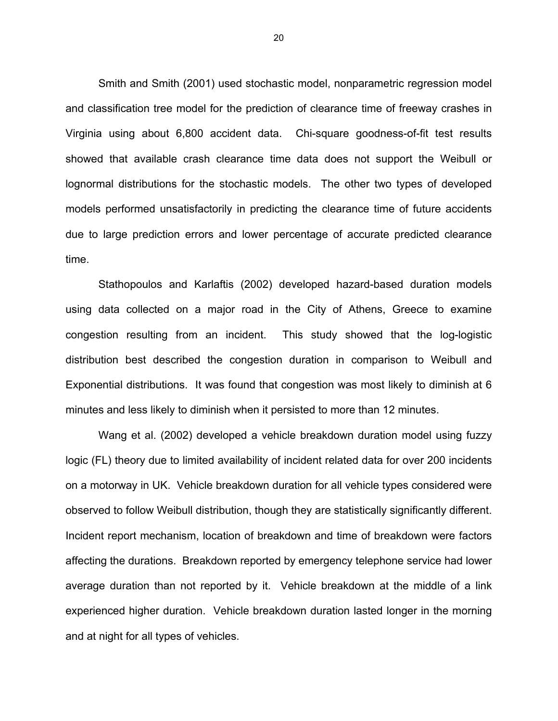Smith and Smith (2001) used stochastic model, nonparametric regression model and classification tree model for the prediction of clearance time of freeway crashes in Virginia using about 6,800 accident data. Chi-square goodness-of-fit test results showed that available crash clearance time data does not support the Weibull or lognormal distributions for the stochastic models. The other two types of developed models performed unsatisfactorily in predicting the clearance time of future accidents due to large prediction errors and lower percentage of accurate predicted clearance time.

Stathopoulos and Karlaftis (2002) developed hazard-based duration models using data collected on a major road in the City of Athens, Greece to examine congestion resulting from an incident. This study showed that the log-logistic distribution best described the congestion duration in comparison to Weibull and Exponential distributions. It was found that congestion was most likely to diminish at 6 minutes and less likely to diminish when it persisted to more than 12 minutes.

Wang et al. (2002) developed a vehicle breakdown duration model using fuzzy logic (FL) theory due to limited availability of incident related data for over 200 incidents on a motorway in UK. Vehicle breakdown duration for all vehicle types considered were observed to follow Weibull distribution, though they are statistically significantly different. Incident report mechanism, location of breakdown and time of breakdown were factors affecting the durations. Breakdown reported by emergency telephone service had lower average duration than not reported by it. Vehicle breakdown at the middle of a link experienced higher duration. Vehicle breakdown duration lasted longer in the morning and at night for all types of vehicles.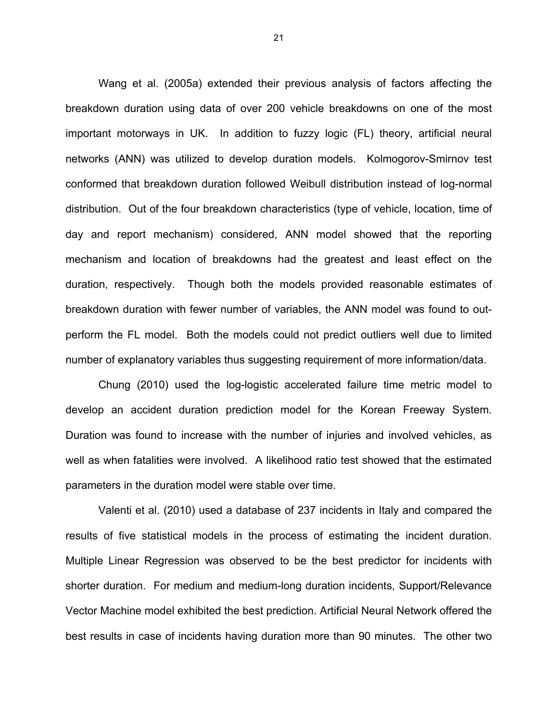Wang et al. (2005a) extended their previous analysis of factors affecting the breakdown duration using data of over 200 vehicle breakdowns on one of the most important motorways in UK. In addition to fuzzy logic (FL) theory, artificial neural networks (ANN) was utilized to develop duration models. Kolmogorov-Smirnov test conformed that breakdown duration followed Weibull distribution instead of log-normal distribution. Out of the four breakdown characteristics (type of vehicle, location, time of day and report mechanism) considered, ANN model showed that the reporting mechanism and location of breakdowns had the greatest and least effect on the duration, respectively. Though both the models provided reasonable estimates of breakdown duration with fewer number of variables, the ANN model was found to outperform the FL model. Both the models could not predict outliers well due to limited number of explanatory variables thus suggesting requirement of more information/data.

Chung (2010) used the log-logistic accelerated failure time metric model to develop an accident duration prediction model for the Korean Freeway System. Duration was found to increase with the number of injuries and involved vehicles, as well as when fatalities were involved. A likelihood ratio test showed that the estimated parameters in the duration model were stable over time.

Valenti et al. (2010) used a database of 237 incidents in Italy and compared the results of five statistical models in the process of estimating the incident duration. Multiple Linear Regression was observed to be the best predictor for incidents with shorter duration. For medium and medium-long duration incidents, Support/Relevance Vector Machine model exhibited the best prediction. Artificial Neural Network offered the best results in case of incidents having duration more than 90 minutes. The other two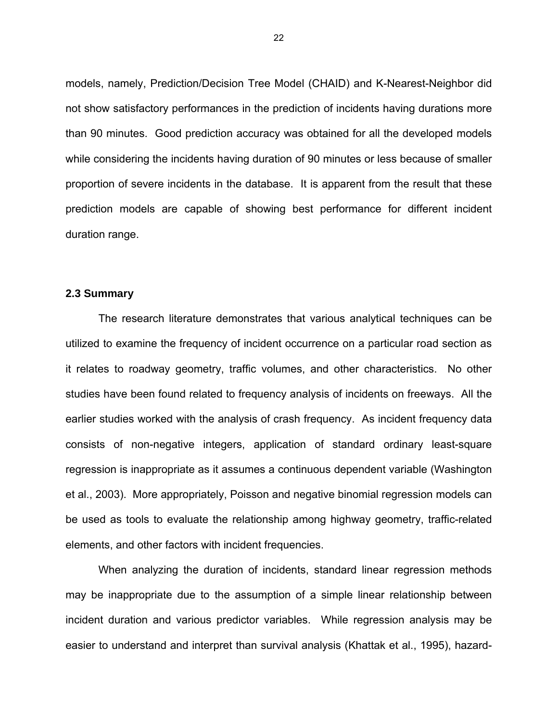models, namely, Prediction/Decision Tree Model (CHAID) and K-Nearest-Neighbor did not show satisfactory performances in the prediction of incidents having durations more than 90 minutes. Good prediction accuracy was obtained for all the developed models while considering the incidents having duration of 90 minutes or less because of smaller proportion of severe incidents in the database. It is apparent from the result that these prediction models are capable of showing best performance for different incident duration range.

#### **2.3 Summary**

The research literature demonstrates that various analytical techniques can be utilized to examine the frequency of incident occurrence on a particular road section as it relates to roadway geometry, traffic volumes, and other characteristics. No other studies have been found related to frequency analysis of incidents on freeways. All the earlier studies worked with the analysis of crash frequency. As incident frequency data consists of non-negative integers, application of standard ordinary least-square regression is inappropriate as it assumes a continuous dependent variable (Washington et al., 2003). More appropriately, Poisson and negative binomial regression models can be used as tools to evaluate the relationship among highway geometry, traffic-related elements, and other factors with incident frequencies.

When analyzing the duration of incidents, standard linear regression methods may be inappropriate due to the assumption of a simple linear relationship between incident duration and various predictor variables. While regression analysis may be easier to understand and interpret than survival analysis (Khattak et al., 1995), hazard-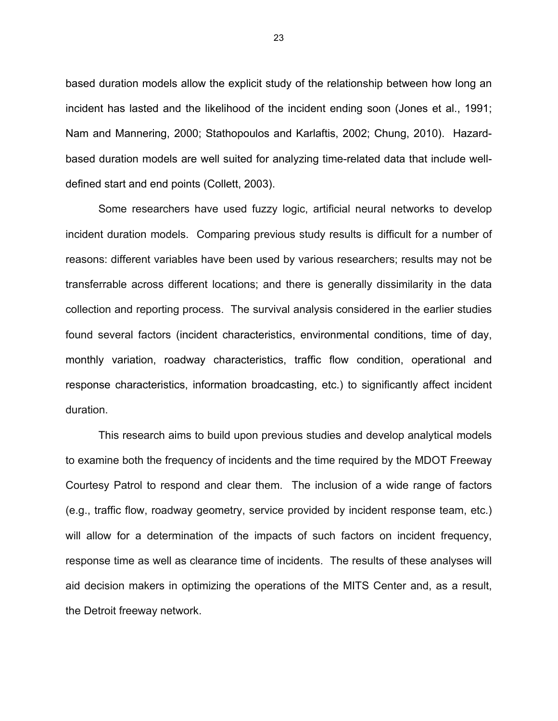based duration models allow the explicit study of the relationship between how long an incident has lasted and the likelihood of the incident ending soon (Jones et al., 1991; Nam and Mannering, 2000; Stathopoulos and Karlaftis, 2002; Chung, 2010). Hazardbased duration models are well suited for analyzing time-related data that include welldefined start and end points (Collett, 2003).

Some researchers have used fuzzy logic, artificial neural networks to develop incident duration models. Comparing previous study results is difficult for a number of reasons: different variables have been used by various researchers; results may not be transferrable across different locations; and there is generally dissimilarity in the data collection and reporting process. The survival analysis considered in the earlier studies found several factors (incident characteristics, environmental conditions, time of day, monthly variation, roadway characteristics, traffic flow condition, operational and response characteristics, information broadcasting, etc.) to significantly affect incident duration.

This research aims to build upon previous studies and develop analytical models to examine both the frequency of incidents and the time required by the MDOT Freeway Courtesy Patrol to respond and clear them. The inclusion of a wide range of factors (e.g., traffic flow, roadway geometry, service provided by incident response team, etc.) will allow for a determination of the impacts of such factors on incident frequency, response time as well as clearance time of incidents. The results of these analyses will aid decision makers in optimizing the operations of the MITS Center and, as a result, the Detroit freeway network.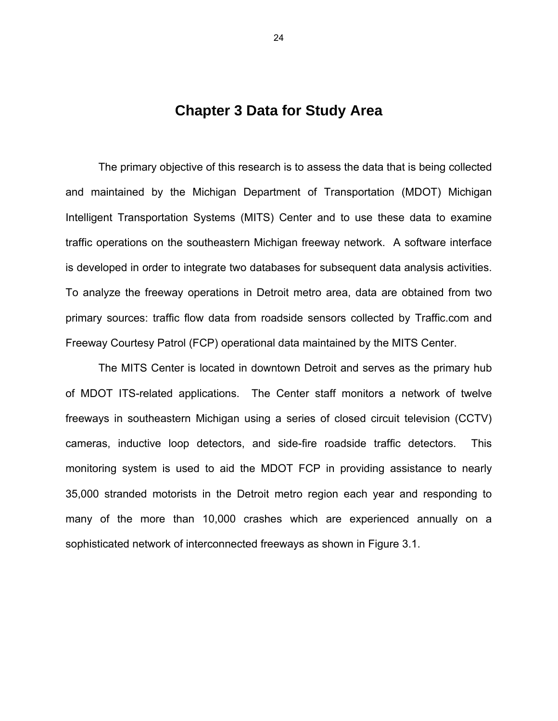# **Chapter 3 Data for Study Area**

The primary objective of this research is to assess the data that is being collected and maintained by the Michigan Department of Transportation (MDOT) Michigan Intelligent Transportation Systems (MITS) Center and to use these data to examine traffic operations on the southeastern Michigan freeway network. A software interface is developed in order to integrate two databases for subsequent data analysis activities. To analyze the freeway operations in Detroit metro area, data are obtained from two primary sources: traffic flow data from roadside sensors collected by Traffic.com and Freeway Courtesy Patrol (FCP) operational data maintained by the MITS Center.

The MITS Center is located in downtown Detroit and serves as the primary hub of MDOT ITS-related applications. The Center staff monitors a network of twelve freeways in southeastern Michigan using a series of closed circuit television (CCTV) cameras, inductive loop detectors, and side-fire roadside traffic detectors. This monitoring system is used to aid the MDOT FCP in providing assistance to nearly 35,000 stranded motorists in the Detroit metro region each year and responding to many of the more than 10,000 crashes which are experienced annually on a sophisticated network of interconnected freeways as shown in Figure 3.1.

24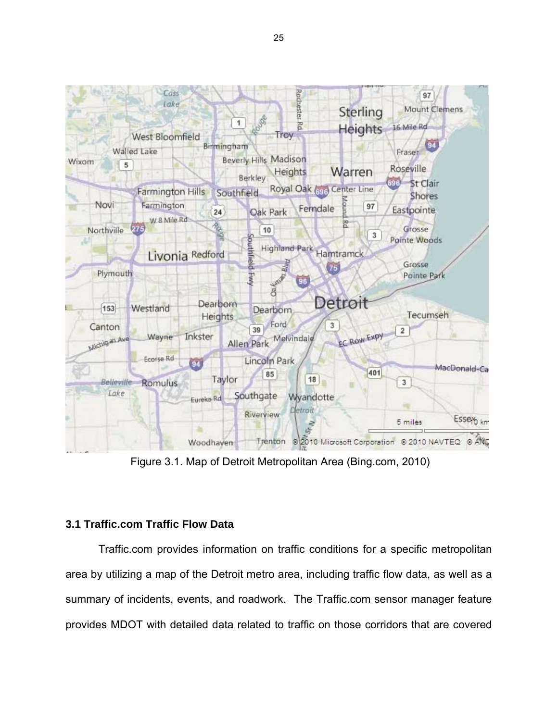

Figure 3.1. Map of Detroit Metropolitan Area (Bing.com, 2010)

## **3.1 Traffic.com Traffic Flow Data**

Traffic.com provides information on traffic conditions for a specific metropolitan area by utilizing a map of the Detroit metro area, including traffic flow data, as well as a summary of incidents, events, and roadwork. The Traffic.com sensor manager feature provides MDOT with detailed data related to traffic on those corridors that are covered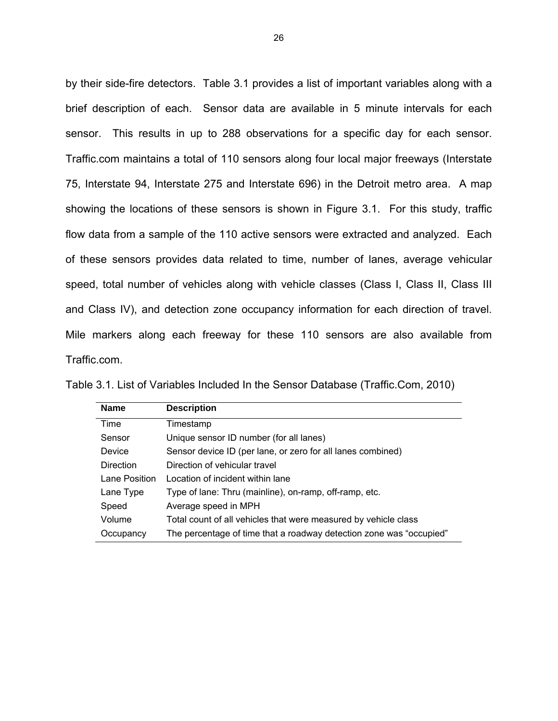by their side-fire detectors. Table 3.1 provides a list of important variables along with a brief description of each. Sensor data are available in 5 minute intervals for each sensor. This results in up to 288 observations for a specific day for each sensor. Traffic.com maintains a total of 110 sensors along four local major freeways (Interstate 75, Interstate 94, Interstate 275 and Interstate 696) in the Detroit metro area. A map showing the locations of these sensors is shown in Figure 3.1. For this study, traffic flow data from a sample of the 110 active sensors were extracted and analyzed. Each of these sensors provides data related to time, number of lanes, average vehicular speed, total number of vehicles along with vehicle classes (Class I, Class II, Class III and Class IV), and detection zone occupancy information for each direction of travel. Mile markers along each freeway for these 110 sensors are also available from Traffic.com.

| <b>Name</b>      | <b>Description</b>                                                  |
|------------------|---------------------------------------------------------------------|
| Time             | Timestamp                                                           |
| Sensor           | Unique sensor ID number (for all lanes)                             |
| <b>Device</b>    | Sensor device ID (per lane, or zero for all lanes combined)         |
| <b>Direction</b> | Direction of vehicular travel                                       |
| Lane Position    | Location of incident within lane                                    |
| Lane Type        | Type of lane: Thru (mainline), on-ramp, off-ramp, etc.              |
| Speed            | Average speed in MPH                                                |
| Volume           | Total count of all vehicles that were measured by vehicle class     |
| Occupancy        | The percentage of time that a roadway detection zone was "occupied" |

| Table 3.1. List of Variables Included In the Sensor Database (Traffic.Com, 2010) |  |  |
|----------------------------------------------------------------------------------|--|--|
|----------------------------------------------------------------------------------|--|--|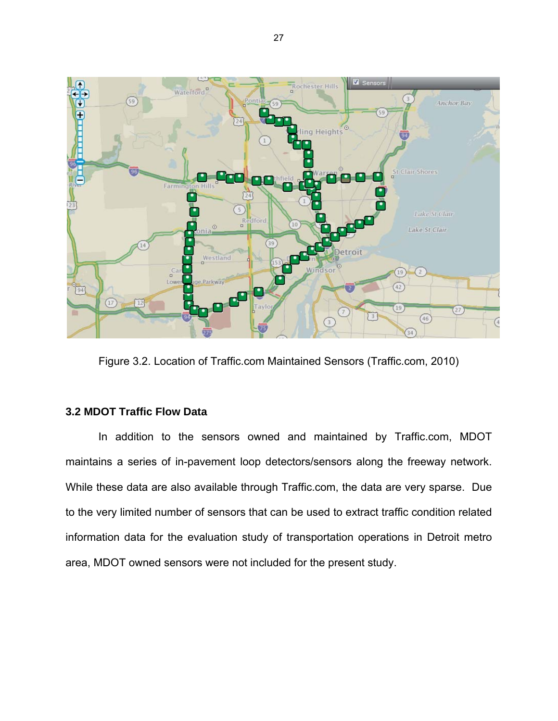

Figure 3.2. Location of Traffic.com Maintained Sensors (Traffic.com, 2010)

## **3.2 MDOT Traffic Flow Data**

In addition to the sensors owned and maintained by Traffic.com, MDOT maintains a series of in-pavement loop detectors/sensors along the freeway network. While these data are also available through Traffic.com, the data are very sparse. Due to the very limited number of sensors that can be used to extract traffic condition related information data for the evaluation study of transportation operations in Detroit metro area, MDOT owned sensors were not included for the present study.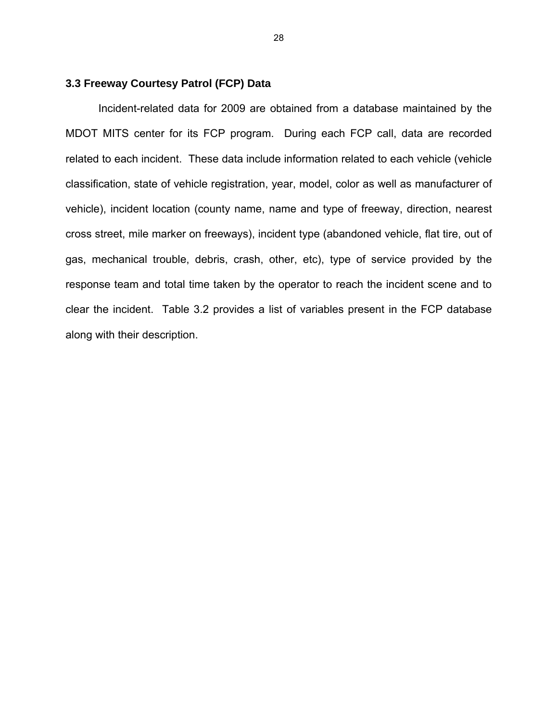### **3.3 Freeway Courtesy Patrol (FCP) Data**

Incident-related data for 2009 are obtained from a database maintained by the MDOT MITS center for its FCP program. During each FCP call, data are recorded related to each incident. These data include information related to each vehicle (vehicle classification, state of vehicle registration, year, model, color as well as manufacturer of vehicle), incident location (county name, name and type of freeway, direction, nearest cross street, mile marker on freeways), incident type (abandoned vehicle, flat tire, out of gas, mechanical trouble, debris, crash, other, etc), type of service provided by the response team and total time taken by the operator to reach the incident scene and to clear the incident. Table 3.2 provides a list of variables present in the FCP database along with their description.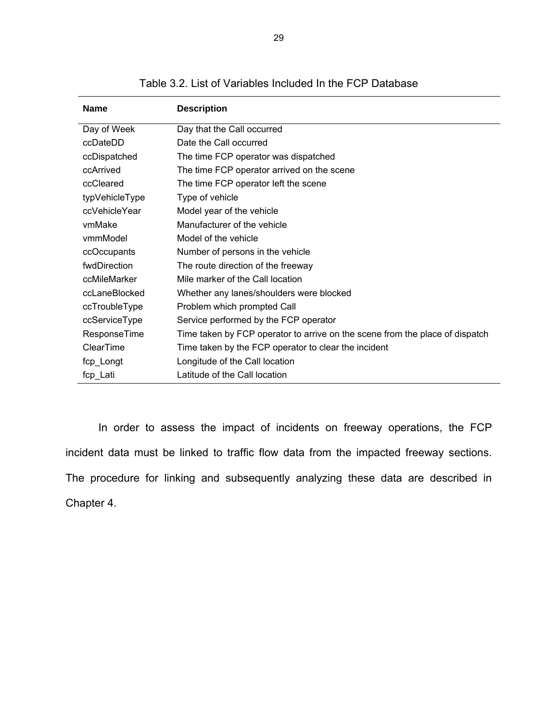| <b>Name</b>      | <b>Description</b>                                                           |
|------------------|------------------------------------------------------------------------------|
| Day of Week      | Day that the Call occurred                                                   |
| ccDateDD         | Date the Call occurred                                                       |
| ccDispatched     | The time FCP operator was dispatched                                         |
| ccArrived        | The time FCP operator arrived on the scene                                   |
| ccCleared        | The time FCP operator left the scene                                         |
| typVehicleType   | Type of vehicle                                                              |
| ccVehicleYear    | Model year of the vehicle                                                    |
| vmMake           | Manufacturer of the vehicle                                                  |
| vmmModel         | Model of the vehicle                                                         |
| ccOccupants      | Number of persons in the vehicle                                             |
| fwdDirection     | The route direction of the freeway                                           |
| ccMileMarker     | Mile marker of the Call location                                             |
| ccLaneBlocked    | Whether any lanes/shoulders were blocked                                     |
| ccTroubleType    | Problem which prompted Call                                                  |
| ccServiceType    | Service performed by the FCP operator                                        |
| ResponseTime     | Time taken by FCP operator to arrive on the scene from the place of dispatch |
| <b>ClearTime</b> | Time taken by the FCP operator to clear the incident                         |
| fcp_Longt        | Longitude of the Call location                                               |
| fcp_Lati         | Latitude of the Call location                                                |

Table 3.2. List of Variables Included In the FCP Database

In order to assess the impact of incidents on freeway operations, the FCP incident data must be linked to traffic flow data from the impacted freeway sections. The procedure for linking and subsequently analyzing these data are described in Chapter 4.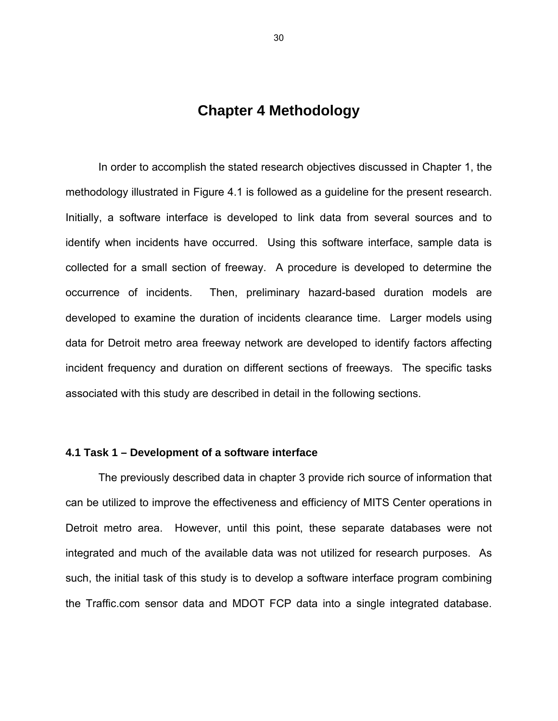# **Chapter 4 Methodology**

In order to accomplish the stated research objectives discussed in Chapter 1, the methodology illustrated in Figure 4.1 is followed as a guideline for the present research. Initially, a software interface is developed to link data from several sources and to identify when incidents have occurred. Using this software interface, sample data is collected for a small section of freeway. A procedure is developed to determine the occurrence of incidents. Then, preliminary hazard-based duration models are developed to examine the duration of incidents clearance time. Larger models using data for Detroit metro area freeway network are developed to identify factors affecting incident frequency and duration on different sections of freeways. The specific tasks associated with this study are described in detail in the following sections.

### **4.1 Task 1 – Development of a software interface**

The previously described data in chapter 3 provide rich source of information that can be utilized to improve the effectiveness and efficiency of MITS Center operations in Detroit metro area. However, until this point, these separate databases were not integrated and much of the available data was not utilized for research purposes. As such, the initial task of this study is to develop a software interface program combining the Traffic.com sensor data and MDOT FCP data into a single integrated database.

30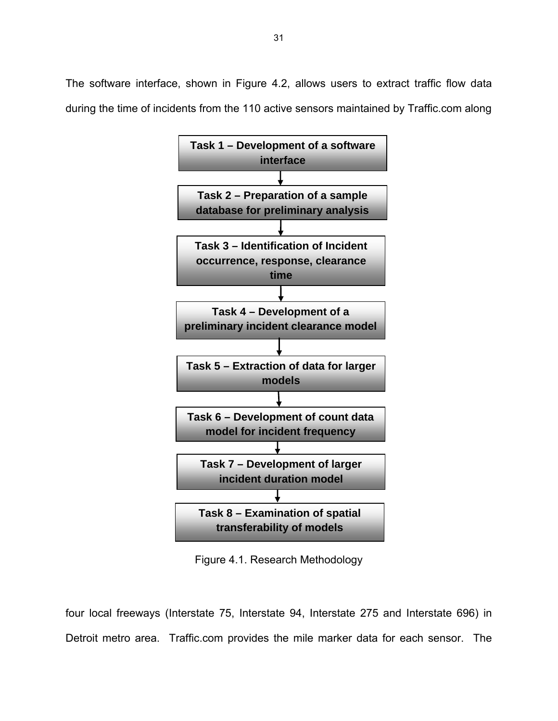The software interface, shown in Figure 4.2, allows users to extract traffic flow data during the time of incidents from the 110 active sensors maintained by Traffic.com along



Figure 4.1. Research Methodology

four local freeways (Interstate 75, Interstate 94, Interstate 275 and Interstate 696) in Detroit metro area. Traffic.com provides the mile marker data for each sensor. The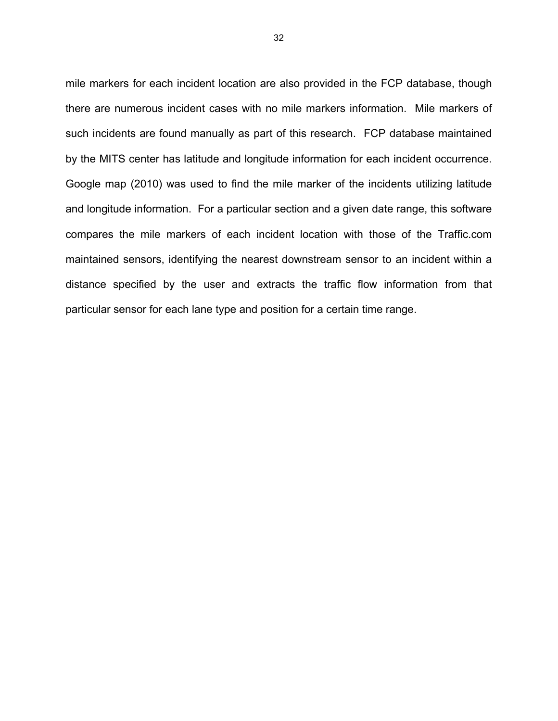mile markers for each incident location are also provided in the FCP database, though there are numerous incident cases with no mile markers information. Mile markers of such incidents are found manually as part of this research. FCP database maintained by the MITS center has latitude and longitude information for each incident occurrence. Google map (2010) was used to find the mile marker of the incidents utilizing latitude and longitude information. For a particular section and a given date range, this software compares the mile markers of each incident location with those of the Traffic.com maintained sensors, identifying the nearest downstream sensor to an incident within a distance specified by the user and extracts the traffic flow information from that particular sensor for each lane type and position for a certain time range.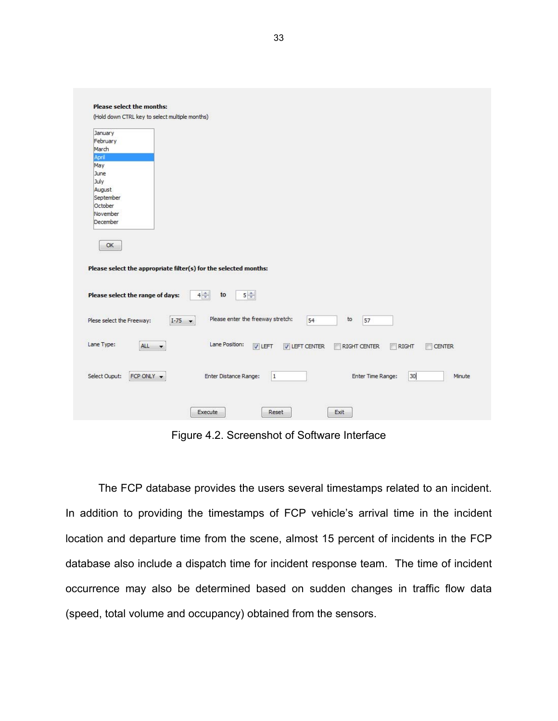| <b>Please select the months:</b>                                                                                                                                   |
|--------------------------------------------------------------------------------------------------------------------------------------------------------------------|
| (Hold down CTRL key to select multiple months)                                                                                                                     |
| January<br>February<br>March<br>April<br>May<br>June<br>July<br>August<br>September<br>October<br>November<br>December                                             |
| OK<br>Please select the appropriate filter(s) for the selected months:<br>$4\frac{1}{r}$<br>$5\left  \frac{1}{2}\right $<br>Please select the range of days:<br>to |
| Please enter the freeway stretch:<br>to<br>Plese select the Freeway:<br>54<br>57<br>$I - 75$ $\rightarrow$                                                         |
| Lane Type:<br>Lane Position:<br>ALL<br>V LEFT CENTER<br><b>V LEFT</b><br><b>RIGHT CENTER</b><br>RIGHT<br><b>CENTER</b><br>$\cdot$                                  |
| Select Ouput:<br>FCP ONLY +<br>Enter Distance Range:<br>$\overline{1}$<br>Enter Time Range:<br>30<br>Minute                                                        |
| Reset<br>Exit<br>Execute                                                                                                                                           |

Figure 4.2. Screenshot of Software Interface

The FCP database provides the users several timestamps related to an incident. In addition to providing the timestamps of FCP vehicle's arrival time in the incident location and departure time from the scene, almost 15 percent of incidents in the FCP database also include a dispatch time for incident response team. The time of incident occurrence may also be determined based on sudden changes in traffic flow data (speed, total volume and occupancy) obtained from the sensors.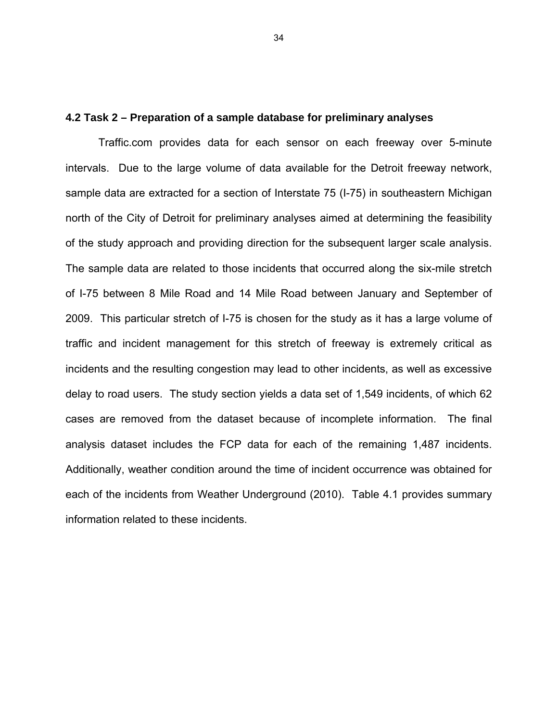#### **4.2 Task 2 – Preparation of a sample database for preliminary analyses**

Traffic.com provides data for each sensor on each freeway over 5-minute intervals. Due to the large volume of data available for the Detroit freeway network, sample data are extracted for a section of Interstate 75 (I-75) in southeastern Michigan north of the City of Detroit for preliminary analyses aimed at determining the feasibility of the study approach and providing direction for the subsequent larger scale analysis. The sample data are related to those incidents that occurred along the six-mile stretch of I-75 between 8 Mile Road and 14 Mile Road between January and September of 2009. This particular stretch of I-75 is chosen for the study as it has a large volume of traffic and incident management for this stretch of freeway is extremely critical as incidents and the resulting congestion may lead to other incidents, as well as excessive delay to road users. The study section yields a data set of 1,549 incidents, of which 62 cases are removed from the dataset because of incomplete information. The final analysis dataset includes the FCP data for each of the remaining 1,487 incidents. Additionally, weather condition around the time of incident occurrence was obtained for each of the incidents from Weather Underground (2010). Table 4.1 provides summary information related to these incidents.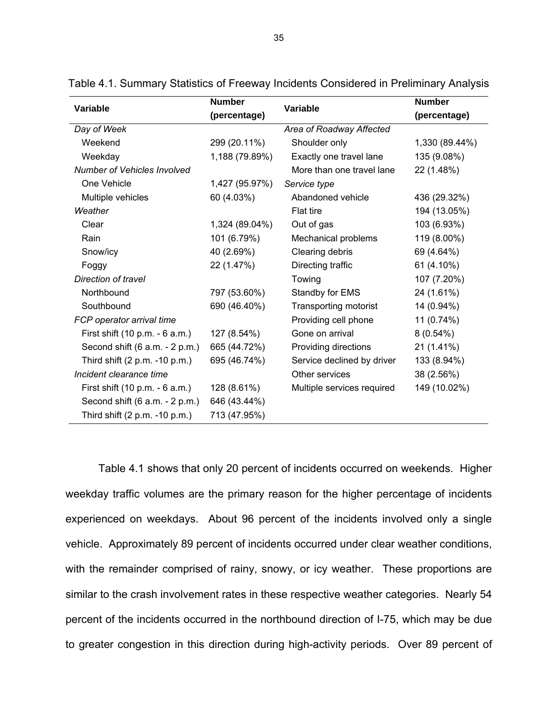|                                    | <b>Number</b>  |                              | <b>Number</b>  |  |
|------------------------------------|----------------|------------------------------|----------------|--|
| Variable                           | (percentage)   | Variable                     | (percentage)   |  |
| Day of Week                        |                | Area of Roadway Affected     |                |  |
| Weekend                            | 299 (20.11%)   | Shoulder only                | 1,330 (89.44%) |  |
| Weekday                            | 1,188 (79.89%) | Exactly one travel lane      |                |  |
| <b>Number of Vehicles Involved</b> |                | More than one travel lane    | 22 (1.48%)     |  |
| One Vehicle                        | 1,427 (95.97%) | Service type                 |                |  |
| Multiple vehicles                  | 60 (4.03%)     | Abandoned vehicle            | 436 (29.32%)   |  |
| Weather                            |                | Flat tire                    | 194 (13.05%)   |  |
| Clear                              | 1,324 (89.04%) | Out of gas                   | 103 (6.93%)    |  |
| Rain                               | 101 (6.79%)    | Mechanical problems          | 119 (8.00%)    |  |
| Snow/icy                           | 40 (2.69%)     | Clearing debris              | 69 (4.64%)     |  |
| Foggy                              | 22 (1.47%)     | Directing traffic            | 61 (4.10%)     |  |
| Direction of travel                |                | Towing                       | 107 (7.20%)    |  |
| Northbound                         | 797 (53.60%)   | Standby for EMS              | 24 (1.61%)     |  |
| Southbound                         | 690 (46.40%)   | <b>Transporting motorist</b> | 14 (0.94%)     |  |
| FCP operator arrival time          |                | Providing cell phone         | 11 (0.74%)     |  |
| First shift (10 p.m. - 6 a.m.)     | 127 (8.54%)    | Gone on arrival              | $8(0.54\%)$    |  |
| Second shift (6 a.m. - 2 p.m.)     | 665 (44.72%)   | Providing directions         | 21 (1.41%)     |  |
| Third shift (2 p.m. -10 p.m.)      | 695 (46.74%)   | Service declined by driver   | 133 (8.94%)    |  |
| Incident clearance time            |                | Other services               | 38 (2.56%)     |  |
| First shift (10 p.m. - 6 a.m.)     | 128 (8.61%)    | Multiple services required   | 149 (10.02%)   |  |
| Second shift $(6 a.m. - 2 p.m.)$   | 646 (43.44%)   |                              |                |  |
| Third shift (2 p.m. -10 p.m.)      | 713 (47.95%)   |                              |                |  |

Table 4.1. Summary Statistics of Freeway Incidents Considered in Preliminary Analysis

Table 4.1 shows that only 20 percent of incidents occurred on weekends. Higher weekday traffic volumes are the primary reason for the higher percentage of incidents experienced on weekdays. About 96 percent of the incidents involved only a single vehicle. Approximately 89 percent of incidents occurred under clear weather conditions, with the remainder comprised of rainy, snowy, or icy weather. These proportions are similar to the crash involvement rates in these respective weather categories. Nearly 54 percent of the incidents occurred in the northbound direction of I-75, which may be due to greater congestion in this direction during high-activity periods. Over 89 percent of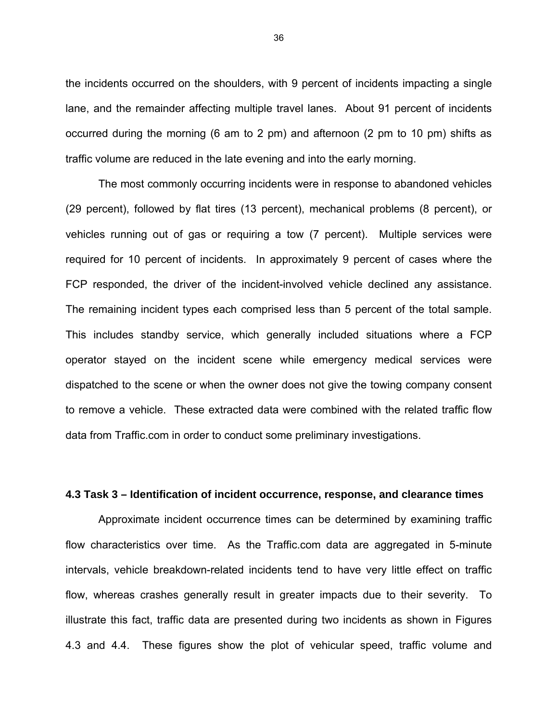the incidents occurred on the shoulders, with 9 percent of incidents impacting a single lane, and the remainder affecting multiple travel lanes. About 91 percent of incidents occurred during the morning (6 am to 2 pm) and afternoon (2 pm to 10 pm) shifts as traffic volume are reduced in the late evening and into the early morning.

The most commonly occurring incidents were in response to abandoned vehicles (29 percent), followed by flat tires (13 percent), mechanical problems (8 percent), or vehicles running out of gas or requiring a tow (7 percent). Multiple services were required for 10 percent of incidents. In approximately 9 percent of cases where the FCP responded, the driver of the incident-involved vehicle declined any assistance. The remaining incident types each comprised less than 5 percent of the total sample. This includes standby service, which generally included situations where a FCP operator stayed on the incident scene while emergency medical services were dispatched to the scene or when the owner does not give the towing company consent to remove a vehicle. These extracted data were combined with the related traffic flow data from Traffic.com in order to conduct some preliminary investigations.

#### **4.3 Task 3 – Identification of incident occurrence, response, and clearance times**

Approximate incident occurrence times can be determined by examining traffic flow characteristics over time. As the Traffic.com data are aggregated in 5-minute intervals, vehicle breakdown-related incidents tend to have very little effect on traffic flow, whereas crashes generally result in greater impacts due to their severity. To illustrate this fact, traffic data are presented during two incidents as shown in Figures 4.3 and 4.4. These figures show the plot of vehicular speed, traffic volume and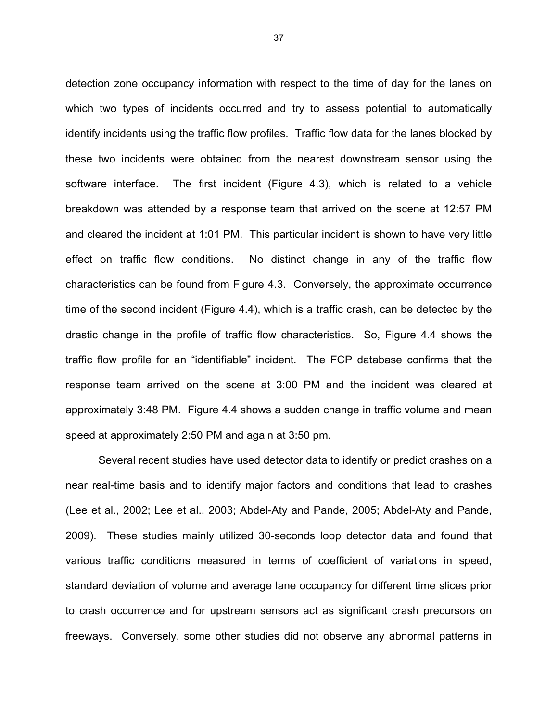detection zone occupancy information with respect to the time of day for the lanes on which two types of incidents occurred and try to assess potential to automatically identify incidents using the traffic flow profiles. Traffic flow data for the lanes blocked by these two incidents were obtained from the nearest downstream sensor using the software interface. The first incident (Figure 4.3), which is related to a vehicle breakdown was attended by a response team that arrived on the scene at 12:57 PM and cleared the incident at 1:01 PM. This particular incident is shown to have very little effect on traffic flow conditions. No distinct change in any of the traffic flow characteristics can be found from Figure 4.3. Conversely, the approximate occurrence time of the second incident (Figure 4.4), which is a traffic crash, can be detected by the drastic change in the profile of traffic flow characteristics. So, Figure 4.4 shows the traffic flow profile for an "identifiable" incident. The FCP database confirms that the response team arrived on the scene at 3:00 PM and the incident was cleared at approximately 3:48 PM. Figure 4.4 shows a sudden change in traffic volume and mean speed at approximately 2:50 PM and again at 3:50 pm.

Several recent studies have used detector data to identify or predict crashes on a near real-time basis and to identify major factors and conditions that lead to crashes (Lee et al., 2002; Lee et al., 2003; Abdel-Aty and Pande, 2005; Abdel-Aty and Pande, 2009). These studies mainly utilized 30-seconds loop detector data and found that various traffic conditions measured in terms of coefficient of variations in speed, standard deviation of volume and average lane occupancy for different time slices prior to crash occurrence and for upstream sensors act as significant crash precursors on freeways. Conversely, some other studies did not observe any abnormal patterns in

37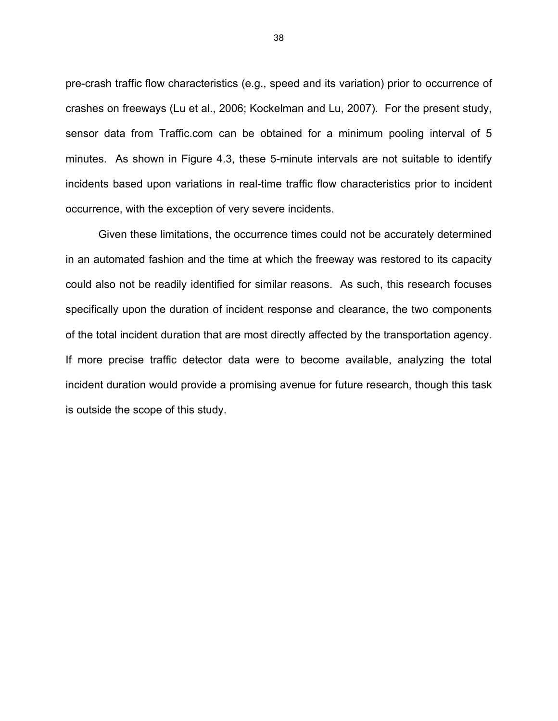pre-crash traffic flow characteristics (e.g., speed and its variation) prior to occurrence of crashes on freeways (Lu et al., 2006; Kockelman and Lu, 2007). For the present study, sensor data from Traffic.com can be obtained for a minimum pooling interval of 5 minutes. As shown in Figure 4.3, these 5-minute intervals are not suitable to identify incidents based upon variations in real-time traffic flow characteristics prior to incident occurrence, with the exception of very severe incidents.

Given these limitations, the occurrence times could not be accurately determined in an automated fashion and the time at which the freeway was restored to its capacity could also not be readily identified for similar reasons. As such, this research focuses specifically upon the duration of incident response and clearance, the two components of the total incident duration that are most directly affected by the transportation agency. If more precise traffic detector data were to become available, analyzing the total incident duration would provide a promising avenue for future research, though this task is outside the scope of this study.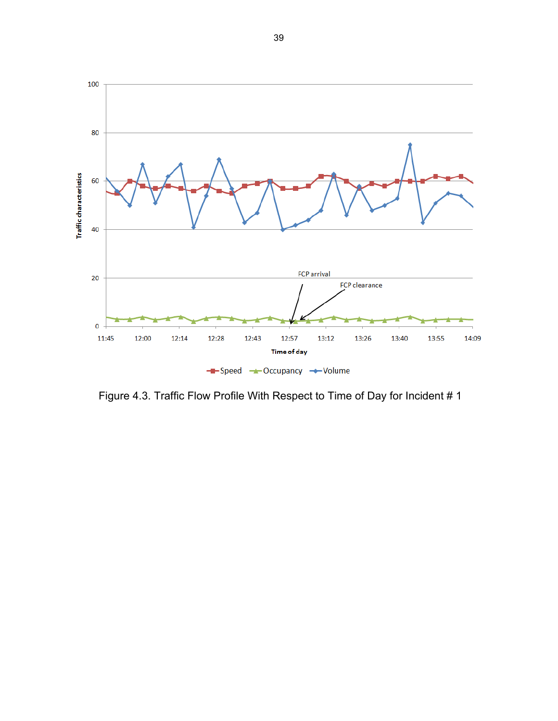

Figure 4.3. Traffic Flow Profile With Respect to Time of Day for Incident # 1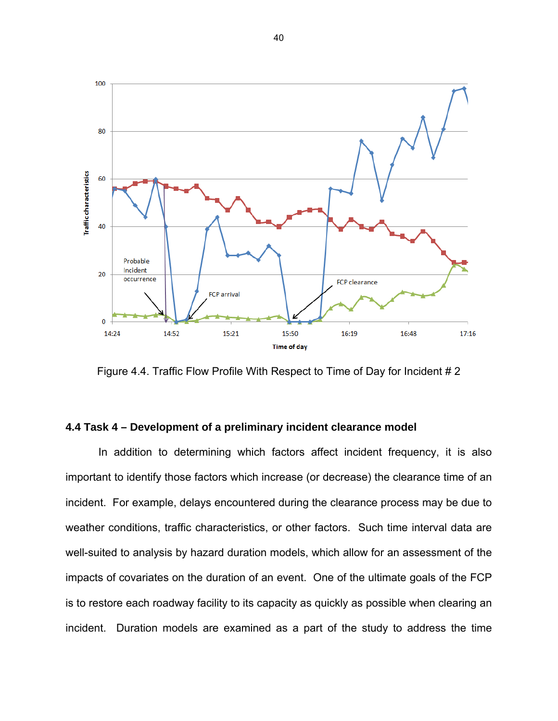

Figure 4.4. Traffic Flow Profile With Respect to Time of Day for Incident # 2

## **4.4 Task 4 – Development of a preliminary incident clearance model**

In addition to determining which factors affect incident frequency, it is also important to identify those factors which increase (or decrease) the clearance time of an incident. For example, delays encountered during the clearance process may be due to weather conditions, traffic characteristics, or other factors. Such time interval data are well-suited to analysis by hazard duration models, which allow for an assessment of the impacts of covariates on the duration of an event. One of the ultimate goals of the FCP is to restore each roadway facility to its capacity as quickly as possible when clearing an incident. Duration models are examined as a part of the study to address the time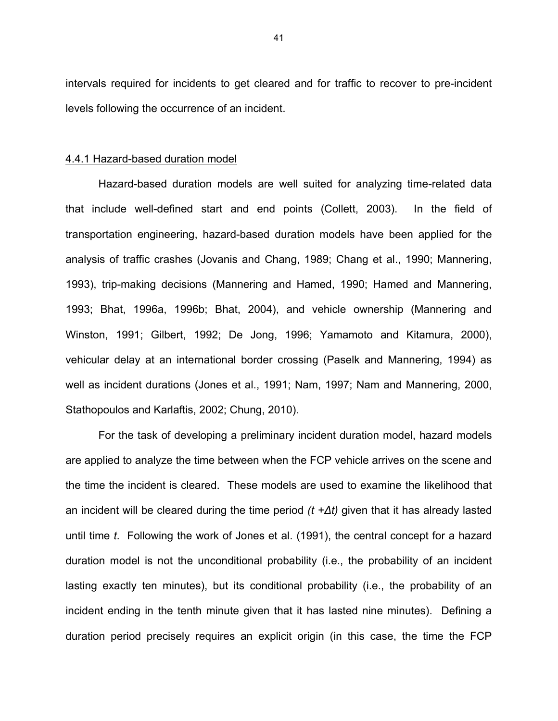intervals required for incidents to get cleared and for traffic to recover to pre-incident levels following the occurrence of an incident.

#### 4.4.1 Hazard-based duration model

Hazard-based duration models are well suited for analyzing time-related data that include well-defined start and end points (Collett, 2003). In the field of transportation engineering, hazard-based duration models have been applied for the analysis of traffic crashes (Jovanis and Chang, 1989; Chang et al., 1990; Mannering, 1993), trip-making decisions (Mannering and Hamed, 1990; Hamed and Mannering, 1993; Bhat, 1996a, 1996b; Bhat, 2004), and vehicle ownership (Mannering and Winston, 1991; Gilbert, 1992; De Jong, 1996; Yamamoto and Kitamura, 2000), vehicular delay at an international border crossing (Paselk and Mannering, 1994) as well as incident durations (Jones et al., 1991; Nam, 1997; Nam and Mannering, 2000, Stathopoulos and Karlaftis, 2002; Chung, 2010).

For the task of developing a preliminary incident duration model, hazard models are applied to analyze the time between when the FCP vehicle arrives on the scene and the time the incident is cleared. These models are used to examine the likelihood that an incident will be cleared during the time period *(t +∆t)* given that it has already lasted until time *t*. Following the work of Jones et al. (1991), the central concept for a hazard duration model is not the unconditional probability (i.e., the probability of an incident lasting exactly ten minutes), but its conditional probability (i.e., the probability of an incident ending in the tenth minute given that it has lasted nine minutes). Defining a duration period precisely requires an explicit origin (in this case, the time the FCP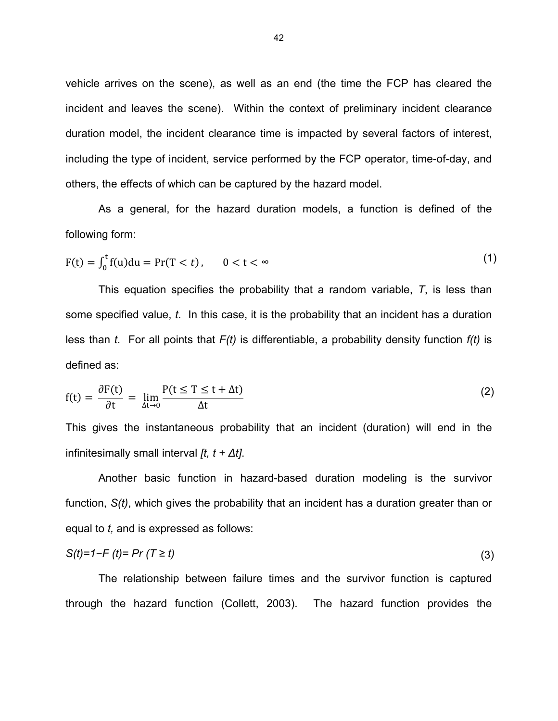vehicle arrives on the scene), as well as an end (the time the FCP has cleared the incident and leaves the scene). Within the context of preliminary incident clearance duration model, the incident clearance time is impacted by several factors of interest, including the type of incident, service performed by the FCP operator, time-of-day, and others, the effects of which can be captured by the hazard model.

As a general, for the hazard duration models, a function is defined of the following form:

$$
F(t) = \int_0^t f(u) du = Pr(T < t), \qquad 0 < t < \infty
$$
 (1)

This equation specifies the probability that a random variable, *T*, is less than some specified value, *t*. In this case, it is the probability that an incident has a duration less than *t*. For all points that *F(t)* is differentiable, a probability density function *f(t)* is defined as:

$$
f(t) = \frac{\partial F(t)}{\partial t} = \lim_{\Delta t \to 0} \frac{P(t \le T \le t + \Delta t)}{\Delta t}
$$
 (2)

This gives the instantaneous probability that an incident (duration) will end in the infinitesimally small interval *[t, t + ∆t]*.

Another basic function in hazard-based duration modeling is the survivor function, *S(t)*, which gives the probability that an incident has a duration greater than or equal to *t,* and is expressed as follows:

$$
S(t)=1-F(t)=Pr(T\geq t)
$$
\n(3)

The relationship between failure times and the survivor function is captured through the hazard function (Collett, 2003). The hazard function provides the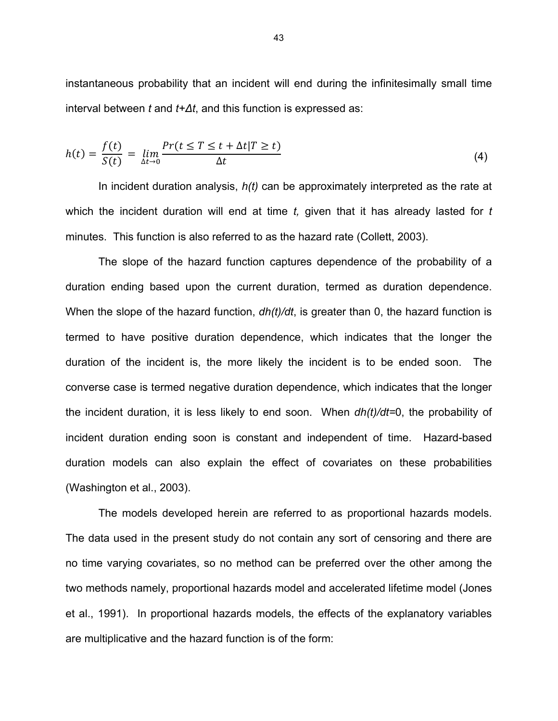instantaneous probability that an incident will end during the infinitesimally small time interval between *t* and *t+∆t*, and this function is expressed as:

$$
h(t) = \frac{f(t)}{S(t)} = \lim_{\Delta t \to 0} \frac{Pr(t \le T \le t + \Delta t | T \ge t)}{\Delta t}
$$
(4)

In incident duration analysis, *h(t)* can be approximately interpreted as the rate at which the incident duration will end at time *t,* given that it has already lasted for *t* minutes. This function is also referred to as the hazard rate (Collett, 2003).

The slope of the hazard function captures dependence of the probability of a duration ending based upon the current duration, termed as duration dependence. When the slope of the hazard function, *dh(t)/dt*, is greater than 0, the hazard function is termed to have positive duration dependence, which indicates that the longer the duration of the incident is, the more likely the incident is to be ended soon. The converse case is termed negative duration dependence, which indicates that the longer the incident duration, it is less likely to end soon. When *dh(t)/dt=*0, the probability of incident duration ending soon is constant and independent of time. Hazard-based duration models can also explain the effect of covariates on these probabilities (Washington et al., 2003).

The models developed herein are referred to as proportional hazards models. The data used in the present study do not contain any sort of censoring and there are no time varying covariates, so no method can be preferred over the other among the two methods namely, proportional hazards model and accelerated lifetime model (Jones et al., 1991). In proportional hazards models, the effects of the explanatory variables are multiplicative and the hazard function is of the form: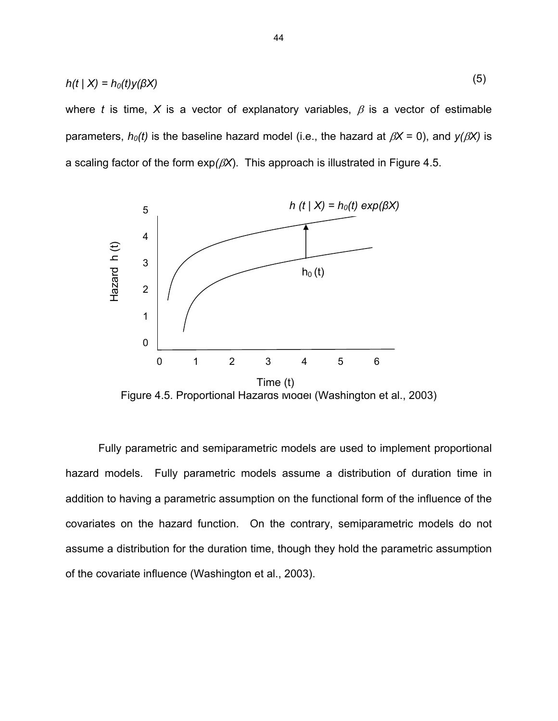$$
h(t \mid X) = h_0(t) y(\beta X) \tag{5}
$$

where *t* is time, X is a vector of explanatory variables,  $\beta$  is a vector of estimable parameters,  $h_0(t)$  is the baseline hazard model (i.e., the hazard at  $\beta X = 0$ ), and  $y(\beta X)$  is a scaling factor of the form  $exp(\beta X)$ . This approach is illustrated in Figure 4.5.



Figure 4.5. Proportional Hazards Model (Washington et al., 2003)

Fully parametric and semiparametric models are used to implement proportional hazard models. Fully parametric models assume a distribution of duration time in addition to having a parametric assumption on the functional form of the influence of the covariates on the hazard function. On the contrary, semiparametric models do not assume a distribution for the duration time, though they hold the parametric assumption of the covariate influence (Washington et al., 2003).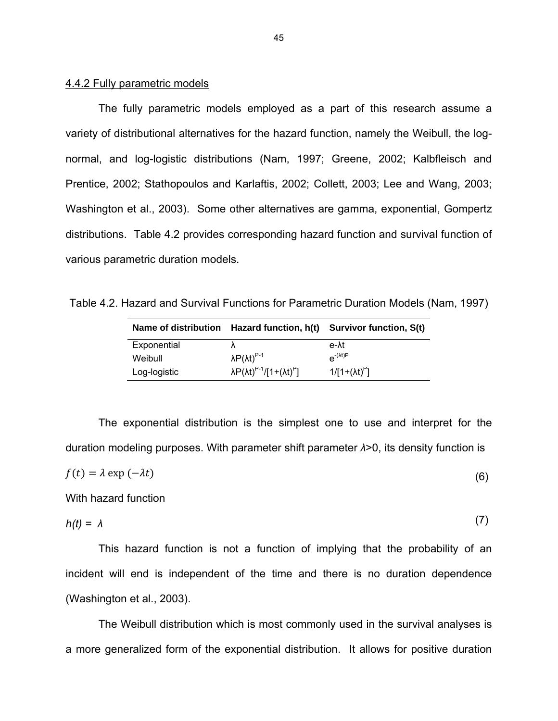#### 4.4.2 Fully parametric models

The fully parametric models employed as a part of this research assume a variety of distributional alternatives for the hazard function, namely the Weibull, the lognormal, and log-logistic distributions (Nam, 1997; Greene, 2002; Kalbfleisch and Prentice, 2002; Stathopoulos and Karlaftis, 2002; Collett, 2003; Lee and Wang, 2003; Washington et al., 2003). Some other alternatives are gamma, exponential, Gompertz distributions. Table 4.2 provides corresponding hazard function and survival function of various parametric duration models.

Table 4.2. Hazard and Survival Functions for Parametric Duration Models (Nam, 1997)

| Name of distribution |                                                | Hazard function, h(t) Survivor function, S(t) |
|----------------------|------------------------------------------------|-----------------------------------------------|
| Exponential          |                                                | e- <sup>a</sup> t                             |
| Weibull              | $\lambda P(\lambda t)^{P-1}$                   | $e^{-(\lambda t)p}$                           |
| Log-logistic         | $\lambda P(\lambda t)^{P-1}/[1+(\lambda t)^P]$ | $1/[1+(\lambda t)^P]$                         |

The exponential distribution is the simplest one to use and interpret for the duration modeling purposes. With parameter shift parameter *λ*>0, its density function is

$$
f(t) = \lambda \exp(-\lambda t) \tag{6}
$$

With hazard function

$$
h(t) = \lambda \tag{7}
$$

 $\overline{a}$ 

This hazard function is not a function of implying that the probability of an incident will end is independent of the time and there is no duration dependence (Washington et al., 2003).

The Weibull distribution which is most commonly used in the survival analyses is a more generalized form of the exponential distribution. It allows for positive duration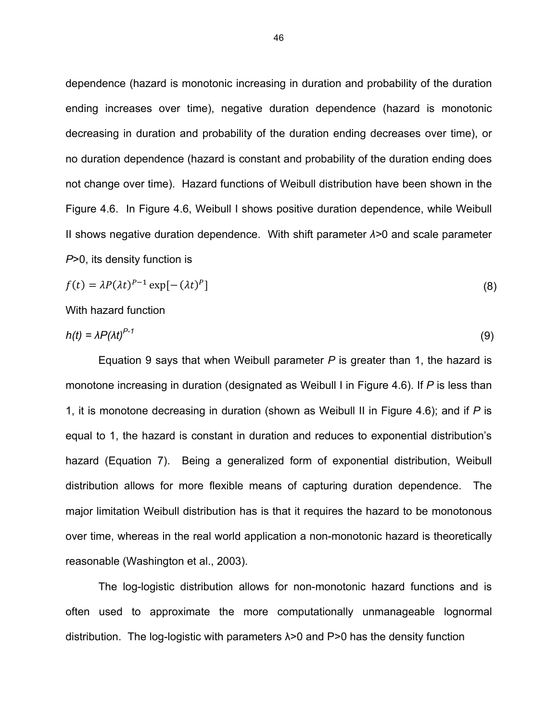dependence (hazard is monotonic increasing in duration and probability of the duration ending increases over time), negative duration dependence (hazard is monotonic decreasing in duration and probability of the duration ending decreases over time), or no duration dependence (hazard is constant and probability of the duration ending does not change over time). Hazard functions of Weibull distribution have been shown in the Figure 4.6. In Figure 4.6, Weibull I shows positive duration dependence, while Weibull II shows negative duration dependence. With shift parameter *λ>*0 and scale parameter *P*>0, its density function is

$$
f(t) = \lambda P(\lambda t)^{P-1} \exp[-(\lambda t)^P]
$$
\n(8)

With hazard function

$$
h(t) = \lambda P(\lambda t)^{P-1} \tag{9}
$$

Equation 9 says that when Weibull parameter *P* is greater than 1, the hazard is monotone increasing in duration (designated as Weibull I in Figure 4.6). If *P* is less than 1, it is monotone decreasing in duration (shown as Weibull II in Figure 4.6); and if *P* is equal to 1, the hazard is constant in duration and reduces to exponential distribution's hazard (Equation 7). Being a generalized form of exponential distribution, Weibull distribution allows for more flexible means of capturing duration dependence. The major limitation Weibull distribution has is that it requires the hazard to be monotonous over time, whereas in the real world application a non-monotonic hazard is theoretically reasonable (Washington et al., 2003).

The log-logistic distribution allows for non-monotonic hazard functions and is often used to approximate the more computationally unmanageable lognormal distribution. The log-logistic with parameters  $\lambda > 0$  and P $> 0$  has the density function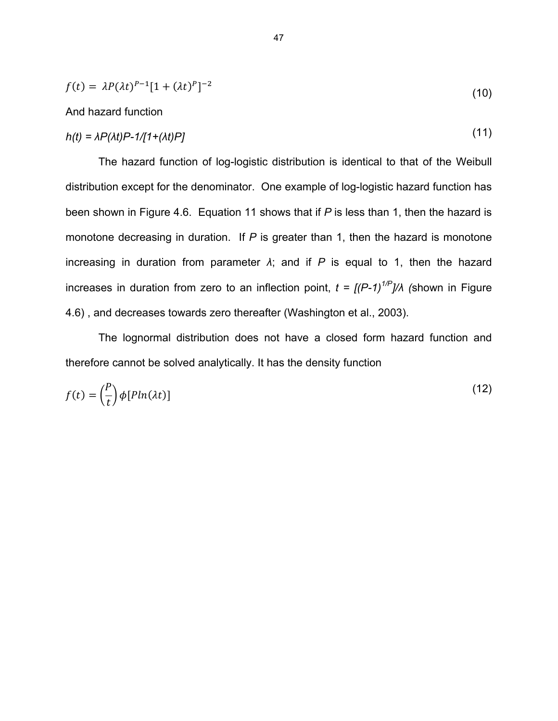$$
f(t) = \lambda P(\lambda t)^{P-1} [1 + (\lambda t)^P]^{-2}
$$
\n(10)

#### And hazard function

$$
h(t) = \lambda P(\lambda t) P - 1/[1 + (\lambda t)P] \tag{11}
$$

The hazard function of log-logistic distribution is identical to that of the Weibull distribution except for the denominator. One example of log-logistic hazard function has been shown in Figure 4.6. Equation 11 shows that if *P* is less than 1, then the hazard is monotone decreasing in duration. If *P* is greater than 1, then the hazard is monotone increasing in duration from parameter  $\lambda$ ; and if  $P$  is equal to 1, then the hazard increases in duration from zero to an inflection point,  $t = \frac{f}{P-1}$ <sup>1/P</sup>*I*/*A* (shown in Figure 4.6) , and decreases towards zero thereafter (Washington et al., 2003).

The lognormal distribution does not have a closed form hazard function and therefore cannot be solved analytically. It has the density function

$$
f(t) = \left(\frac{P}{t}\right) \phi[Pln(\lambda t)] \tag{12}
$$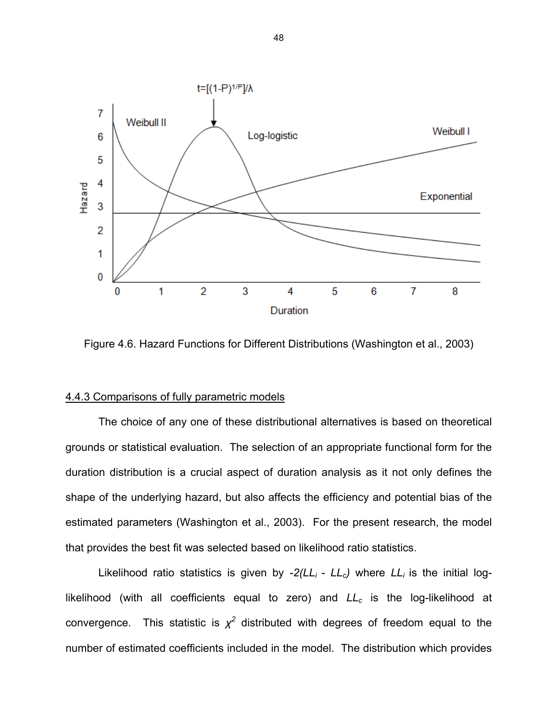

Figure 4.6. Hazard Functions for Different Distributions (Washington et al., 2003)

## 4.4.3 Comparisons of fully parametric models

The choice of any one of these distributional alternatives is based on theoretical grounds or statistical evaluation. The selection of an appropriate functional form for the duration distribution is a crucial aspect of duration analysis as it not only defines the shape of the underlying hazard, but also affects the efficiency and potential bias of the estimated parameters (Washington et al., 2003). For the present research, the model that provides the best fit was selected based on likelihood ratio statistics.

Likelihood ratio statistics is given by  $-2(LL_i - LL_c)$  where  $LL_i$  is the initial loglikelihood (with all coefficients equal to zero) and *LL<sub>c</sub>* is the log-likelihood at convergence. This statistic is  $\chi^2$  distributed with degrees of freedom equal to the number of estimated coefficients included in the model. The distribution which provides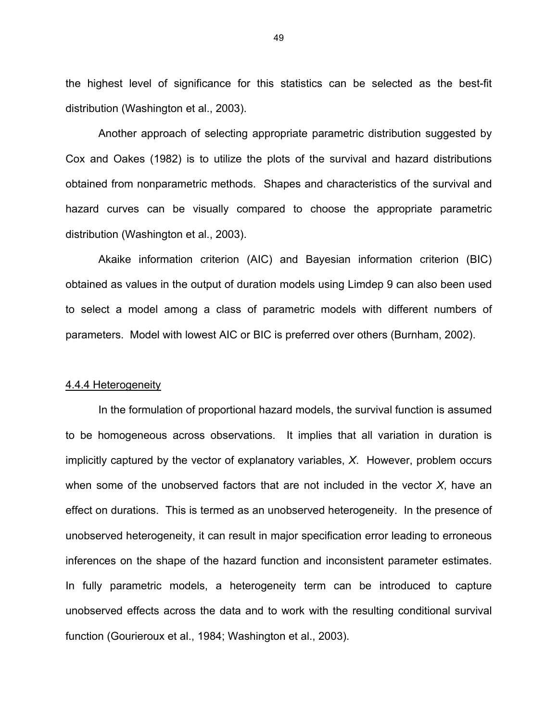the highest level of significance for this statistics can be selected as the best-fit distribution (Washington et al., 2003).

Another approach of selecting appropriate parametric distribution suggested by Cox and Oakes (1982) is to utilize the plots of the survival and hazard distributions obtained from nonparametric methods. Shapes and characteristics of the survival and hazard curves can be visually compared to choose the appropriate parametric distribution (Washington et al., 2003).

Akaike information criterion (AIC) and Bayesian information criterion (BIC) obtained as values in the output of duration models using Limdep 9 can also been used to select a model among a class of parametric models with different numbers of parameters. Model with lowest AIC or BIC is preferred over others (Burnham, 2002).

#### 4.4.4 Heterogeneity

In the formulation of proportional hazard models, the survival function is assumed to be homogeneous across observations. It implies that all variation in duration is implicitly captured by the vector of explanatory variables, *X*. However, problem occurs when some of the unobserved factors that are not included in the vector *X*, have an effect on durations. This is termed as an unobserved heterogeneity. In the presence of unobserved heterogeneity, it can result in major specification error leading to erroneous inferences on the shape of the hazard function and inconsistent parameter estimates. In fully parametric models, a heterogeneity term can be introduced to capture unobserved effects across the data and to work with the resulting conditional survival function (Gourieroux et al., 1984; Washington et al., 2003).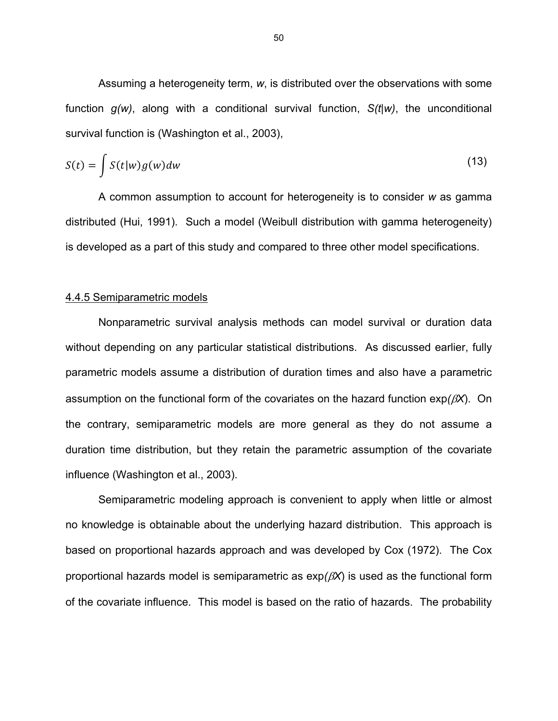Assuming a heterogeneity term, *w*, is distributed over the observations with some function *g(w)*, along with a conditional survival function, *S(t|w)*, the unconditional survival function is (Washington et al., 2003),

$$
S(t) = \int S(t|w)g(w)dw
$$
\n(13)

A common assumption to account for heterogeneity is to consider *w* as gamma distributed (Hui, 1991). Such a model (Weibull distribution with gamma heterogeneity) is developed as a part of this study and compared to three other model specifications.

#### 4.4.5 Semiparametric models

Nonparametric survival analysis methods can model survival or duration data without depending on any particular statistical distributions. As discussed earlier, fully parametric models assume a distribution of duration times and also have a parametric assumption on the functional form of the covariates on the hazard function  $exp(\beta X)$ . On the contrary, semiparametric models are more general as they do not assume a duration time distribution, but they retain the parametric assumption of the covariate influence (Washington et al., 2003).

Semiparametric modeling approach is convenient to apply when little or almost no knowledge is obtainable about the underlying hazard distribution. This approach is based on proportional hazards approach and was developed by Cox (1972). The Cox proportional hazards model is semiparametric as  $exp(\beta X)$  is used as the functional form of the covariate influence. This model is based on the ratio of hazards. The probability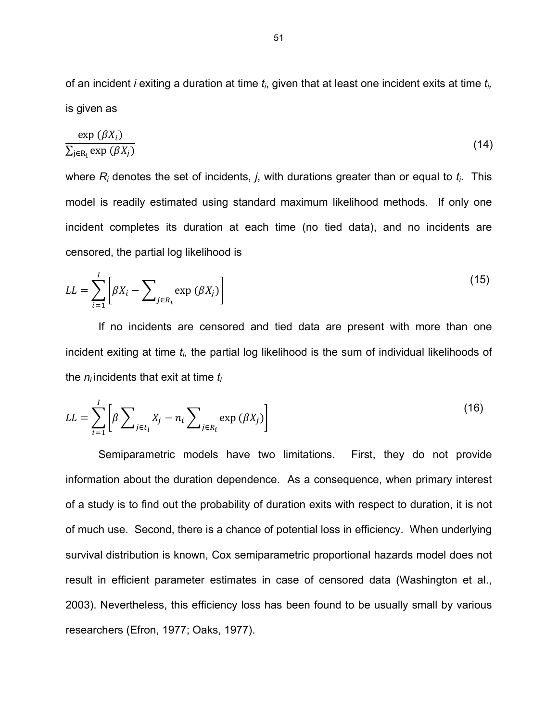of an incident *i* exiting a duration at time *ti*, given that at least one incident exits at time *ti,*  is given as

$$
\frac{\exp\left(\beta X_i\right)}{\sum_{j\in\mathrm{R}_i}\exp\left(\beta X_j\right)}\tag{14}
$$

where *Ri* denotes the set of incidents, *j*, with durations greater than or equal to *ti*. This model is readily estimated using standard maximum likelihood methods. If only one incident completes its duration at each time (no tied data), and no incidents are censored, the partial log likelihood is

$$
LL = \sum_{i=1}^{I} \left[ \beta X_i - \sum_{j \in R_i} \exp \left( \beta X_j \right) \right]
$$
 (15)

If no incidents are censored and tied data are present with more than one incident exiting at time *ti*, the partial log likelihood is the sum of individual likelihoods of the *ni* incidents that exit at time *ti* 

$$
LL = \sum_{i=1}^{I} \left[ \beta \sum_{j \in t_i} X_j - n_i \sum_{j \in R_i} \exp \left( \beta X_j \right) \right]
$$
 (16)

Semiparametric models have two limitations. First, they do not provide information about the duration dependence. As a consequence, when primary interest of a study is to find out the probability of duration exits with respect to duration, it is not of much use. Second, there is a chance of potential loss in efficiency. When underlying survival distribution is known, Cox semiparametric proportional hazards model does not result in efficient parameter estimates in case of censored data (Washington et al., 2003). Nevertheless, this efficiency loss has been found to be usually small by various researchers (Efron, 1977; Oaks, 1977).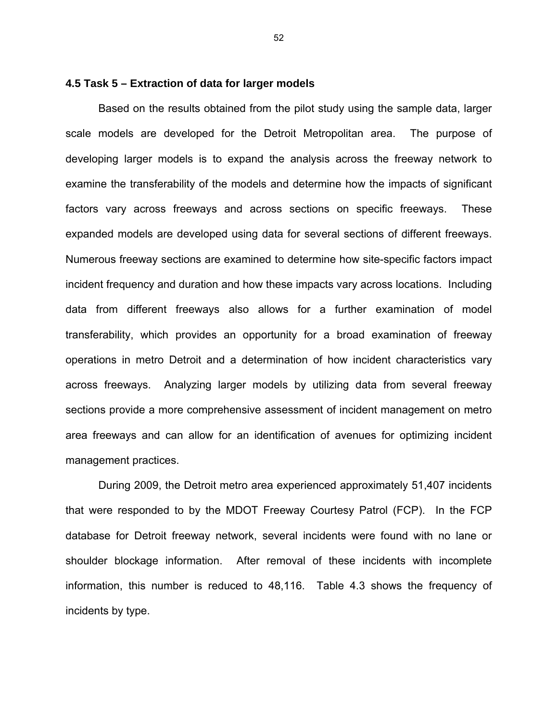#### **4.5 Task 5 – Extraction of data for larger models**

Based on the results obtained from the pilot study using the sample data, larger scale models are developed for the Detroit Metropolitan area. The purpose of developing larger models is to expand the analysis across the freeway network to examine the transferability of the models and determine how the impacts of significant factors vary across freeways and across sections on specific freeways. These expanded models are developed using data for several sections of different freeways. Numerous freeway sections are examined to determine how site-specific factors impact incident frequency and duration and how these impacts vary across locations. Including data from different freeways also allows for a further examination of model transferability, which provides an opportunity for a broad examination of freeway operations in metro Detroit and a determination of how incident characteristics vary across freeways. Analyzing larger models by utilizing data from several freeway sections provide a more comprehensive assessment of incident management on metro area freeways and can allow for an identification of avenues for optimizing incident management practices.

During 2009, the Detroit metro area experienced approximately 51,407 incidents that were responded to by the MDOT Freeway Courtesy Patrol (FCP). In the FCP database for Detroit freeway network, several incidents were found with no lane or shoulder blockage information. After removal of these incidents with incomplete information, this number is reduced to 48,116. Table 4.3 shows the frequency of incidents by type.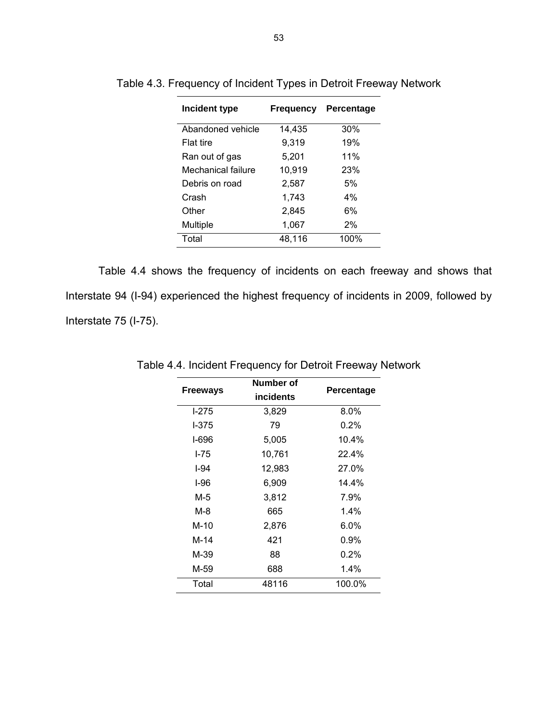| Incident type      | <b>Frequency</b> | Percentage |  |
|--------------------|------------------|------------|--|
| Abandoned vehicle  | 14,435           | 30%        |  |
| <b>Flat tire</b>   | 9,319            | 19%        |  |
| Ran out of gas     | 5,201            | 11%        |  |
| Mechanical failure | 10,919           | 23%        |  |
| Debris on road     | 2,587            | 5%         |  |
| Crash              | 1,743            | $4\%$      |  |
| Other              | 2,845            | 6%         |  |
| Multiple           | 1,067            | $2\%$      |  |
| Total              | 48,116           | 100%       |  |

Table 4.3. Frequency of Incident Types in Detroit Freeway Network

Table 4.4 shows the frequency of incidents on each freeway and shows that Interstate 94 (I-94) experienced the highest frequency of incidents in 2009, followed by Interstate 75 (I-75).

| <b>Freeways</b> | Number of<br>incidents | Percentage |
|-----------------|------------------------|------------|
| $1-275$         | 3,829                  | 8.0%       |
| I-375           | 79                     | $0.2\%$    |
| I-696           | 5,005                  | 10.4%      |
| $1 - 75$        | 10,761                 | 22.4%      |
| I-94            | 12,983                 | 27.0%      |
| $1-96$          | 6,909                  | 14.4%      |
| M-5             | 3,812                  | 7.9%       |
| M-8             | 665                    | $1.4\%$    |
| M-10            | 2,876                  | $6.0\%$    |
| M-14            | 421                    | $0.9\%$    |
| M-39            | 88                     | 0.2%       |
| M-59            | 688                    | 1.4%       |
| Total           | 48116                  | 100.0%     |

Table 4.4. Incident Frequency for Detroit Freeway Network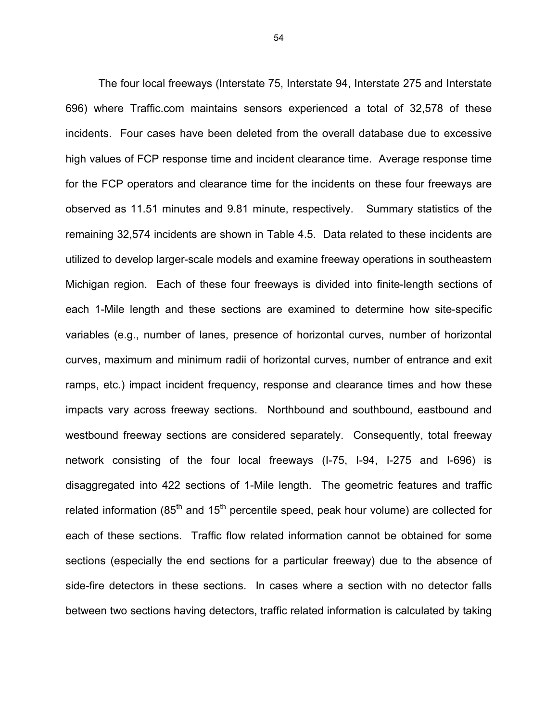The four local freeways (Interstate 75, Interstate 94, Interstate 275 and Interstate 696) where Traffic.com maintains sensors experienced a total of 32,578 of these incidents. Four cases have been deleted from the overall database due to excessive high values of FCP response time and incident clearance time. Average response time for the FCP operators and clearance time for the incidents on these four freeways are observed as 11.51 minutes and 9.81 minute, respectively. Summary statistics of the remaining 32,574 incidents are shown in Table 4.5. Data related to these incidents are utilized to develop larger-scale models and examine freeway operations in southeastern Michigan region. Each of these four freeways is divided into finite-length sections of each 1-Mile length and these sections are examined to determine how site-specific variables (e.g., number of lanes, presence of horizontal curves, number of horizontal curves, maximum and minimum radii of horizontal curves, number of entrance and exit ramps, etc.) impact incident frequency, response and clearance times and how these impacts vary across freeway sections. Northbound and southbound, eastbound and westbound freeway sections are considered separately. Consequently, total freeway network consisting of the four local freeways (I-75, I-94, I-275 and I-696) is disaggregated into 422 sections of 1-Mile length. The geometric features and traffic related information ( $85<sup>th</sup>$  and  $15<sup>th</sup>$  percentile speed, peak hour volume) are collected for each of these sections. Traffic flow related information cannot be obtained for some sections (especially the end sections for a particular freeway) due to the absence of side-fire detectors in these sections. In cases where a section with no detector falls between two sections having detectors, traffic related information is calculated by taking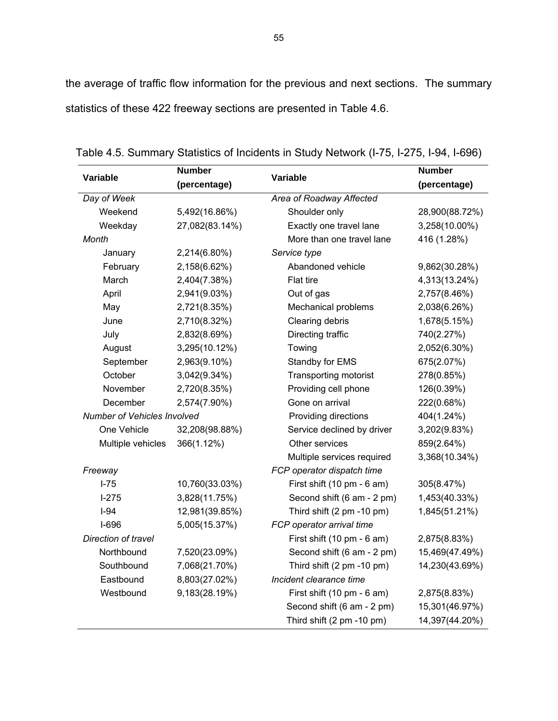the average of traffic flow information for the previous and next sections. The summary statistics of these 422 freeway sections are presented in Table 4.6.

| Variable                    | <b>Number</b>  | Variable                   | <b>Number</b>  |
|-----------------------------|----------------|----------------------------|----------------|
|                             | (percentage)   |                            | (percentage)   |
| Day of Week                 |                | Area of Roadway Affected   |                |
| Weekend                     | 5,492(16.86%)  | Shoulder only              | 28,900(88.72%) |
| Weekday                     | 27,082(83.14%) | Exactly one travel lane    | 3,258(10.00%)  |
| Month                       |                | More than one travel lane  | 416 (1.28%)    |
| January                     | 2,214(6.80%)   | Service type               |                |
| February                    | 2,158(6.62%)   | Abandoned vehicle          | 9,862(30.28%)  |
| March                       | 2,404(7.38%)   | Flat tire                  | 4,313(13.24%)  |
| April                       | 2,941(9.03%)   | Out of gas                 | 2,757(8.46%)   |
| May                         | 2,721(8.35%)   | Mechanical problems        | 2,038(6.26%)   |
| June                        | 2,710(8.32%)   | Clearing debris            | 1,678(5.15%)   |
| July                        | 2,832(8.69%)   | Directing traffic          | 740(2.27%)     |
| August                      | 3,295(10.12%)  | Towing                     | 2,052(6.30%)   |
| September                   | 2,963(9.10%)   | Standby for EMS            | 675(2.07%)     |
| October                     | 3,042(9.34%)   | Transporting motorist      | 278(0.85%)     |
| November                    | 2,720(8.35%)   | Providing cell phone       | 126(0.39%)     |
| December                    | 2,574(7.90%)   | Gone on arrival            | 222(0.68%)     |
| Number of Vehicles Involved |                | Providing directions       | 404(1.24%)     |
| One Vehicle                 | 32,208(98.88%) | Service declined by driver | 3,202(9.83%)   |
| Multiple vehicles           | 366(1.12%)     | Other services             | 859(2.64%)     |
|                             |                | Multiple services required | 3,368(10.34%)  |
| Freeway                     |                | FCP operator dispatch time |                |
| $I-75$                      | 10,760(33.03%) | First shift (10 pm - 6 am) | 305(8.47%)     |
| $1-275$                     | 3,828(11.75%)  | Second shift (6 am - 2 pm) | 1,453(40.33%)  |
| $I-94$                      | 12,981(39.85%) | Third shift (2 pm -10 pm)  | 1,845(51.21%)  |
| $I-696$                     | 5,005(15.37%)  | FCP operator arrival time  |                |
| Direction of travel         |                | First shift (10 pm - 6 am) | 2,875(8.83%)   |
| Northbound                  | 7,520(23.09%)  | Second shift (6 am - 2 pm) | 15,469(47.49%) |
| Southbound                  | 7,068(21.70%)  | Third shift (2 pm -10 pm)  | 14,230(43.69%) |
| Eastbound                   | 8,803(27.02%)  | Incident clearance time    |                |
| Westbound                   | 9,183(28.19%)  | First shift (10 pm - 6 am) | 2,875(8.83%)   |
|                             |                | Second shift (6 am - 2 pm) | 15,301(46.97%) |
|                             |                | Third shift (2 pm -10 pm)  | 14,397(44.20%) |

Table 4.5. Summary Statistics of Incidents in Study Network (I-75, I-275, I-94, I-696)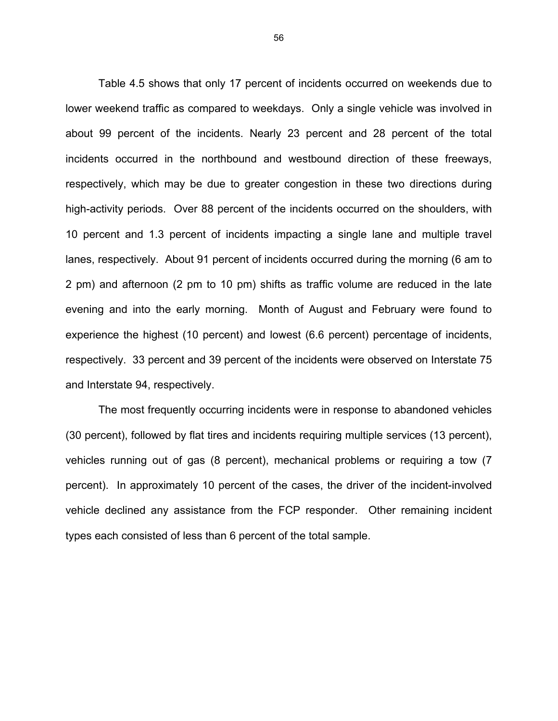Table 4.5 shows that only 17 percent of incidents occurred on weekends due to lower weekend traffic as compared to weekdays. Only a single vehicle was involved in about 99 percent of the incidents. Nearly 23 percent and 28 percent of the total incidents occurred in the northbound and westbound direction of these freeways, respectively, which may be due to greater congestion in these two directions during high-activity periods. Over 88 percent of the incidents occurred on the shoulders, with 10 percent and 1.3 percent of incidents impacting a single lane and multiple travel lanes, respectively. About 91 percent of incidents occurred during the morning (6 am to 2 pm) and afternoon (2 pm to 10 pm) shifts as traffic volume are reduced in the late evening and into the early morning. Month of August and February were found to experience the highest (10 percent) and lowest (6.6 percent) percentage of incidents, respectively. 33 percent and 39 percent of the incidents were observed on Interstate 75 and Interstate 94, respectively.

The most frequently occurring incidents were in response to abandoned vehicles (30 percent), followed by flat tires and incidents requiring multiple services (13 percent), vehicles running out of gas (8 percent), mechanical problems or requiring a tow (7 percent). In approximately 10 percent of the cases, the driver of the incident-involved vehicle declined any assistance from the FCP responder. Other remaining incident types each consisted of less than 6 percent of the total sample.

56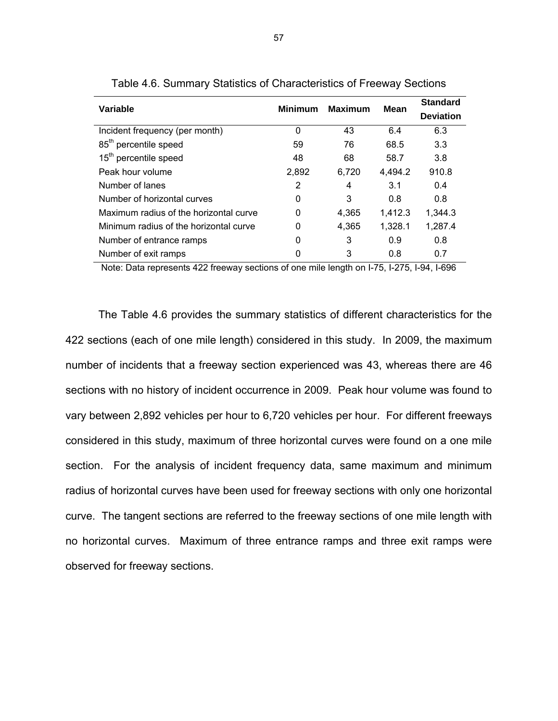| Variable                               | Minimum  | <b>Maximum</b> | Mean    | <b>Standard</b><br><b>Deviation</b> |
|----------------------------------------|----------|----------------|---------|-------------------------------------|
| Incident frequency (per month)         | $\Omega$ | 43             | 6.4     | 6.3                                 |
| 85 <sup>th</sup> percentile speed      | 59       | 76             | 68.5    | 3.3                                 |
| 15 <sup>th</sup> percentile speed      | 48       | 68             | 58.7    | 3.8                                 |
| Peak hour volume                       | 2,892    | 6,720          | 4,494.2 | 910.8                               |
| Number of lanes                        | 2        | 4              | 3.1     | 0.4                                 |
| Number of horizontal curves            | 0        | 3              | 0.8     | 0.8                                 |
| Maximum radius of the horizontal curve | $\Omega$ | 4.365          | 1.412.3 | 1,344.3                             |
| Minimum radius of the horizontal curve | 0        | 4.365          | 1,328.1 | 1,287.4                             |
| Number of entrance ramps               | 0        | 3              | 0.9     | 0.8                                 |
| Number of exit ramps                   |          | 3              | 0.8     | 0.7                                 |

Table 4.6. Summary Statistics of Characteristics of Freeway Sections

Note: Data represents 422 freeway sections of one mile length on I-75, I-275, I-94, I-696

The Table 4.6 provides the summary statistics of different characteristics for the 422 sections (each of one mile length) considered in this study. In 2009, the maximum number of incidents that a freeway section experienced was 43, whereas there are 46 sections with no history of incident occurrence in 2009. Peak hour volume was found to vary between 2,892 vehicles per hour to 6,720 vehicles per hour. For different freeways considered in this study, maximum of three horizontal curves were found on a one mile section. For the analysis of incident frequency data, same maximum and minimum radius of horizontal curves have been used for freeway sections with only one horizontal curve. The tangent sections are referred to the freeway sections of one mile length with no horizontal curves. Maximum of three entrance ramps and three exit ramps were observed for freeway sections.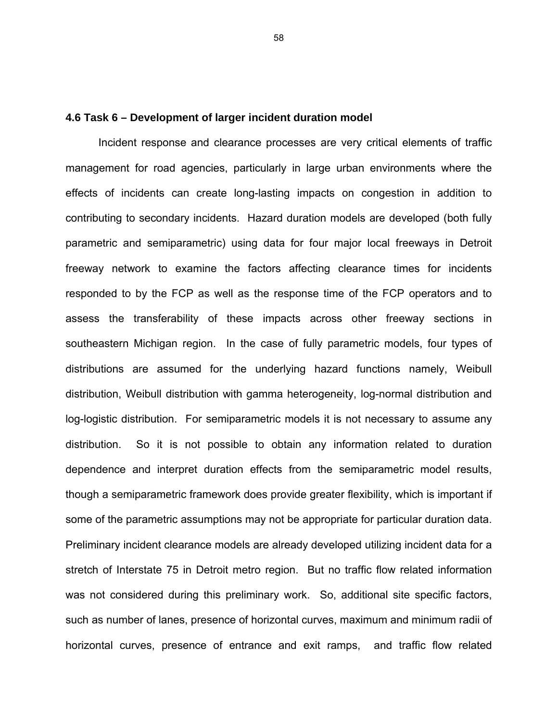#### **4.6 Task 6 – Development of larger incident duration model**

Incident response and clearance processes are very critical elements of traffic management for road agencies, particularly in large urban environments where the effects of incidents can create long-lasting impacts on congestion in addition to contributing to secondary incidents. Hazard duration models are developed (both fully parametric and semiparametric) using data for four major local freeways in Detroit freeway network to examine the factors affecting clearance times for incidents responded to by the FCP as well as the response time of the FCP operators and to assess the transferability of these impacts across other freeway sections in southeastern Michigan region. In the case of fully parametric models, four types of distributions are assumed for the underlying hazard functions namely, Weibull distribution, Weibull distribution with gamma heterogeneity, log-normal distribution and log-logistic distribution. For semiparametric models it is not necessary to assume any distribution. So it is not possible to obtain any information related to duration dependence and interpret duration effects from the semiparametric model results, though a semiparametric framework does provide greater flexibility, which is important if some of the parametric assumptions may not be appropriate for particular duration data. Preliminary incident clearance models are already developed utilizing incident data for a stretch of Interstate 75 in Detroit metro region. But no traffic flow related information was not considered during this preliminary work. So, additional site specific factors, such as number of lanes, presence of horizontal curves, maximum and minimum radii of horizontal curves, presence of entrance and exit ramps, and traffic flow related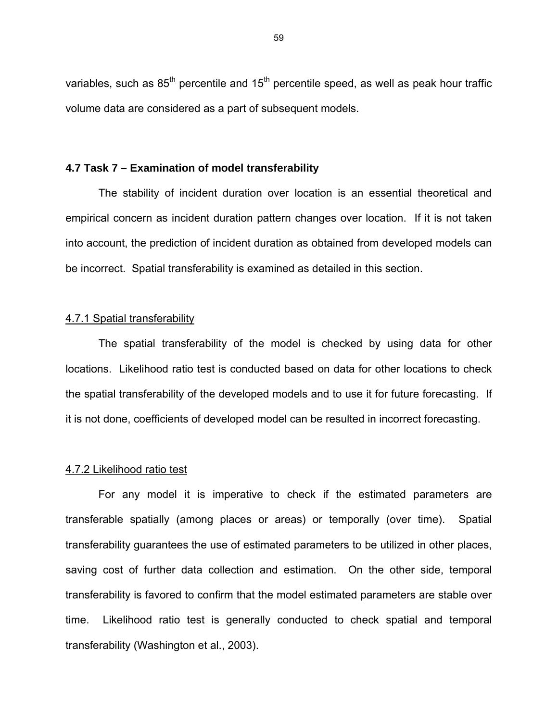variables, such as  $85<sup>th</sup>$  percentile and  $15<sup>th</sup>$  percentile speed, as well as peak hour traffic volume data are considered as a part of subsequent models.

### **4.7 Task 7 – Examination of model transferability**

The stability of incident duration over location is an essential theoretical and empirical concern as incident duration pattern changes over location. If it is not taken into account, the prediction of incident duration as obtained from developed models can be incorrect. Spatial transferability is examined as detailed in this section.

### 4.7.1 Spatial transferability

The spatial transferability of the model is checked by using data for other locations. Likelihood ratio test is conducted based on data for other locations to check the spatial transferability of the developed models and to use it for future forecasting. If it is not done, coefficients of developed model can be resulted in incorrect forecasting.

### 4.7.2 Likelihood ratio test

For any model it is imperative to check if the estimated parameters are transferable spatially (among places or areas) or temporally (over time). Spatial transferability guarantees the use of estimated parameters to be utilized in other places, saving cost of further data collection and estimation. On the other side, temporal transferability is favored to confirm that the model estimated parameters are stable over time. Likelihood ratio test is generally conducted to check spatial and temporal transferability (Washington et al., 2003).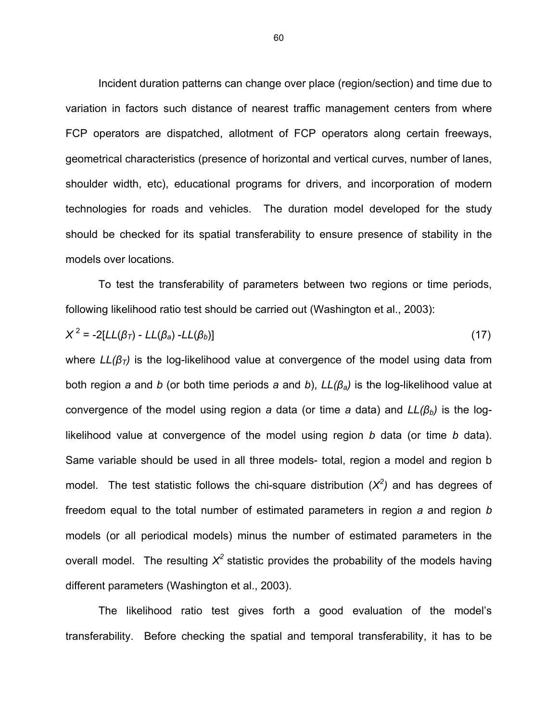Incident duration patterns can change over place (region/section) and time due to variation in factors such distance of nearest traffic management centers from where FCP operators are dispatched, allotment of FCP operators along certain freeways, geometrical characteristics (presence of horizontal and vertical curves, number of lanes, shoulder width, etc), educational programs for drivers, and incorporation of modern technologies for roads and vehicles. The duration model developed for the study should be checked for its spatial transferability to ensure presence of stability in the models over locations.

To test the transferability of parameters between two regions or time periods, following likelihood ratio test should be carried out (Washington et al., 2003):

$$
X^2 = -2[LL(\beta_T) - LL(\beta_a) - LL(\beta_b)]
$$
\n(17)

where *LL(βT)* is the log-likelihood value at convergence of the model using data from both region *a* and *b* (or both time periods *a* and *b*), *LL(βa)* is the log-likelihood value at convergence of the model using region *a* data (or time *a* data) and *LL(βb)* is the loglikelihood value at convergence of the model using region *b* data (or time *b* data). Same variable should be used in all three models- total, region a model and region b model. The test statistic follows the chi-square distribution  $(X^2)$  and has degrees of freedom equal to the total number of estimated parameters in region *a* and region *b* models (or all periodical models) minus the number of estimated parameters in the overall model. The resulting  $X^2$  statistic provides the probability of the models having different parameters (Washington et al., 2003).

The likelihood ratio test gives forth a good evaluation of the model's transferability. Before checking the spatial and temporal transferability, it has to be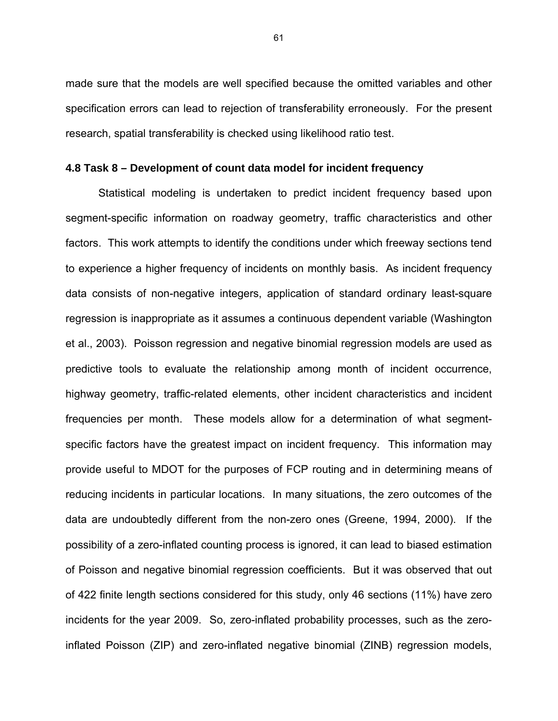made sure that the models are well specified because the omitted variables and other specification errors can lead to rejection of transferability erroneously. For the present research, spatial transferability is checked using likelihood ratio test.

### **4.8 Task 8 – Development of count data model for incident frequency**

Statistical modeling is undertaken to predict incident frequency based upon segment-specific information on roadway geometry, traffic characteristics and other factors. This work attempts to identify the conditions under which freeway sections tend to experience a higher frequency of incidents on monthly basis. As incident frequency data consists of non-negative integers, application of standard ordinary least-square regression is inappropriate as it assumes a continuous dependent variable (Washington et al., 2003). Poisson regression and negative binomial regression models are used as predictive tools to evaluate the relationship among month of incident occurrence, highway geometry, traffic-related elements, other incident characteristics and incident frequencies per month. These models allow for a determination of what segmentspecific factors have the greatest impact on incident frequency. This information may provide useful to MDOT for the purposes of FCP routing and in determining means of reducing incidents in particular locations. In many situations, the zero outcomes of the data are undoubtedly different from the non-zero ones (Greene, 1994, 2000). If the possibility of a zero-inflated counting process is ignored, it can lead to biased estimation of Poisson and negative binomial regression coefficients. But it was observed that out of 422 finite length sections considered for this study, only 46 sections (11%) have zero incidents for the year 2009. So, zero-inflated probability processes, such as the zeroinflated Poisson (ZIP) and zero-inflated negative binomial (ZINB) regression models,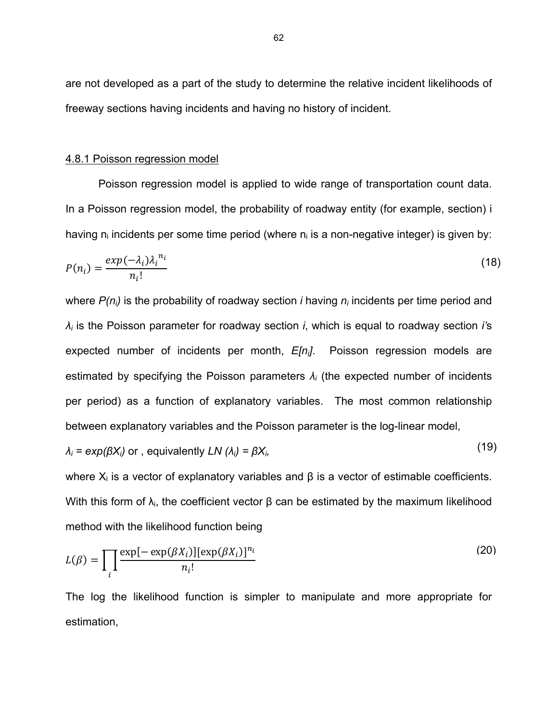are not developed as a part of the study to determine the relative incident likelihoods of freeway sections having incidents and having no history of incident.

### 4.8.1 Poisson regression model

Poisson regression model is applied to wide range of transportation count data. In a Poisson regression model, the probability of roadway entity (for example, section) i having  $n_i$  incidents per some time period (where  $n_i$  is a non-negative integer) is given by:

$$
P(n_i) = \frac{exp(-\lambda_i)\lambda_i^{n_i}}{n_i!}
$$
 (18)

where *P(ni)* is the probability of roadway section *i* having *ni* incidents per time period and *λi* is the Poisson parameter for roadway section *i*, which is equal to roadway section *i'*s expected number of incidents per month, *E[ni]*. Poisson regression models are estimated by specifying the Poisson parameters *λi* (the expected number of incidents per period) as a function of explanatory variables. The most common relationship between explanatory variables and the Poisson parameter is the log-linear model,

$$
\lambda_i = \exp(\beta X_i) \text{ or } \text{, equivalently } LN(\lambda_i) = \beta X_i,
$$
\n(19)

where  $X_i$  is a vector of explanatory variables and  $\beta$  is a vector of estimable coefficients. With this form of  $\lambda_i$ , the coefficient vector  $\beta$  can be estimated by the maximum likelihood method with the likelihood function being

$$
L(\beta) = \prod_{i} \frac{\exp[-\exp(\beta X_i)][\exp(\beta X_i)]^{n_i}}{n_i!}
$$
 (20)

The log the likelihood function is simpler to manipulate and more appropriate for estimation,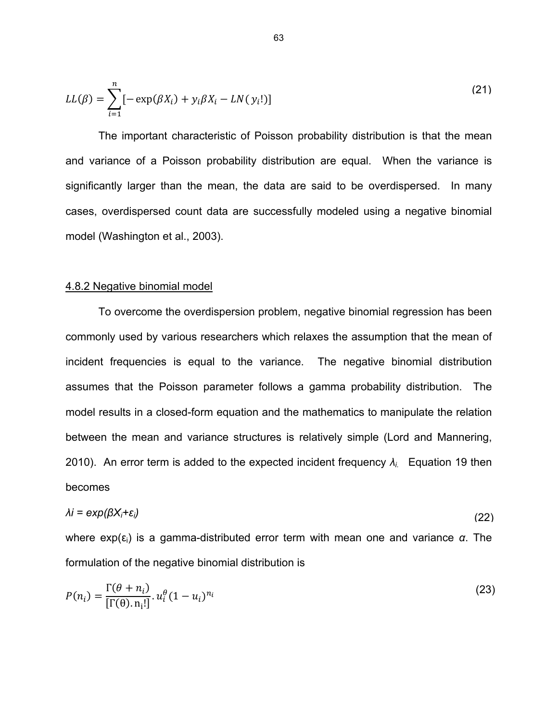$$
LL(\beta) = \sum_{i=1}^{n} [-\exp(\beta X_i) + y_i \beta X_i - LN(y_i!)]
$$
\n(21)

The important characteristic of Poisson probability distribution is that the mean and variance of a Poisson probability distribution are equal. When the variance is significantly larger than the mean, the data are said to be overdispersed. In many cases, overdispersed count data are successfully modeled using a negative binomial model (Washington et al., 2003).

#### 4.8.2 Negative binomial model

To overcome the overdispersion problem, negative binomial regression has been commonly used by various researchers which relaxes the assumption that the mean of incident frequencies is equal to the variance. The negative binomial distribution assumes that the Poisson parameter follows a gamma probability distribution. The model results in a closed-form equation and the mathematics to manipulate the relation between the mean and variance structures is relatively simple (Lord and Mannering, 2010). An error term is added to the expected incident frequency *λi.* Equation 19 then becomes

$$
\lambda i = \exp(\beta X_i + \varepsilon_i) \tag{22}
$$

where exp(εi) is a gamma-distributed error term with mean one and variance *α*. The formulation of the negative binomial distribution is

$$
P(n_i) = \frac{\Gamma(\theta + n_i)}{[\Gamma(\theta), n_i!]} \cdot u_i^{\theta} (1 - u_i)^{n_i}
$$
\n(23)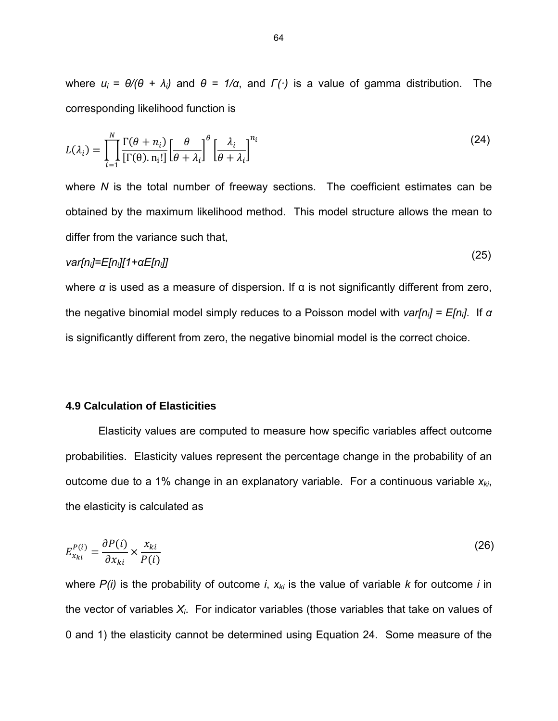where  $u_i = θ/θ + λ_i$  and  $θ = 1/α$ , and  $Γ(·)$  is a value of gamma distribution. The corresponding likelihood function is

$$
L(\lambda_i) = \prod_{i=1}^{N} \frac{\Gamma(\theta + n_i)}{[\Gamma(\theta), n_i!]} \left[\frac{\theta}{\theta + \lambda_i}\right]^{\theta} \left[\frac{\lambda_i}{\theta + \lambda_i}\right]^{n_i}
$$
(24)

where *N* is the total number of freeway sections. The coefficient estimates can be obtained by the maximum likelihood method. This model structure allows the mean to differ from the variance such that,

$$
var[n_j] = E[n_j][1 + \alpha E[n_j]]
$$
 (23)

 $(25)$ 

where  $\alpha$  is used as a measure of dispersion. If  $\alpha$  is not significantly different from zero, the negative binomial model simply reduces to a Poisson model with *var[ni] = E[ni]*. If *α* is significantly different from zero, the negative binomial model is the correct choice.

# **4.9 Calculation of Elasticities**

Elasticity values are computed to measure how specific variables affect outcome probabilities. Elasticity values represent the percentage change in the probability of an outcome due to a 1% change in an explanatory variable. For a continuous variable  $x_{ki}$ , the elasticity is calculated as

$$
E_{x_{ki}}^{P(i)} = \frac{\partial P(i)}{\partial x_{ki}} \times \frac{x_{ki}}{P(i)}
$$
(26)

where  $P(i)$  is the probability of outcome *i*,  $x_{ki}$  is the value of variable *k* for outcome *i* in the vector of variables *Xi*. For indicator variables (those variables that take on values of 0 and 1) the elasticity cannot be determined using Equation 24. Some measure of the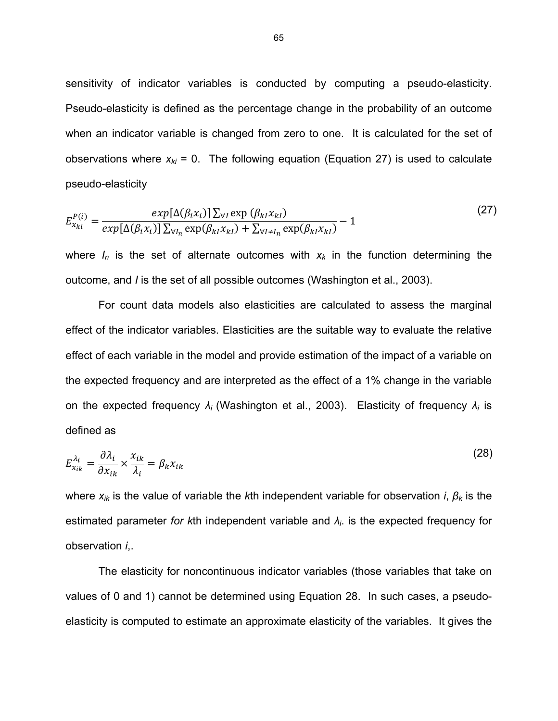sensitivity of indicator variables is conducted by computing a pseudo-elasticity. Pseudo-elasticity is defined as the percentage change in the probability of an outcome when an indicator variable is changed from zero to one. It is calculated for the set of observations where  $x_{ki} = 0$ . The following equation (Equation 27) is used to calculate pseudo-elasticity

$$
E_{x_{ki}}^{P(i)} = \frac{\exp[\Delta(\beta_i x_i)] \sum_{\forall l} \exp(\beta_{kl} x_{kl})}{\exp[\Delta(\beta_i x_i)] \sum_{\forall l_n} \exp(\beta_{kl} x_{kl}) + \sum_{\forall l \neq l_n} \exp(\beta_{kl} x_{kl})} - 1
$$
\n(27)

where  $I_n$  is the set of alternate outcomes with  $x_k$  in the function determining the outcome, and *I* is the set of all possible outcomes (Washington et al., 2003).

For count data models also elasticities are calculated to assess the marginal effect of the indicator variables. Elasticities are the suitable way to evaluate the relative effect of each variable in the model and provide estimation of the impact of a variable on the expected frequency and are interpreted as the effect of a 1% change in the variable on the expected frequency *λi* (Washington et al., 2003). Elasticity of frequency *λi* is defined as

$$
E_{x_{ik}}^{\lambda_i} = \frac{\partial \lambda_i}{\partial x_{ik}} \times \frac{x_{ik}}{\lambda_i} = \beta_k x_{ik}
$$
 (28)

where *xik* is the value of variable the *k*th independent variable for observation *i*, *β<sup>k</sup>* is the estimated parameter *for k*th independent variable and *λi*. is the expected frequency for observation *i*,.

The elasticity for noncontinuous indicator variables (those variables that take on values of 0 and 1) cannot be determined using Equation 28. In such cases, a pseudoelasticity is computed to estimate an approximate elasticity of the variables. It gives the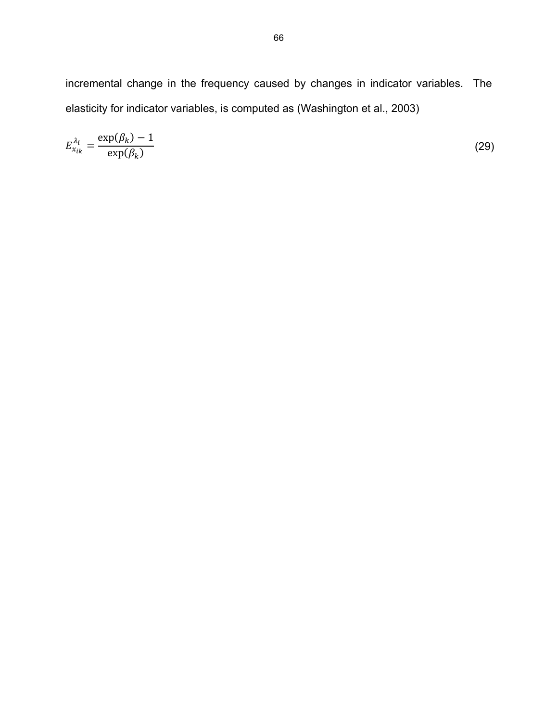incremental change in the frequency caused by changes in indicator variables. The elasticity for indicator variables, is computed as (Washington et al., 2003)

$$
E_{x_{ik}}^{\lambda_i} = \frac{\exp(\beta_k) - 1}{\exp(\beta_k)}\tag{29}
$$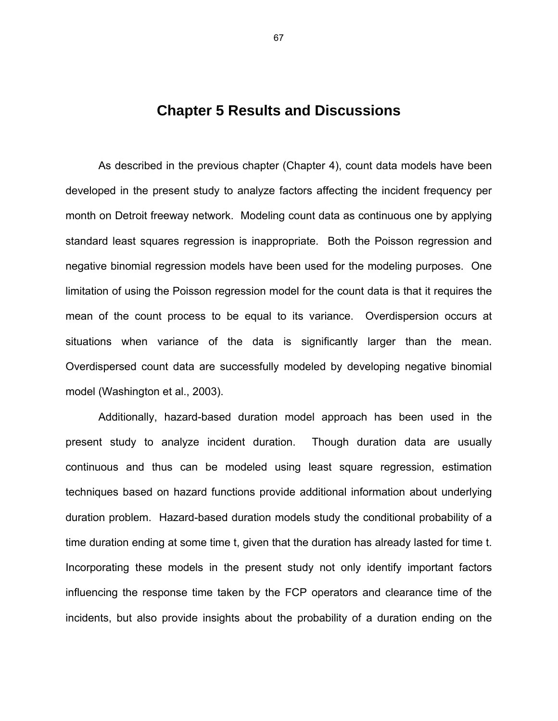# **Chapter 5 Results and Discussions**

As described in the previous chapter (Chapter 4), count data models have been developed in the present study to analyze factors affecting the incident frequency per month on Detroit freeway network. Modeling count data as continuous one by applying standard least squares regression is inappropriate. Both the Poisson regression and negative binomial regression models have been used for the modeling purposes. One limitation of using the Poisson regression model for the count data is that it requires the mean of the count process to be equal to its variance. Overdispersion occurs at situations when variance of the data is significantly larger than the mean. Overdispersed count data are successfully modeled by developing negative binomial model (Washington et al., 2003).

Additionally, hazard-based duration model approach has been used in the present study to analyze incident duration. Though duration data are usually continuous and thus can be modeled using least square regression, estimation techniques based on hazard functions provide additional information about underlying duration problem. Hazard-based duration models study the conditional probability of a time duration ending at some time t, given that the duration has already lasted for time t. Incorporating these models in the present study not only identify important factors influencing the response time taken by the FCP operators and clearance time of the incidents, but also provide insights about the probability of a duration ending on the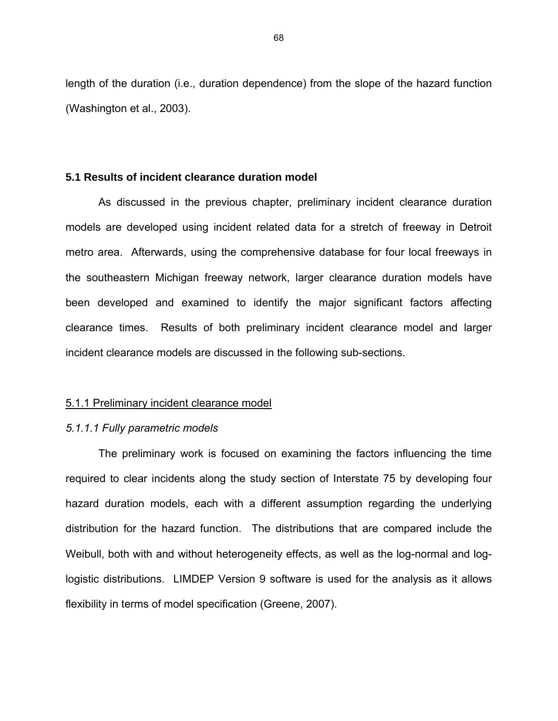length of the duration (i.e., duration dependence) from the slope of the hazard function (Washington et al., 2003).

# **5.1 Results of incident clearance duration model**

As discussed in the previous chapter, preliminary incident clearance duration models are developed using incident related data for a stretch of freeway in Detroit metro area. Afterwards, using the comprehensive database for four local freeways in the southeastern Michigan freeway network, larger clearance duration models have been developed and examined to identify the major significant factors affecting clearance times. Results of both preliminary incident clearance model and larger incident clearance models are discussed in the following sub-sections.

# 5.1.1 Preliminary incident clearance model

### *5.1.1.1 Fully parametric models*

The preliminary work is focused on examining the factors influencing the time required to clear incidents along the study section of Interstate 75 by developing four hazard duration models, each with a different assumption regarding the underlying distribution for the hazard function. The distributions that are compared include the Weibull, both with and without heterogeneity effects, as well as the log-normal and loglogistic distributions. LIMDEP Version 9 software is used for the analysis as it allows flexibility in terms of model specification (Greene, 2007).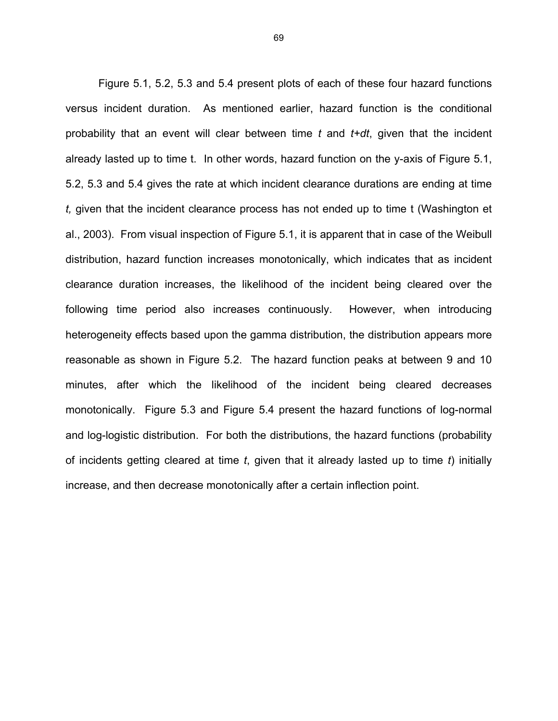Figure 5.1, 5.2, 5.3 and 5.4 present plots of each of these four hazard functions versus incident duration. As mentioned earlier, hazard function is the conditional probability that an event will clear between time *t* and *t+dt*, given that the incident already lasted up to time t. In other words, hazard function on the y-axis of Figure 5.1, 5.2, 5.3 and 5.4 gives the rate at which incident clearance durations are ending at time *t,* given that the incident clearance process has not ended up to time t (Washington et al., 2003). From visual inspection of Figure 5.1, it is apparent that in case of the Weibull distribution, hazard function increases monotonically, which indicates that as incident clearance duration increases, the likelihood of the incident being cleared over the following time period also increases continuously. However, when introducing heterogeneity effects based upon the gamma distribution, the distribution appears more reasonable as shown in Figure 5.2. The hazard function peaks at between 9 and 10 minutes, after which the likelihood of the incident being cleared decreases monotonically. Figure 5.3 and Figure 5.4 present the hazard functions of log-normal and log-logistic distribution. For both the distributions, the hazard functions (probability of incidents getting cleared at time *t*, given that it already lasted up to time *t*) initially increase, and then decrease monotonically after a certain inflection point.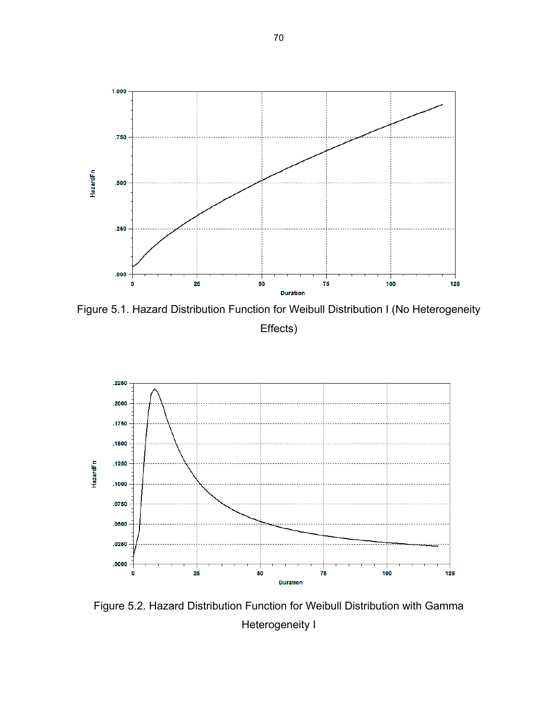

Figure 5.1. Hazard Distribution Function for Weibull Distribution I (No Heterogeneity Effects)



Figure 5.2. Hazard Distribution Function for Weibull Distribution with Gamma Heterogeneity I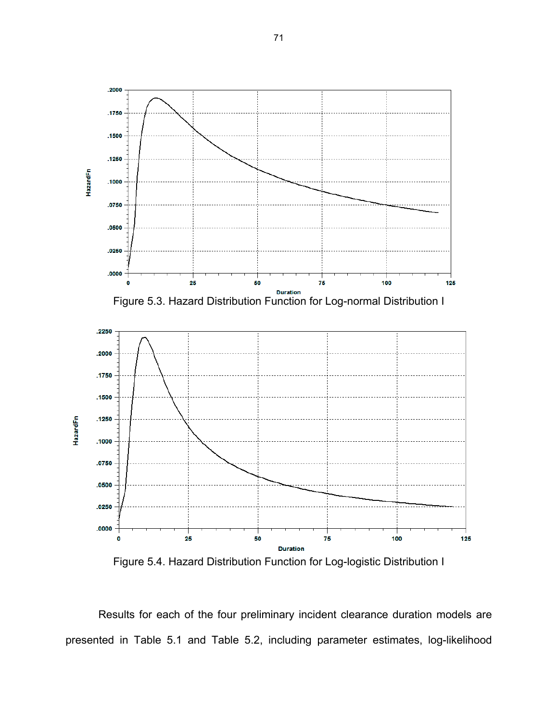

Figure 5.4. Hazard Distribution Function for Log-logistic Distribution I

Results for each of the four preliminary incident clearance duration models are presented in Table 5.1 and Table 5.2, including parameter estimates, log-likelihood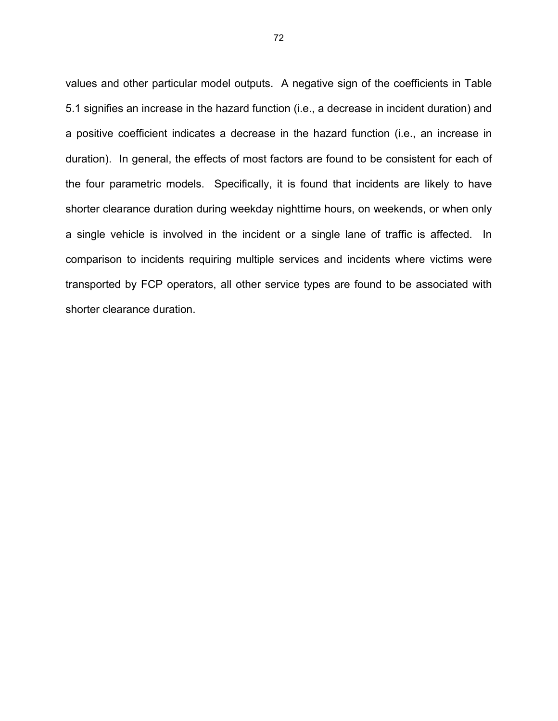values and other particular model outputs. A negative sign of the coefficients in Table 5.1 signifies an increase in the hazard function (i.e., a decrease in incident duration) and a positive coefficient indicates a decrease in the hazard function (i.e., an increase in duration). In general, the effects of most factors are found to be consistent for each of the four parametric models. Specifically, it is found that incidents are likely to have shorter clearance duration during weekday nighttime hours, on weekends, or when only a single vehicle is involved in the incident or a single lane of traffic is affected. In comparison to incidents requiring multiple services and incidents where victims were transported by FCP operators, all other service types are found to be associated with shorter clearance duration.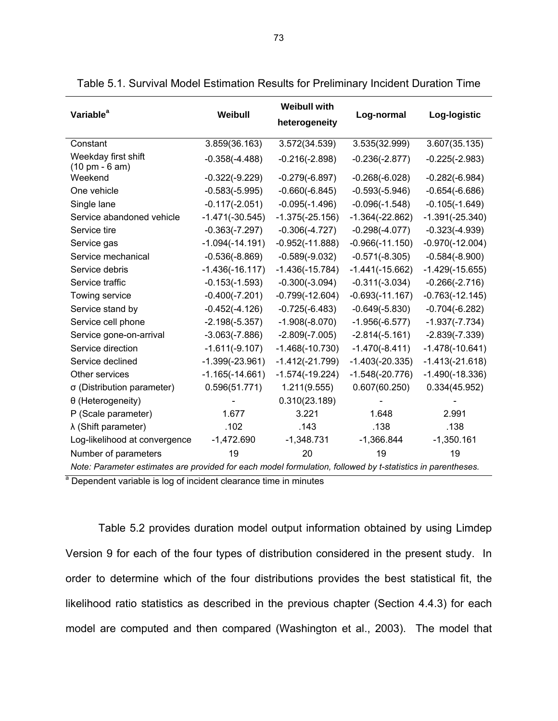| Variable <sup>a</sup>                                   | Weibull                                                                                                     | <b>Weibull with</b><br>heterogeneity | Log-normal        | Log-logistic      |  |
|---------------------------------------------------------|-------------------------------------------------------------------------------------------------------------|--------------------------------------|-------------------|-------------------|--|
| Constant                                                | 3.859(36.163)                                                                                               | 3.572(34.539)                        | 3.535(32.999)     | 3.607(35.135)     |  |
| Weekday first shift<br>$(10 \text{ pm} - 6 \text{ am})$ | $-0.358(-4.488)$                                                                                            | $-0.216(-2.898)$                     | $-0.236(-2.877)$  | $-0.225(-2.983)$  |  |
| Weekend                                                 | $-0.322(-9.229)$                                                                                            | $-0.279(-6.897)$                     | $-0.268(-6.028)$  | $-0.282(-6.984)$  |  |
| One vehicle                                             | $-0.583(-5.995)$                                                                                            | $-0.660(-6.845)$                     | $-0.593(-5.946)$  | $-0.654(-6.686)$  |  |
| Single lane                                             | $-0.117(-2.051)$                                                                                            | $-0.095(-1.496)$                     | $-0.096(-1.548)$  | $-0.105(-1.649)$  |  |
| Service abandoned vehicle                               | $-1.471(-30.545)$                                                                                           | $-1.375(-25.156)$                    | $-1.364(-22.862)$ | $-1.391(-25.340)$ |  |
| Service tire                                            | $-0.363(-7.297)$                                                                                            | $-0.306(-4.727)$                     | $-0.298(-4.077)$  | $-0.323(-4.939)$  |  |
| Service gas                                             | $-1.094(-14.191)$                                                                                           | $-0.952(-11.888)$                    | $-0.966(-11.150)$ | $-0.970(-12.004)$ |  |
| Service mechanical                                      | $-0.536(-8.869)$                                                                                            | $-0.589(-9.032)$                     | $-0.571(-8.305)$  | $-0.584(-8.900)$  |  |
| Service debris                                          | $-1.436(-16.117)$                                                                                           | $-1.436(-15.784)$                    | $-1.441(-15.662)$ | $-1.429(-15.655)$ |  |
| Service traffic                                         | $-0.153(-1.593)$                                                                                            | $-0.300(-3.094)$                     | $-0.311(-3.034)$  | $-0.266(-2.716)$  |  |
| Towing service                                          | $-0.400(-7.201)$                                                                                            | $-0.799(-12.604)$                    | $-0.693(-11.167)$ | $-0.763(-12.145)$ |  |
| Service stand by                                        | $-0.452(-4.126)$                                                                                            | $-0.725(-6.483)$                     | $-0.649(-5.830)$  | $-0.704(-6.282)$  |  |
| Service cell phone                                      | $-2.198(-5.357)$                                                                                            | $-1.908(-8.070)$                     | $-1.956(-6.577)$  | $-1.937(-7.734)$  |  |
| Service gone-on-arrival                                 | $-3.063(-7.886)$                                                                                            | $-2.809(-7.005)$                     | $-2.814(-5.161)$  | $-2.839(-7.339)$  |  |
| Service direction                                       | $-1.611(-9.107)$                                                                                            | $-1.468(-10.730)$                    | $-1.470(-8.411)$  | $-1.478(-10.641)$ |  |
| Service declined                                        | $-1.399(-23.961)$                                                                                           | $-1.412(-21.799)$                    | $-1.403(-20.335)$ | $-1.413(-21.618)$ |  |
| Other services                                          | $-1.165(-14.661)$                                                                                           | $-1.574(-19.224)$                    | $-1.548(-20.776)$ | $-1.490(-18.336)$ |  |
| σ (Distribution parameter)                              | 0.596(51.771)                                                                                               | 1.211(9.555)                         | 0.607(60.250)     | 0.334(45.952)     |  |
| θ (Heterogeneity)                                       |                                                                                                             | 0.310(23.189)                        |                   |                   |  |
| P (Scale parameter)                                     | 1.677                                                                                                       | 3.221                                | 1.648             | 2.991             |  |
| $\lambda$ (Shift parameter)                             | .102                                                                                                        | .143                                 | .138              | .138              |  |
| Log-likelihood at convergence                           | $-1,472.690$                                                                                                | $-1,348.731$                         | $-1,366.844$      | $-1,350.161$      |  |
| Number of parameters                                    | 19                                                                                                          | 20                                   | 19                | 19                |  |
|                                                         | Note: Parameter estimates are provided for each model formulation, followed by t-statistics in parentheses. |                                      |                   |                   |  |

Table 5.1. Survival Model Estimation Results for Preliminary Incident Duration Time

<sup>a</sup> Dependent variable is log of incident clearance time in minutes

Table 5.2 provides duration model output information obtained by using Limdep Version 9 for each of the four types of distribution considered in the present study. In order to determine which of the four distributions provides the best statistical fit, the likelihood ratio statistics as described in the previous chapter (Section 4.4.3) for each model are computed and then compared (Washington et al., 2003). The model that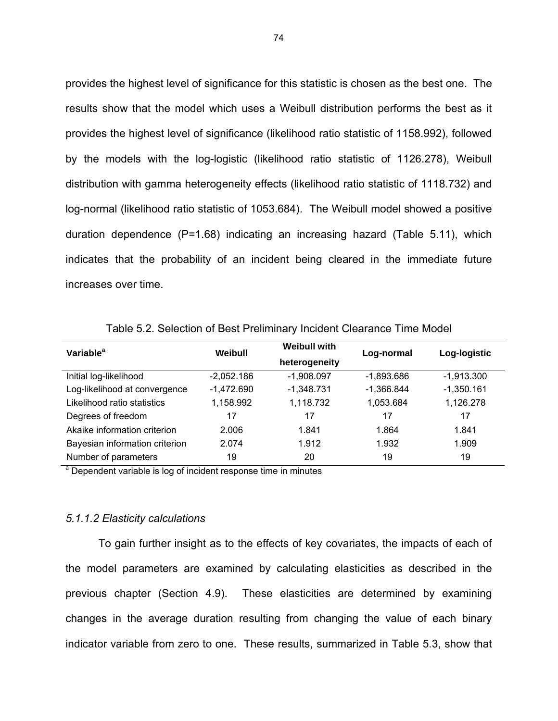provides the highest level of significance for this statistic is chosen as the best one. The results show that the model which uses a Weibull distribution performs the best as it provides the highest level of significance (likelihood ratio statistic of 1158.992), followed by the models with the log-logistic (likelihood ratio statistic of 1126.278), Weibull distribution with gamma heterogeneity effects (likelihood ratio statistic of 1118.732) and log-normal (likelihood ratio statistic of 1053.684). The Weibull model showed a positive duration dependence (P=1.68) indicating an increasing hazard (Table 5.11), which indicates that the probability of an incident being cleared in the immediate future increases over time.

Table 5.2. Selection of Best Preliminary Incident Clearance Time Model

| Variable <sup>a</sup>          | Weibull      | <b>Weibull with</b> | Log-normal | Log-logistic |
|--------------------------------|--------------|---------------------|------------|--------------|
|                                |              | heterogeneity       |            |              |
| Initial log-likelihood         | $-2,052.186$ | $-1,908.097$        | -1,893.686 | $-1,913.300$ |
| Log-likelihood at convergence  | $-1,472.690$ | $-1,348.731$        | -1,366.844 | $-1,350.161$ |
| Likelihood ratio statistics    | 1,158.992    | 1,118.732           | 1,053.684  | 1,126.278    |
| Degrees of freedom             | 17           | 17                  | 17         | 17           |
| Akaike information criterion   | 2.006        | 1.841               | 1.864      | 1.841        |
| Bayesian information criterion | 2.074        | 1.912               | 1.932      | 1.909        |
| Number of parameters           | 19           | 20                  | 19         | 19           |

<sup>a</sup> Dependent variable is log of incident response time in minutes

#### *5.1.1.2 Elasticity calculations*

To gain further insight as to the effects of key covariates, the impacts of each of the model parameters are examined by calculating elasticities as described in the previous chapter (Section 4.9). These elasticities are determined by examining changes in the average duration resulting from changing the value of each binary indicator variable from zero to one. These results, summarized in Table 5.3, show that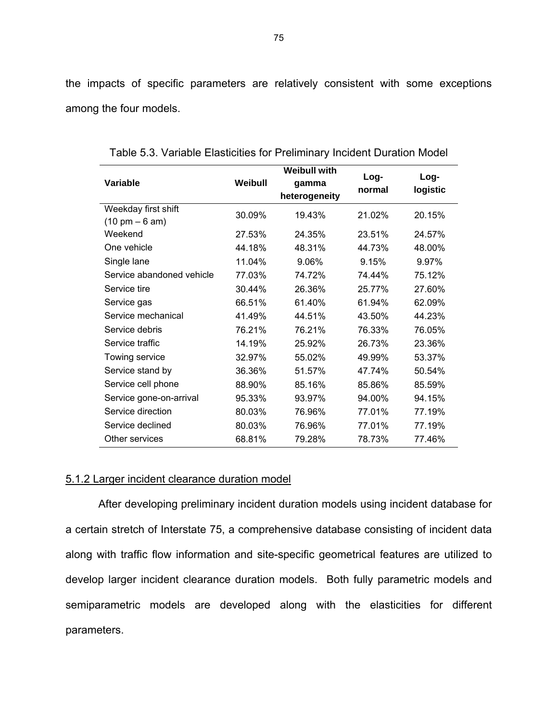the impacts of specific parameters are relatively consistent with some exceptions among the four models.

|                                  |         | <b>Weibull with</b> |                |                  |
|----------------------------------|---------|---------------------|----------------|------------------|
| Variable                         | Weibull | gamma               | Log-<br>normal | Log-<br>logistic |
|                                  |         | heterogeneity       |                |                  |
| Weekday first shift              | 30.09%  | 19.43%              | 21.02%         | 20.15%           |
| $(10 \text{ pm} - 6 \text{ am})$ |         |                     |                |                  |
| Weekend                          | 27.53%  | 24.35%              | 23.51%         | 24.57%           |
| One vehicle                      | 44.18%  | 48.31%              | 44.73%         | 48.00%           |
| Single lane                      | 11.04%  | 9.06%               | 9.15%          | 9.97%            |
| Service abandoned vehicle        | 77.03%  | 74.72%              | 74.44%         | 75.12%           |
| Service tire                     | 30.44%  | 26.36%              | 25.77%         | 27.60%           |
| Service gas                      | 66.51%  | 61.40%              | 61.94%         | 62.09%           |
| Service mechanical               | 41.49%  | 44.51%              | 43.50%         | 44.23%           |
| Service debris                   | 76.21%  | 76.21%              | 76.33%         | 76.05%           |
| Service traffic                  | 14.19%  | 25.92%              | 26.73%         | 23.36%           |
| Towing service                   | 32.97%  | 55.02%              | 49.99%         | 53.37%           |
| Service stand by                 | 36.36%  | 51.57%              | 47.74%         | 50.54%           |
| Service cell phone               | 88.90%  | 85.16%              | 85.86%         | 85.59%           |
| Service gone-on-arrival          | 95.33%  | 93.97%              | 94.00%         | 94.15%           |
| Service direction                | 80.03%  | 76.96%              | 77.01%         | 77.19%           |
| Service declined                 | 80.03%  | 76.96%              | 77.01%         | 77.19%           |
| Other services                   | 68.81%  | 79.28%              | 78.73%         | 77.46%           |

Table 5.3. Variable Elasticities for Preliminary Incident Duration Model

# 5.1.2 Larger incident clearance duration model

After developing preliminary incident duration models using incident database for a certain stretch of Interstate 75, a comprehensive database consisting of incident data along with traffic flow information and site-specific geometrical features are utilized to develop larger incident clearance duration models. Both fully parametric models and semiparametric models are developed along with the elasticities for different parameters.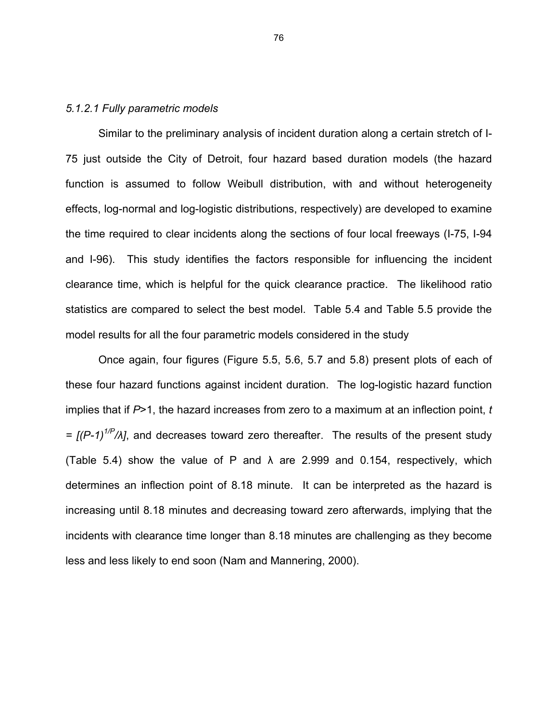### *5.1.2.1 Fully parametric models*

Similar to the preliminary analysis of incident duration along a certain stretch of I-75 just outside the City of Detroit, four hazard based duration models (the hazard function is assumed to follow Weibull distribution, with and without heterogeneity effects, log-normal and log-logistic distributions, respectively) are developed to examine the time required to clear incidents along the sections of four local freeways (I-75, I-94 and I-96). This study identifies the factors responsible for influencing the incident clearance time, which is helpful for the quick clearance practice. The likelihood ratio statistics are compared to select the best model. Table 5.4 and Table 5.5 provide the model results for all the four parametric models considered in the study

Once again, four figures (Figure 5.5, 5.6, 5.7 and 5.8) present plots of each of these four hazard functions against incident duration. The log-logistic hazard function implies that if *P*>1, the hazard increases from zero to a maximum at an inflection point, *t*   $=$   $[(P-1)^{1/P}/\lambda]$ , and decreases toward zero thereafter. The results of the present study (Table 5.4) show the value of P and  $\lambda$  are 2.999 and 0.154, respectively, which determines an inflection point of 8.18 minute. It can be interpreted as the hazard is increasing until 8.18 minutes and decreasing toward zero afterwards, implying that the incidents with clearance time longer than 8.18 minutes are challenging as they become less and less likely to end soon (Nam and Mannering, 2000).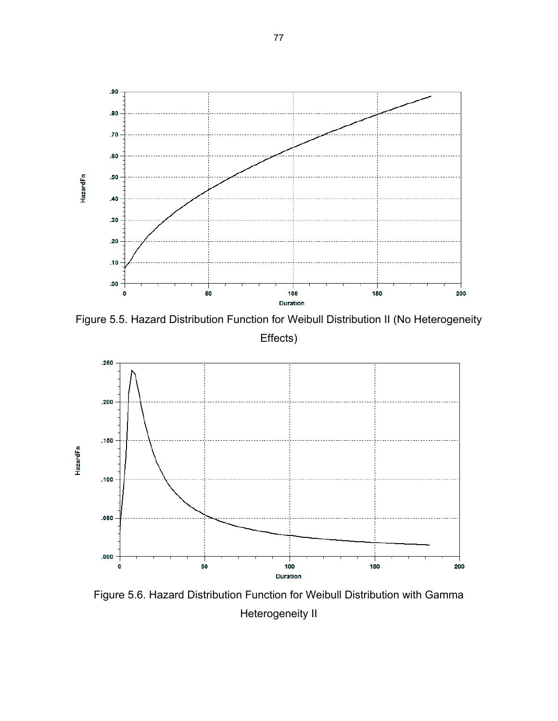

Figure 5.5. Hazard Distribution Function for Weibull Distribution II (No Heterogeneity Effects)



Figure 5.6. Hazard Distribution Function for Weibull Distribution with Gamma Heterogeneity II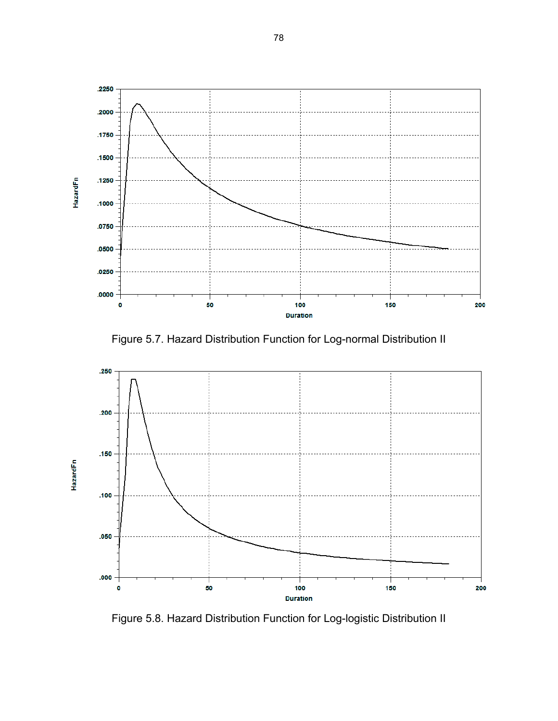

Figure 5.7. Hazard Distribution Function for Log-normal Distribution II



Figure 5.8. Hazard Distribution Function for Log-logistic Distribution II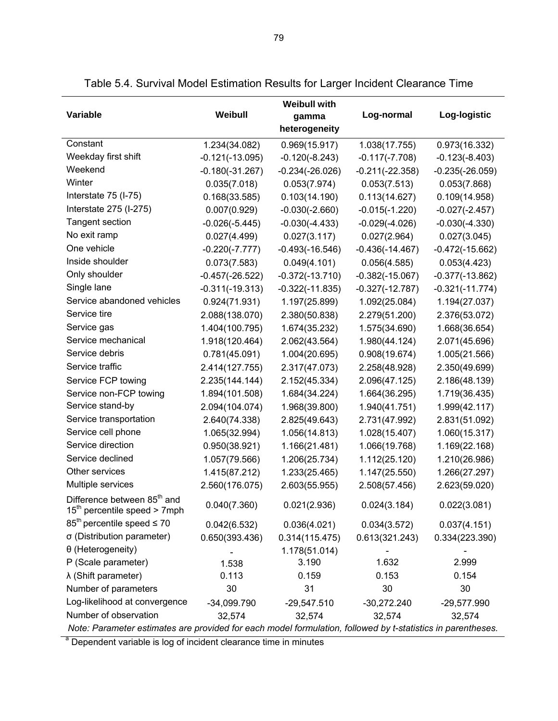| Variable                                                                  | Weibull           | <b>Weibull with</b><br>gamma<br>heterogeneity | Log-normal        | Log-logistic                                                                                                |  |  |  |  |  |  |
|---------------------------------------------------------------------------|-------------------|-----------------------------------------------|-------------------|-------------------------------------------------------------------------------------------------------------|--|--|--|--|--|--|
| Constant                                                                  | 1.234(34.082)     | 0.969(15.917)                                 | 1.038(17.755)     | 0.973(16.332)                                                                                               |  |  |  |  |  |  |
| Weekday first shift                                                       | $-0.121(-13.095)$ | $-0.120(-8.243)$                              | $-0.117(-7.708)$  | $-0.123(-8.403)$                                                                                            |  |  |  |  |  |  |
| Weekend                                                                   | $-0.180(-31.267)$ | $-0.234(-26.026)$                             | $-0.211(-22.358)$ | $-0.235(-26.059)$                                                                                           |  |  |  |  |  |  |
| Winter                                                                    | 0.035(7.018)      | 0.053(7.974)                                  | 0.053(7.513)      | 0.053(7.868)                                                                                                |  |  |  |  |  |  |
| Interstate 75 (I-75)                                                      | 0.168(33.585)     | 0.103(14.190)                                 | 0.113(14.627)     | 0.109(14.958)                                                                                               |  |  |  |  |  |  |
| Interstate 275 (I-275)                                                    | 0.007(0.929)      | $-0.030(-2.660)$                              | $-0.015(-1.220)$  | $-0.027(-2.457)$                                                                                            |  |  |  |  |  |  |
| Tangent section                                                           | $-0.026(-5.445)$  | $-0.030(-4.433)$                              | $-0.029(-4.026)$  | $-0.030(-4.330)$                                                                                            |  |  |  |  |  |  |
| No exit ramp                                                              | 0.027(4.499)      | 0.027(3.117)                                  | 0.027(2.964)      | 0.027(3.045)                                                                                                |  |  |  |  |  |  |
| One vehicle                                                               | $-0.220(-7.777)$  | $-0.493(-16.546)$                             | $-0.436(-14.467)$ | $-0.472(-15.662)$                                                                                           |  |  |  |  |  |  |
| Inside shoulder                                                           | 0.073(7.583)      | 0.049(4.101)                                  | 0.056(4.585)      | 0.053(4.423)                                                                                                |  |  |  |  |  |  |
| Only shoulder                                                             | $-0.457(-26.522)$ | $-0.372(-13.710)$                             | $-0.382(-15.067)$ | $-0.377(-13.862)$                                                                                           |  |  |  |  |  |  |
| Single lane                                                               | $-0.311(-19.313)$ | $-0.322(-11.835)$                             | $-0.327(-12.787)$ | $-0.321(-11.774)$                                                                                           |  |  |  |  |  |  |
| Service abandoned vehicles                                                | 0.924(71.931)     | 1.197(25.899)                                 | 1.092(25.084)     | 1.194(27.037)                                                                                               |  |  |  |  |  |  |
| Service tire                                                              | 2.088(138.070)    | 2.380(50.838)                                 | 2.279(51.200)     | 2.376(53.072)                                                                                               |  |  |  |  |  |  |
| Service gas                                                               | 1.404(100.795)    | 1.674(35.232)                                 | 1.575(34.690)     | 1.668(36.654)                                                                                               |  |  |  |  |  |  |
| Service mechanical                                                        | 1.918(120.464)    | 2.062(43.564)                                 | 1.980(44.124)     | 2.071(45.696)                                                                                               |  |  |  |  |  |  |
| Service debris                                                            | 0.781(45.091)     | 1.004(20.695)                                 | 0.908(19.674)     | 1.005(21.566)                                                                                               |  |  |  |  |  |  |
| Service traffic                                                           | 2.414(127.755)    | 2.317(47.073)                                 | 2.258(48.928)     | 2.350(49.699)                                                                                               |  |  |  |  |  |  |
| Service FCP towing                                                        | 2.235(144.144)    | 2.152(45.334)                                 | 2.096(47.125)     | 2.186(48.139)                                                                                               |  |  |  |  |  |  |
| Service non-FCP towing                                                    | 1.894(101.508)    | 1.684(34.224)                                 | 1.664(36.295)     | 1.719(36.435)                                                                                               |  |  |  |  |  |  |
| Service stand-by                                                          | 2.094(104.074)    | 1.968(39.800)                                 | 1.940(41.751)     | 1.999(42.117)                                                                                               |  |  |  |  |  |  |
| Service transportation                                                    | 2.640(74.338)     | 2.825(49.643)                                 | 2.731(47.992)     | 2.831(51.092)                                                                                               |  |  |  |  |  |  |
| Service cell phone                                                        | 1.065(32.994)     | 1.056(14.813)                                 | 1.028(15.407)     | 1.060(15.317)                                                                                               |  |  |  |  |  |  |
| Service direction                                                         | 0.950(38.921)     | 1.166(21.481)                                 | 1.066(19.768)     | 1.169(22.168)                                                                                               |  |  |  |  |  |  |
| Service declined                                                          | 1.057(79.566)     | 1.206(25.734)                                 | 1.112(25.120)     | 1.210(26.986)                                                                                               |  |  |  |  |  |  |
| Other services                                                            | 1.415(87.212)     | 1.233(25.465)                                 | 1.147(25.550)     | 1.266(27.297)                                                                                               |  |  |  |  |  |  |
| Multiple services                                                         | 2.560(176.075)    | 2.603(55.955)                                 | 2.508(57.456)     | 2.623(59.020)                                                                                               |  |  |  |  |  |  |
| Difference between 85 <sup>th</sup> and<br>$15th$ percentile speed > 7mph | 0.040(7.360)      | 0.021(2.936)                                  | 0.024(3.184)      | 0.022(3.081)                                                                                                |  |  |  |  |  |  |
| $85th$ percentile speed $\leq 70$                                         | 0.042(6.532)      | 0.036(4.021)                                  | 0.034(3.572)      | 0.037(4.151)                                                                                                |  |  |  |  |  |  |
| σ (Distribution parameter)                                                | 0.650(393.436)    | 0.314(115.475)                                | 0.613(321.243)    | 0.334(223.390)                                                                                              |  |  |  |  |  |  |
| θ (Heterogeneity)                                                         |                   | 1.178(51.014)                                 |                   |                                                                                                             |  |  |  |  |  |  |
| P (Scale parameter)                                                       | 1.538             | 3.190                                         | 1.632             | 2.999                                                                                                       |  |  |  |  |  |  |
| $\lambda$ (Shift parameter)                                               | 0.113             | 0.159                                         | 0.153             | 0.154                                                                                                       |  |  |  |  |  |  |
| Number of parameters                                                      | 30                | 31                                            | 30                | 30                                                                                                          |  |  |  |  |  |  |
| Log-likelihood at convergence                                             | $-34,099.790$     | $-29,547.510$                                 | $-30,272.240$     | -29,577.990                                                                                                 |  |  |  |  |  |  |
| Number of observation                                                     | 32,574            | 32,574                                        | 32,574            | 32,574                                                                                                      |  |  |  |  |  |  |
|                                                                           |                   |                                               |                   | Note: Parameter estimates are provided for each model formulation, followed by t-statistics in parentheses. |  |  |  |  |  |  |

Table 5.4. Survival Model Estimation Results for Larger Incident Clearance Time

<sup>a</sup> Dependent variable is log of incident clearance time in minutes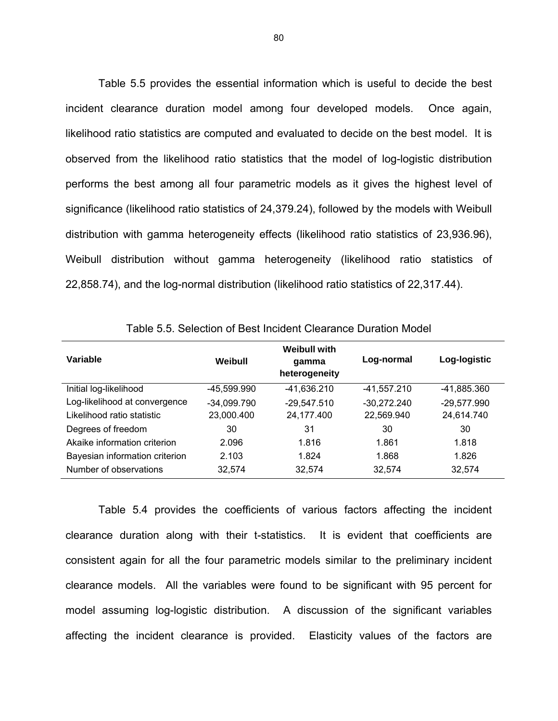Table 5.5 provides the essential information which is useful to decide the best incident clearance duration model among four developed models. Once again, likelihood ratio statistics are computed and evaluated to decide on the best model. It is observed from the likelihood ratio statistics that the model of log-logistic distribution performs the best among all four parametric models as it gives the highest level of significance (likelihood ratio statistics of 24,379.24), followed by the models with Weibull distribution with gamma heterogeneity effects (likelihood ratio statistics of 23,936.96), Weibull distribution without gamma heterogeneity (likelihood ratio statistics of 22,858.74), and the log-normal distribution (likelihood ratio statistics of 22,317.44).

| Variable                       | Weibull       | Weibull with<br>qamma<br>heterogeneity | Log-normal    | Log-logistic  |
|--------------------------------|---------------|----------------------------------------|---------------|---------------|
| Initial log-likelihood         | -45,599.990   | -41,636.210                            | -41,557.210   | -41,885.360   |
| Log-likelihood at convergence  | $-34,099.790$ | $-29,547.510$                          | $-30,272.240$ | $-29,577.990$ |
| Likelihood ratio statistic     | 23,000.400    | 24,177.400                             | 22,569.940    | 24,614.740    |
| Degrees of freedom             | 30            | 31                                     | 30            | 30            |
| Akaike information criterion   | 2.096         | 1.816                                  | 1.861         | 1.818         |
| Bayesian information criterion | 2.103         | 1.824                                  | 1.868         | 1.826         |
| Number of observations         | 32,574        | 32,574                                 | 32,574        | 32,574        |

Table 5.5. Selection of Best Incident Clearance Duration Model

Table 5.4 provides the coefficients of various factors affecting the incident clearance duration along with their t-statistics. It is evident that coefficients are consistent again for all the four parametric models similar to the preliminary incident clearance models. All the variables were found to be significant with 95 percent for model assuming log-logistic distribution. A discussion of the significant variables affecting the incident clearance is provided. Elasticity values of the factors are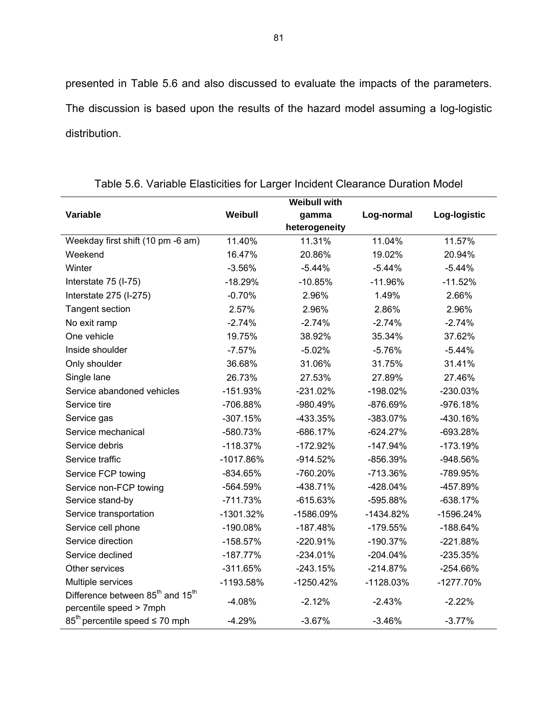presented in Table 5.6 and also discussed to evaluate the impacts of the parameters. The discussion is based upon the results of the hazard model assuming a log-logistic distribution.

|                                                          |             | <b>Weibull with</b> |             |              |
|----------------------------------------------------------|-------------|---------------------|-------------|--------------|
| Variable                                                 | Weibull     | gamma               | Log-normal  | Log-logistic |
|                                                          |             | heterogeneity       |             |              |
| Weekday first shift (10 pm -6 am)                        | 11.40%      | 11.31%              | 11.04%      | 11.57%       |
| Weekend                                                  | 16.47%      | 20.86%              | 19.02%      | 20.94%       |
| Winter                                                   | $-3.56%$    | $-5.44%$            | $-5.44%$    | $-5.44%$     |
| Interstate 75 (I-75)                                     | $-18.29%$   | $-10.85%$           | $-11.96%$   | $-11.52%$    |
| Interstate 275 (I-275)                                   | $-0.70%$    | 2.96%               | 1.49%       | 2.66%        |
| <b>Tangent section</b>                                   | 2.57%       | 2.96%               | 2.86%       | 2.96%        |
| No exit ramp                                             | $-2.74%$    | $-2.74%$            | $-2.74%$    | $-2.74%$     |
| One vehicle                                              | 19.75%      | 38.92%              | 35.34%      | 37.62%       |
| Inside shoulder                                          | $-7.57%$    | $-5.02%$            | $-5.76%$    | $-5.44%$     |
| Only shoulder                                            | 36.68%      | 31.06%              | 31.75%      | 31.41%       |
| Single lane                                              | 26.73%      | 27.53%              | 27.89%      | 27.46%       |
| Service abandoned vehicles                               | $-151.93%$  | $-231.02%$          | $-198.02%$  | -230.03%     |
| Service tire                                             | -706.88%    | -980.49%            | -876.69%    | $-976.18%$   |
| Service gas                                              | $-307.15%$  | -433.35%            | $-383.07%$  | -430.16%     |
| Service mechanical                                       | -580.73%    | $-686.17%$          | $-624.27%$  | $-693.28%$   |
| Service debris                                           | $-118.37%$  | $-172.92%$          | $-147.94%$  | $-173.19%$   |
| Service traffic                                          | $-1017.86%$ | $-914.52%$          | $-856.39%$  | -948.56%     |
| Service FCP towing                                       | $-834.65%$  | -760.20%            | -713.36%    | -789.95%     |
| Service non-FCP towing                                   | -564.59%    | $-438.71%$          | $-428.04%$  | -457.89%     |
| Service stand-by                                         | $-711.73%$  | $-615.63%$          | -595.88%    | $-638.17%$   |
| Service transportation                                   | $-1301.32%$ | -1586.09%           | $-1434.82%$ | -1596.24%    |
| Service cell phone                                       | -190.08%    | $-187.48%$          | $-179.55%$  | $-188.64%$   |
| Service direction                                        | $-158.57%$  | $-220.91%$          | $-190.37%$  | $-221.88%$   |
| Service declined                                         | $-187.77%$  | $-234.01%$          | $-204.04%$  | $-235.35%$   |
| Other services                                           | $-311.65%$  | $-243.15%$          | $-214.87%$  | $-254.66%$   |
| Multiple services                                        | -1193.58%   | $-1250.42%$         | $-1128.03%$ | $-1277.70%$  |
| Difference between 85 <sup>th</sup> and 15 <sup>th</sup> | $-4.08%$    | $-2.12%$            | $-2.43%$    | $-2.22%$     |
| percentile speed > 7mph                                  |             |                     |             |              |
| $85th$ percentile speed $\leq 70$ mph                    | $-4.29%$    | $-3.67%$            | $-3.46%$    | $-3.77%$     |

Table 5.6. Variable Elasticities for Larger Incident Clearance Duration Model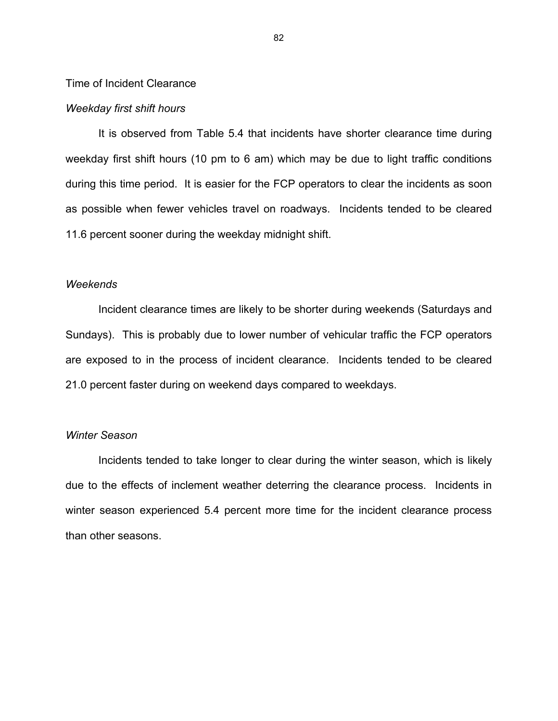# Time of Incident Clearance

#### *Weekday first shift hours*

It is observed from Table 5.4 that incidents have shorter clearance time during weekday first shift hours (10 pm to 6 am) which may be due to light traffic conditions during this time period. It is easier for the FCP operators to clear the incidents as soon as possible when fewer vehicles travel on roadways. Incidents tended to be cleared 11.6 percent sooner during the weekday midnight shift.

### *Weekends*

Incident clearance times are likely to be shorter during weekends (Saturdays and Sundays). This is probably due to lower number of vehicular traffic the FCP operators are exposed to in the process of incident clearance. Incidents tended to be cleared 21.0 percent faster during on weekend days compared to weekdays.

# *Winter Season*

Incidents tended to take longer to clear during the winter season, which is likely due to the effects of inclement weather deterring the clearance process. Incidents in winter season experienced 5.4 percent more time for the incident clearance process than other seasons.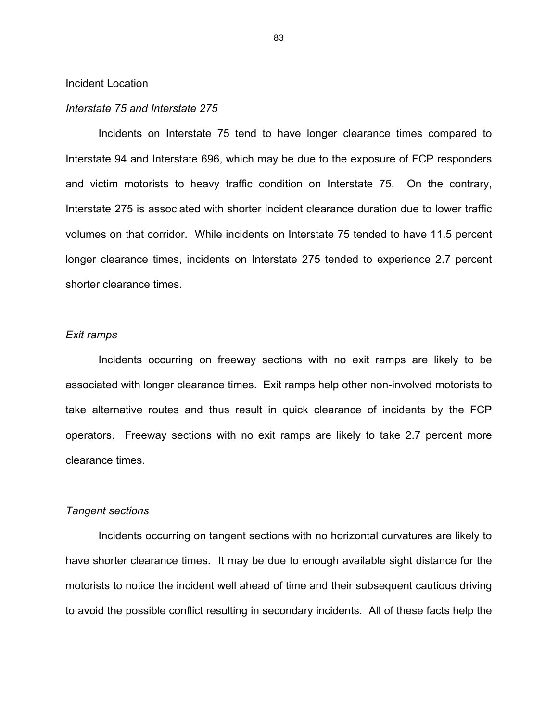Incident Location

#### *Interstate 75 and Interstate 275*

Incidents on Interstate 75 tend to have longer clearance times compared to Interstate 94 and Interstate 696, which may be due to the exposure of FCP responders and victim motorists to heavy traffic condition on Interstate 75. On the contrary, Interstate 275 is associated with shorter incident clearance duration due to lower traffic volumes on that corridor. While incidents on Interstate 75 tended to have 11.5 percent longer clearance times, incidents on Interstate 275 tended to experience 2.7 percent shorter clearance times.

# *Exit ramps*

Incidents occurring on freeway sections with no exit ramps are likely to be associated with longer clearance times. Exit ramps help other non-involved motorists to take alternative routes and thus result in quick clearance of incidents by the FCP operators. Freeway sections with no exit ramps are likely to take 2.7 percent more clearance times.

### *Tangent sections*

Incidents occurring on tangent sections with no horizontal curvatures are likely to have shorter clearance times. It may be due to enough available sight distance for the motorists to notice the incident well ahead of time and their subsequent cautious driving to avoid the possible conflict resulting in secondary incidents. All of these facts help the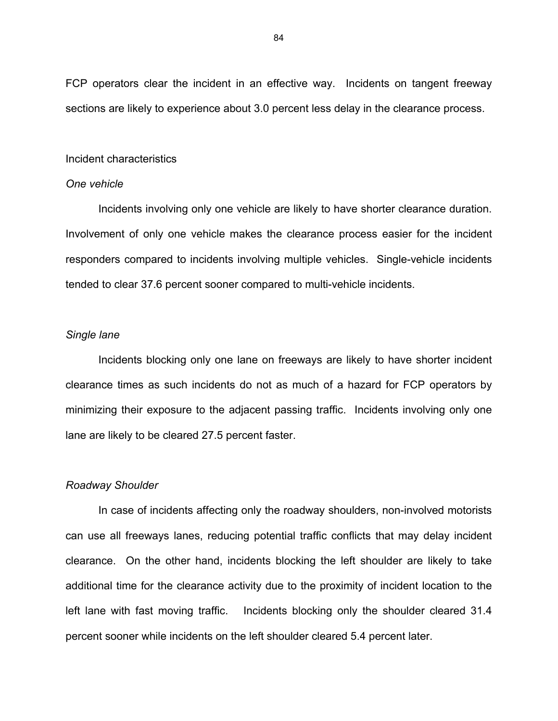FCP operators clear the incident in an effective way. Incidents on tangent freeway sections are likely to experience about 3.0 percent less delay in the clearance process.

#### Incident characteristics

#### *One vehicle*

Incidents involving only one vehicle are likely to have shorter clearance duration. Involvement of only one vehicle makes the clearance process easier for the incident responders compared to incidents involving multiple vehicles. Single-vehicle incidents tended to clear 37.6 percent sooner compared to multi-vehicle incidents.

# *Single lane*

Incidents blocking only one lane on freeways are likely to have shorter incident clearance times as such incidents do not as much of a hazard for FCP operators by minimizing their exposure to the adjacent passing traffic. Incidents involving only one lane are likely to be cleared 27.5 percent faster.

## *Roadway Shoulder*

In case of incidents affecting only the roadway shoulders, non-involved motorists can use all freeways lanes, reducing potential traffic conflicts that may delay incident clearance. On the other hand, incidents blocking the left shoulder are likely to take additional time for the clearance activity due to the proximity of incident location to the left lane with fast moving traffic. Incidents blocking only the shoulder cleared 31.4 percent sooner while incidents on the left shoulder cleared 5.4 percent later.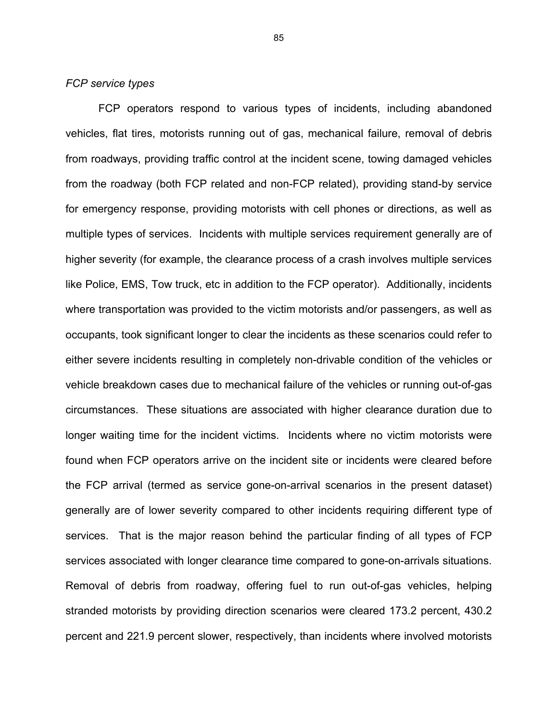# *FCP service types*

FCP operators respond to various types of incidents, including abandoned vehicles, flat tires, motorists running out of gas, mechanical failure, removal of debris from roadways, providing traffic control at the incident scene, towing damaged vehicles from the roadway (both FCP related and non-FCP related), providing stand-by service for emergency response, providing motorists with cell phones or directions, as well as multiple types of services. Incidents with multiple services requirement generally are of higher severity (for example, the clearance process of a crash involves multiple services like Police, EMS, Tow truck, etc in addition to the FCP operator). Additionally, incidents where transportation was provided to the victim motorists and/or passengers, as well as occupants, took significant longer to clear the incidents as these scenarios could refer to either severe incidents resulting in completely non-drivable condition of the vehicles or vehicle breakdown cases due to mechanical failure of the vehicles or running out-of-gas circumstances. These situations are associated with higher clearance duration due to longer waiting time for the incident victims. Incidents where no victim motorists were found when FCP operators arrive on the incident site or incidents were cleared before the FCP arrival (termed as service gone-on-arrival scenarios in the present dataset) generally are of lower severity compared to other incidents requiring different type of services. That is the major reason behind the particular finding of all types of FCP services associated with longer clearance time compared to gone-on-arrivals situations. Removal of debris from roadway, offering fuel to run out-of-gas vehicles, helping stranded motorists by providing direction scenarios were cleared 173.2 percent, 430.2 percent and 221.9 percent slower, respectively, than incidents where involved motorists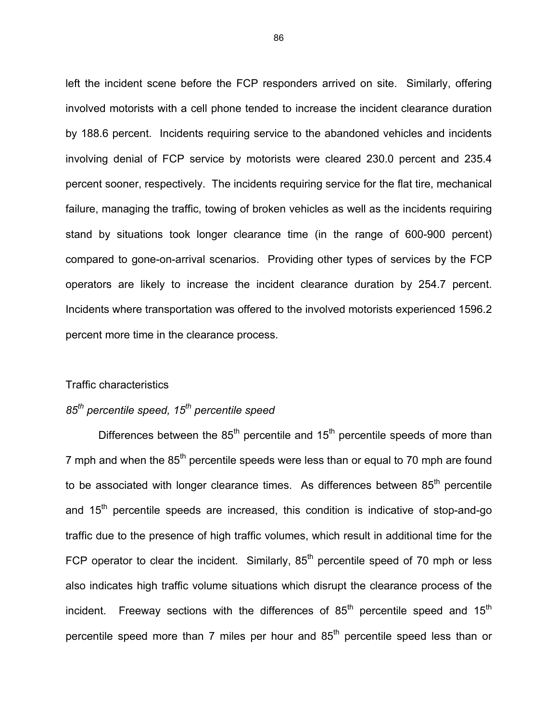left the incident scene before the FCP responders arrived on site. Similarly, offering involved motorists with a cell phone tended to increase the incident clearance duration by 188.6 percent. Incidents requiring service to the abandoned vehicles and incidents involving denial of FCP service by motorists were cleared 230.0 percent and 235.4 percent sooner, respectively. The incidents requiring service for the flat tire, mechanical failure, managing the traffic, towing of broken vehicles as well as the incidents requiring stand by situations took longer clearance time (in the range of 600-900 percent) compared to gone-on-arrival scenarios. Providing other types of services by the FCP operators are likely to increase the incident clearance duration by 254.7 percent. Incidents where transportation was offered to the involved motorists experienced 1596.2 percent more time in the clearance process.

### Traffic characteristics

# *85th percentile speed, 15th percentile speed*

Differences between the  $85<sup>th</sup>$  percentile and  $15<sup>th</sup>$  percentile speeds of more than 7 mph and when the  $85<sup>th</sup>$  percentile speeds were less than or equal to 70 mph are found to be associated with longer clearance times. As differences between  $85<sup>th</sup>$  percentile and 15<sup>th</sup> percentile speeds are increased, this condition is indicative of stop-and-go traffic due to the presence of high traffic volumes, which result in additional time for the FCP operator to clear the incident. Similarly,  $85<sup>th</sup>$  percentile speed of 70 mph or less also indicates high traffic volume situations which disrupt the clearance process of the incident. Freeway sections with the differences of  $85<sup>th</sup>$  percentile speed and  $15<sup>th</sup>$ percentile speed more than 7 miles per hour and  $85<sup>th</sup>$  percentile speed less than or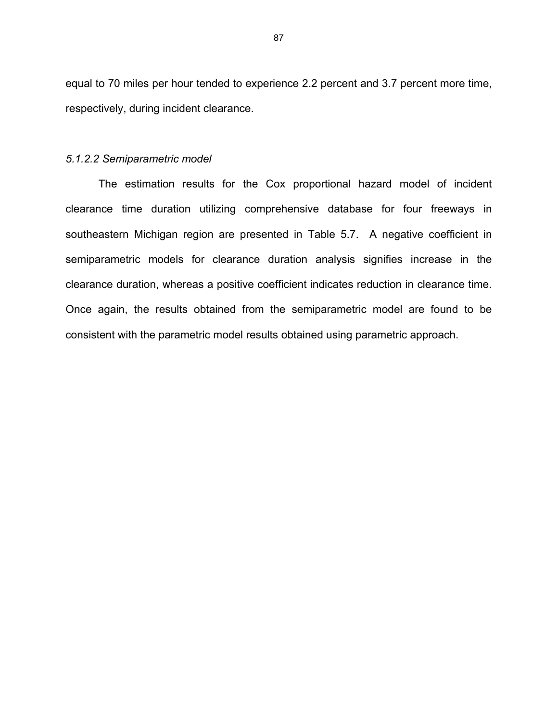equal to 70 miles per hour tended to experience 2.2 percent and 3.7 percent more time, respectively, during incident clearance.

#### *5.1.2.2 Semiparametric model*

The estimation results for the Cox proportional hazard model of incident clearance time duration utilizing comprehensive database for four freeways in southeastern Michigan region are presented in Table 5.7. A negative coefficient in semiparametric models for clearance duration analysis signifies increase in the clearance duration, whereas a positive coefficient indicates reduction in clearance time. Once again, the results obtained from the semiparametric model are found to be consistent with the parametric model results obtained using parametric approach.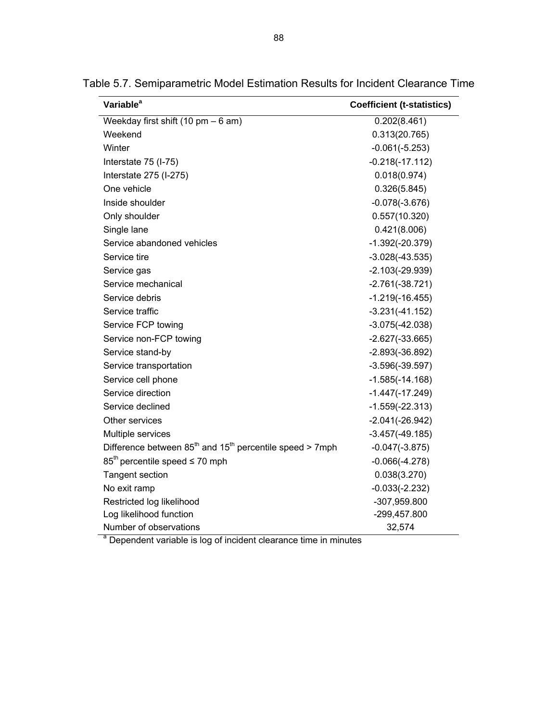| Variable <sup>a</sup>                                        | <b>Coefficient (t-statistics)</b> |
|--------------------------------------------------------------|-----------------------------------|
| Weekday first shift $(10 \text{ pm} - 6 \text{ am})$         | 0.202(8.461)                      |
| Weekend                                                      | 0.313(20.765)                     |
| Winter                                                       | $-0.061(-5.253)$                  |
| Interstate 75 (I-75)                                         | $-0.218(-17.112)$                 |
| Interstate 275 (I-275)                                       | 0.018(0.974)                      |
| One vehicle                                                  | 0.326(5.845)                      |
| Inside shoulder                                              | $-0.078(-3.676)$                  |
| Only shoulder                                                | 0.557(10.320)                     |
| Single lane                                                  | 0.421(8.006)                      |
| Service abandoned vehicles                                   | $-1.392(-20.379)$                 |
| Service tire                                                 | $-3.028(-43.535)$                 |
| Service gas                                                  | $-2.103(-29.939)$                 |
| Service mechanical                                           | $-2.761(-38.721)$                 |
| Service debris                                               | $-1.219(-16.455)$                 |
| Service traffic                                              | $-3.231(-41.152)$                 |
| Service FCP towing                                           | $-3.075(-42.038)$                 |
| Service non-FCP towing                                       | $-2.627(-33.665)$                 |
| Service stand-by                                             | $-2.893(-36.892)$                 |
| Service transportation                                       | $-3.596(-39.597)$                 |
| Service cell phone                                           | $-1.585(-14.168)$                 |
| Service direction                                            | $-1.447(-17.249)$                 |
| Service declined                                             | $-1.559(-22.313)$                 |
| Other services                                               | $-2.041(-26.942)$                 |
| Multiple services                                            | $-3.457(-49.185)$                 |
| Difference between $85th$ and $15th$ percentile speed > 7mph | $-0.047(-3.875)$                  |
| $85th$ percentile speed $\leq 70$ mph                        | $-0.066(-4.278)$                  |
| <b>Tangent section</b>                                       | 0.038(3.270)                      |
| No exit ramp                                                 | $-0.033(-2.232)$                  |
| Restricted log likelihood                                    | -307,959.800                      |
| Log likelihood function                                      | -299,457.800                      |
| Number of observations                                       | 32,574                            |

Table 5.7. Semiparametric Model Estimation Results for Incident Clearance Time

 $a$  Dependent variable is log of incident clearance time in minutes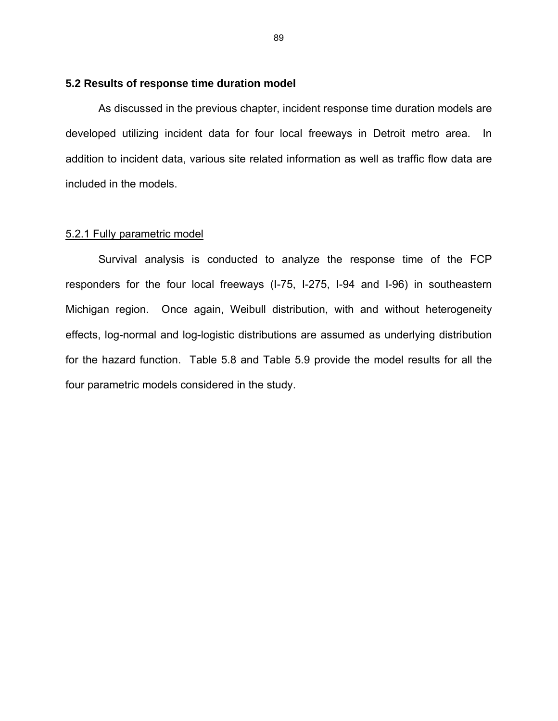# **5.2 Results of response time duration model**

As discussed in the previous chapter, incident response time duration models are developed utilizing incident data for four local freeways in Detroit metro area. In addition to incident data, various site related information as well as traffic flow data are included in the models.

### 5.2.1 Fully parametric model

Survival analysis is conducted to analyze the response time of the FCP responders for the four local freeways (I-75, I-275, I-94 and I-96) in southeastern Michigan region. Once again, Weibull distribution, with and without heterogeneity effects, log-normal and log-logistic distributions are assumed as underlying distribution for the hazard function. Table 5.8 and Table 5.9 provide the model results for all the four parametric models considered in the study.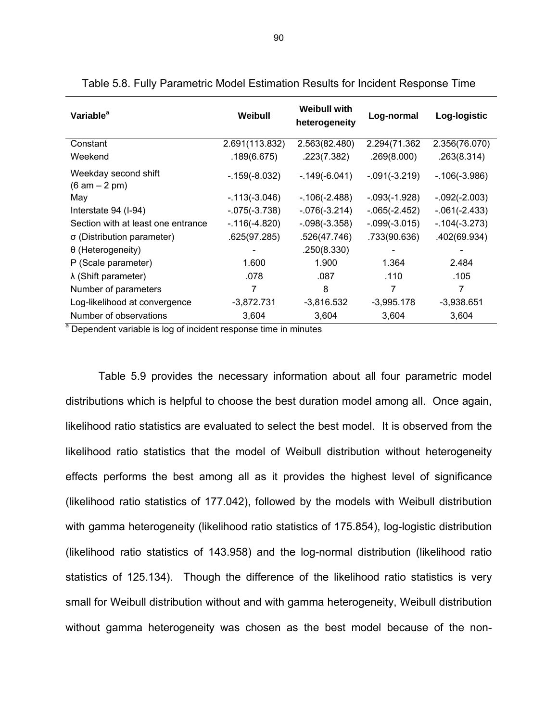| Variable <sup>a</sup>                                                       | Weibull          | <b>Weibull with</b><br>heterogeneity | Log-normal      | Log-logistic     |
|-----------------------------------------------------------------------------|------------------|--------------------------------------|-----------------|------------------|
| Constant                                                                    | 2.691(113.832)   | 2.563(82.480)                        | 2.294(71.362)   | 2.356(76.070)    |
| Weekend                                                                     | .189(6.675)      | .223(7.382)                          | .269(8.000)     | .263(8.314)      |
| Weekday second shift<br>$(6 am - 2 pm)$                                     | $-0.159(-8.032)$ | $-.149(-6.041)$                      | $-.091(-3.219)$ | $-0.106(-3.986)$ |
| May                                                                         | $-113(-3.046)$   | $-106(-2.488)$                       | $-.093(-1.928)$ | $-.092(-2.003)$  |
| Interstate 94 (I-94)                                                        | $-0.075(-3.738)$ | $-0.076(-3.214)$                     | $-.065(-2.452)$ | $-061(-2.433)$   |
| Section with at least one entrance                                          | $-.116(-4.820)$  | $-.098(-3.358)$                      | $-.099(-3.015)$ | $-0.104(-3.273)$ |
| $\sigma$ (Distribution parameter)                                           | .625(97.285)     | .526(47.746)                         | .733(90.636)    | .402(69.934)     |
| $\theta$ (Heterogeneity)                                                    |                  | .250(8.330)                          |                 |                  |
| P (Scale parameter)                                                         | 1.600            | 1.900                                | 1.364           | 2.484            |
| $\lambda$ (Shift parameter)                                                 | .078             | .087                                 | .110            | .105             |
| Number of parameters                                                        | 7                | 8                                    | 7               | 7                |
| Log-likelihood at convergence                                               | $-3,872.731$     | $-3,816.532$                         | $-3,995.178$    | $-3,938.651$     |
| Number of observations                                                      | 3,604            | 3,604                                | 3,604           | 3,604            |
| <sup>a</sup> Dependent variable is log of incident response time in minutes |                  |                                      |                 |                  |

| Table 5.8. Fully Parametric Model Estimation Results for Incident Response Time |  |  |
|---------------------------------------------------------------------------------|--|--|
|---------------------------------------------------------------------------------|--|--|

Table 5.9 provides the necessary information about all four parametric model distributions which is helpful to choose the best duration model among all. Once again, likelihood ratio statistics are evaluated to select the best model. It is observed from the likelihood ratio statistics that the model of Weibull distribution without heterogeneity effects performs the best among all as it provides the highest level of significance (likelihood ratio statistics of 177.042), followed by the models with Weibull distribution with gamma heterogeneity (likelihood ratio statistics of 175.854), log-logistic distribution (likelihood ratio statistics of 143.958) and the log-normal distribution (likelihood ratio statistics of 125.134). Though the difference of the likelihood ratio statistics is very small for Weibull distribution without and with gamma heterogeneity, Weibull distribution without gamma heterogeneity was chosen as the best model because of the non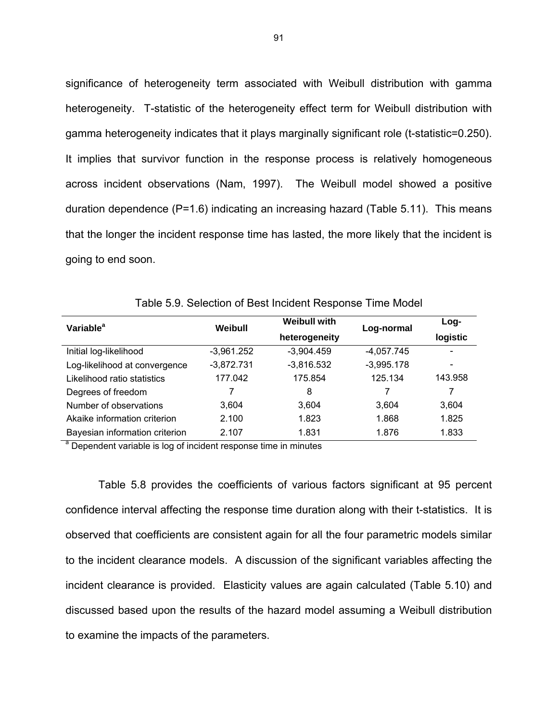significance of heterogeneity term associated with Weibull distribution with gamma heterogeneity. T-statistic of the heterogeneity effect term for Weibull distribution with gamma heterogeneity indicates that it plays marginally significant role (t-statistic=0.250). It implies that survivor function in the response process is relatively homogeneous across incident observations (Nam, 1997). The Weibull model showed a positive duration dependence (P=1.6) indicating an increasing hazard (Table 5.11). This means that the longer the incident response time has lasted, the more likely that the incident is going to end soon.

| Variable <sup>a</sup>                                                       | <b>Weibull with</b><br>Weibull |               | Log-normal   | $Log-$   |
|-----------------------------------------------------------------------------|--------------------------------|---------------|--------------|----------|
|                                                                             |                                | heterogeneity |              | logistic |
| Initial log-likelihood                                                      | $-3,961.252$                   | $-3,904.459$  | $-4,057.745$ |          |
| Log-likelihood at convergence                                               | $-3,872.731$                   | $-3,816.532$  | $-3,995.178$ |          |
| Likelihood ratio statistics                                                 | 177.042                        | 175.854       | 125.134      | 143.958  |
| Degrees of freedom                                                          |                                | 8             | 7            | 7        |
| Number of observations                                                      | 3,604                          | 3,604         | 3,604        | 3,604    |
| Akaike information criterion                                                | 2.100                          | 1.823         | 1.868        | 1.825    |
| Bayesian information criterion                                              | 2.107                          | 1.831         | 1.876        | 1.833    |
| <sup>a</sup> Dependent variable is log of incident response time in minutes |                                |               |              |          |

Table 5.9. Selection of Best Incident Response Time Model

Table 5.8 provides the coefficients of various factors significant at 95 percent confidence interval affecting the response time duration along with their t-statistics. It is observed that coefficients are consistent again for all the four parametric models similar to the incident clearance models. A discussion of the significant variables affecting the incident clearance is provided. Elasticity values are again calculated (Table 5.10) and discussed based upon the results of the hazard model assuming a Weibull distribution to examine the impacts of the parameters.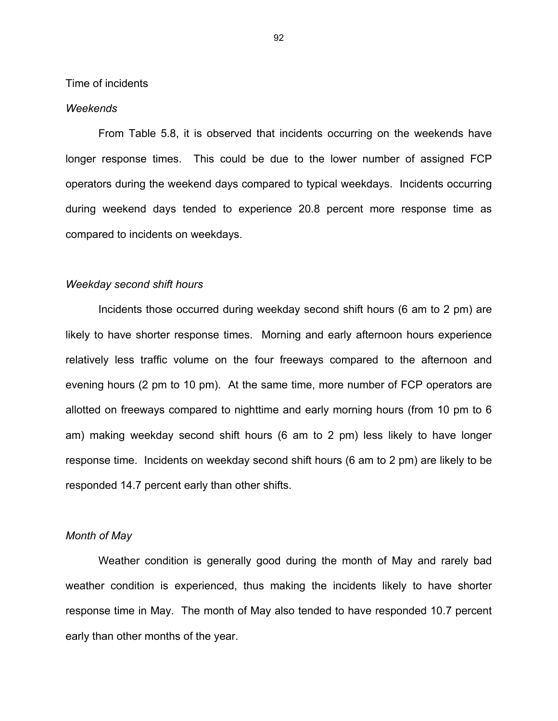Time of incidents

#### *Weekends*

From Table 5.8, it is observed that incidents occurring on the weekends have longer response times. This could be due to the lower number of assigned FCP operators during the weekend days compared to typical weekdays. Incidents occurring during weekend days tended to experience 20.8 percent more response time as compared to incidents on weekdays.

#### *Weekday second shift hours*

Incidents those occurred during weekday second shift hours (6 am to 2 pm) are likely to have shorter response times. Morning and early afternoon hours experience relatively less traffic volume on the four freeways compared to the afternoon and evening hours (2 pm to 10 pm). At the same time, more number of FCP operators are allotted on freeways compared to nighttime and early morning hours (from 10 pm to 6 am) making weekday second shift hours (6 am to 2 pm) less likely to have longer response time. Incidents on weekday second shift hours (6 am to 2 pm) are likely to be responded 14.7 percent early than other shifts.

# *Month of May*

Weather condition is generally good during the month of May and rarely bad weather condition is experienced, thus making the incidents likely to have shorter response time in May. The month of May also tended to have responded 10.7 percent early than other months of the year.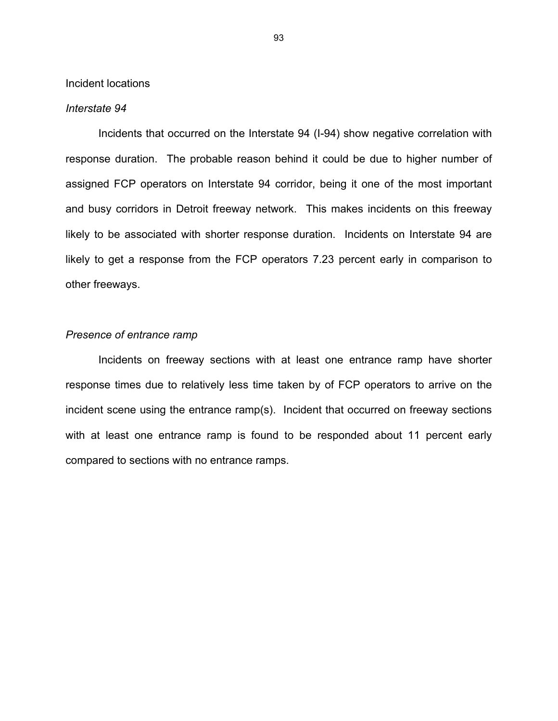Incident locations

#### *Interstate 94*

Incidents that occurred on the Interstate 94 (I-94) show negative correlation with response duration. The probable reason behind it could be due to higher number of assigned FCP operators on Interstate 94 corridor, being it one of the most important and busy corridors in Detroit freeway network. This makes incidents on this freeway likely to be associated with shorter response duration. Incidents on Interstate 94 are likely to get a response from the FCP operators 7.23 percent early in comparison to other freeways.

## *Presence of entrance ramp*

Incidents on freeway sections with at least one entrance ramp have shorter response times due to relatively less time taken by of FCP operators to arrive on the incident scene using the entrance ramp(s). Incident that occurred on freeway sections with at least one entrance ramp is found to be responded about 11 percent early compared to sections with no entrance ramps.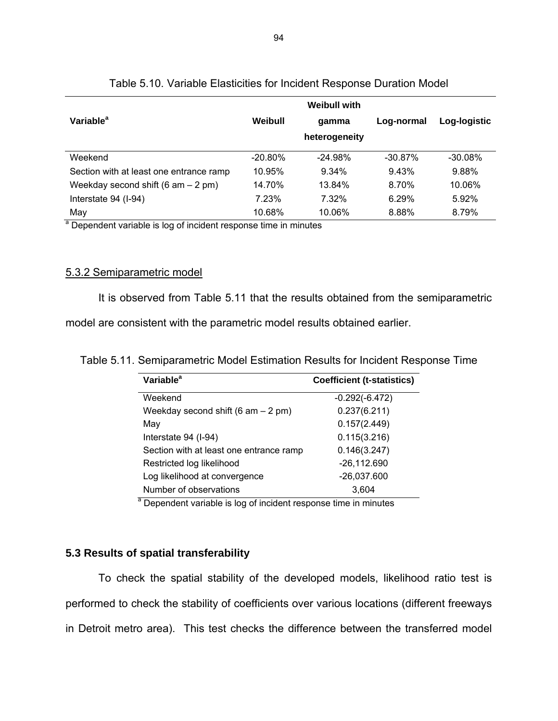|                                         |            | Weibull with  |            |              |
|-----------------------------------------|------------|---------------|------------|--------------|
| Variable <sup>a</sup>                   | Weibull    | qamma         | Log-normal | Log-logistic |
|                                         |            | heterogeneity |            |              |
| Weekend                                 | $-20.80\%$ | $-24.98%$     | $-30.87%$  | $-30.08\%$   |
| Section with at least one entrance ramp | 10.95%     | 9.34%         | 9.43%      | 9.88%        |
| Weekday second shift $(6 am - 2 pm)$    | 14.70%     | 13.84%        | 8.70%      | 10.06%       |
| Interstate 94 (I-94)                    | 7.23%      | 7.32%         | 6.29%      | 5.92%        |
| May                                     | 10.68%     | 10.06%        | 8.88%      | 8.79%        |

# Table 5.10. Variable Elasticities for Incident Response Duration Model

<sup>a</sup> Dependent variable is log of incident response time in minutes

# 5.3.2 Semiparametric model

It is observed from Table 5.11 that the results obtained from the semiparametric

model are consistent with the parametric model results obtained earlier.

| Table 5.11. Semiparametric Model Estimation Results for Incident Response Time |  |  |  |
|--------------------------------------------------------------------------------|--|--|--|
|--------------------------------------------------------------------------------|--|--|--|

| Variable <sup>a</sup>                   | <b>Coefficient (t-statistics)</b> |
|-----------------------------------------|-----------------------------------|
| Weekend                                 | $-0.292(-6.472)$                  |
| Weekday second shift $(6 am - 2 pm)$    | 0.237(6.211)                      |
| May                                     | 0.157(2.449)                      |
| Interstate 94 (I-94)                    | 0.115(3.216)                      |
| Section with at least one entrance ramp | 0.146(3.247)                      |
| Restricted log likelihood               | $-26, 112.690$                    |
| Log likelihood at convergence           | -26,037.600                       |
| Number of observations                  | 3,604                             |

<sup>a</sup> Dependent variable is log of incident response time in minutes

# **5.3 Results of spatial transferability**

To check the spatial stability of the developed models, likelihood ratio test is performed to check the stability of coefficients over various locations (different freeways in Detroit metro area). This test checks the difference between the transferred model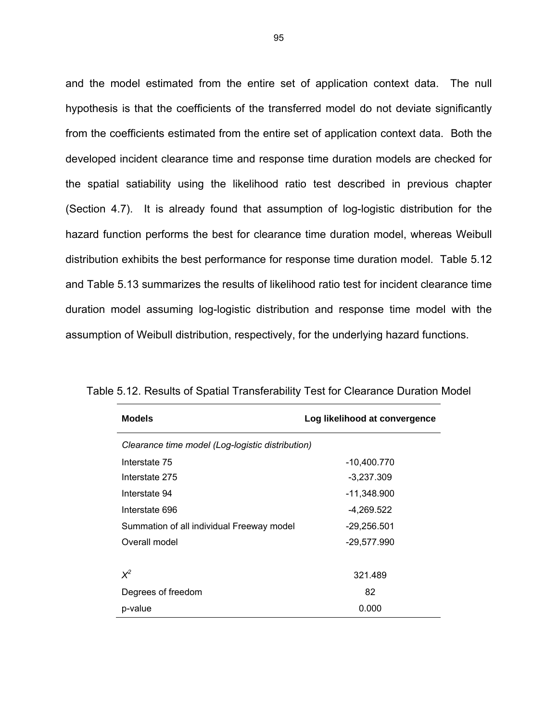and the model estimated from the entire set of application context data. The null hypothesis is that the coefficients of the transferred model do not deviate significantly from the coefficients estimated from the entire set of application context data. Both the developed incident clearance time and response time duration models are checked for the spatial satiability using the likelihood ratio test described in previous chapter (Section 4.7). It is already found that assumption of log-logistic distribution for the hazard function performs the best for clearance time duration model, whereas Weibull distribution exhibits the best performance for response time duration model. Table 5.12 and Table 5.13 summarizes the results of likelihood ratio test for incident clearance time duration model assuming log-logistic distribution and response time model with the assumption of Weibull distribution, respectively, for the underlying hazard functions.

| <b>Models</b>                                    | Log likelihood at convergence |  |
|--------------------------------------------------|-------------------------------|--|
| Clearance time model (Log-logistic distribution) |                               |  |
| Interstate 75                                    | -10,400.770                   |  |
| Interstate 275                                   | $-3,237.309$                  |  |
| Interstate 94                                    | -11,348.900                   |  |
| Interstate 696                                   | $-4,269.522$                  |  |
| Summation of all individual Freeway model        | $-29,256.501$                 |  |
| Overall model                                    | $-29,577.990$                 |  |
|                                                  |                               |  |
| $X^2$                                            | 321.489                       |  |
| Degrees of freedom                               | 82                            |  |
| p-value                                          | 0.000                         |  |

Table 5.12. Results of Spatial Transferability Test for Clearance Duration Model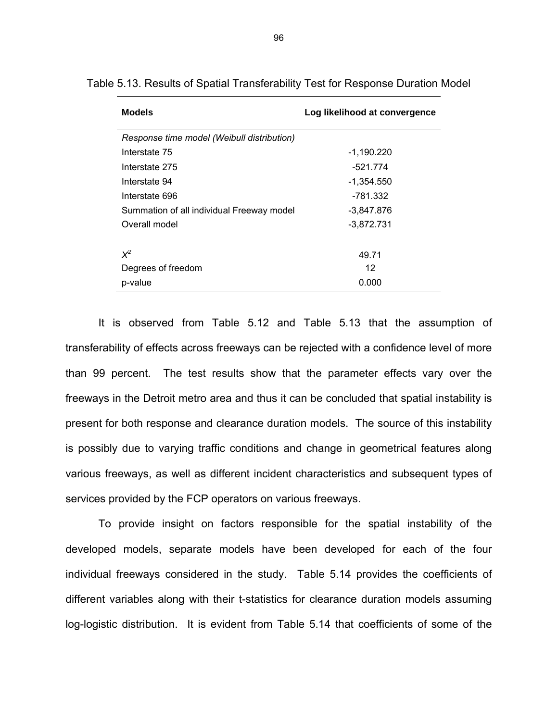| <b>Models</b>                              | Log likelihood at convergence |
|--------------------------------------------|-------------------------------|
| Response time model (Weibull distribution) |                               |
| Interstate 75                              | $-1,190.220$                  |
| Interstate 275                             | $-521.774$                    |
| Interstate 94                              | -1,354.550                    |
| Interstate 696                             | -781.332                      |
| Summation of all individual Freeway model  | $-3,847.876$                  |
| Overall model                              | $-3,872.731$                  |
|                                            |                               |
| $X^2$                                      | 49.71                         |
| Degrees of freedom                         | 12                            |
| p-value                                    | 0.000                         |

Table 5.13. Results of Spatial Transferability Test for Response Duration Model

It is observed from Table 5.12 and Table 5.13 that the assumption of transferability of effects across freeways can be rejected with a confidence level of more than 99 percent. The test results show that the parameter effects vary over the freeways in the Detroit metro area and thus it can be concluded that spatial instability is present for both response and clearance duration models. The source of this instability is possibly due to varying traffic conditions and change in geometrical features along various freeways, as well as different incident characteristics and subsequent types of services provided by the FCP operators on various freeways.

To provide insight on factors responsible for the spatial instability of the developed models, separate models have been developed for each of the four individual freeways considered in the study. Table 5.14 provides the coefficients of different variables along with their t-statistics for clearance duration models assuming log-logistic distribution. It is evident from Table 5.14 that coefficients of some of the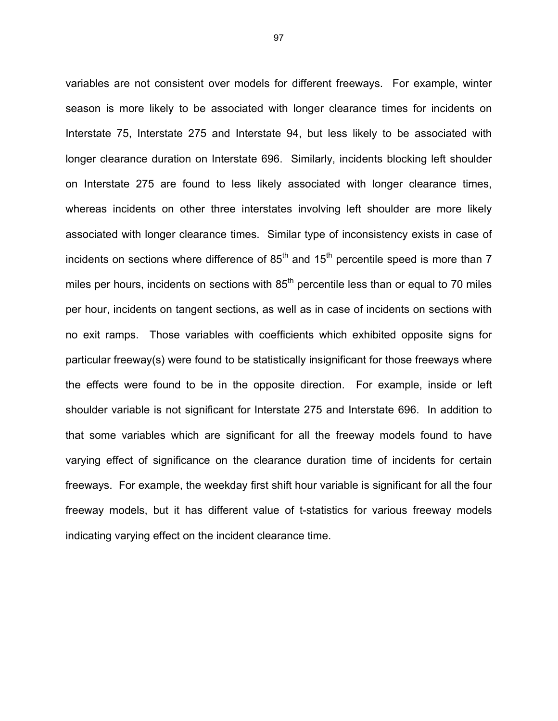variables are not consistent over models for different freeways. For example, winter season is more likely to be associated with longer clearance times for incidents on Interstate 75, Interstate 275 and Interstate 94, but less likely to be associated with longer clearance duration on Interstate 696. Similarly, incidents blocking left shoulder on Interstate 275 are found to less likely associated with longer clearance times, whereas incidents on other three interstates involving left shoulder are more likely associated with longer clearance times. Similar type of inconsistency exists in case of incidents on sections where difference of  $85<sup>th</sup>$  and  $15<sup>th</sup>$  percentile speed is more than 7 miles per hours, incidents on sections with  $85<sup>th</sup>$  percentile less than or equal to 70 miles per hour, incidents on tangent sections, as well as in case of incidents on sections with no exit ramps. Those variables with coefficients which exhibited opposite signs for particular freeway(s) were found to be statistically insignificant for those freeways where the effects were found to be in the opposite direction. For example, inside or left shoulder variable is not significant for Interstate 275 and Interstate 696. In addition to that some variables which are significant for all the freeway models found to have varying effect of significance on the clearance duration time of incidents for certain freeways. For example, the weekday first shift hour variable is significant for all the four freeway models, but it has different value of t-statistics for various freeway models indicating varying effect on the incident clearance time.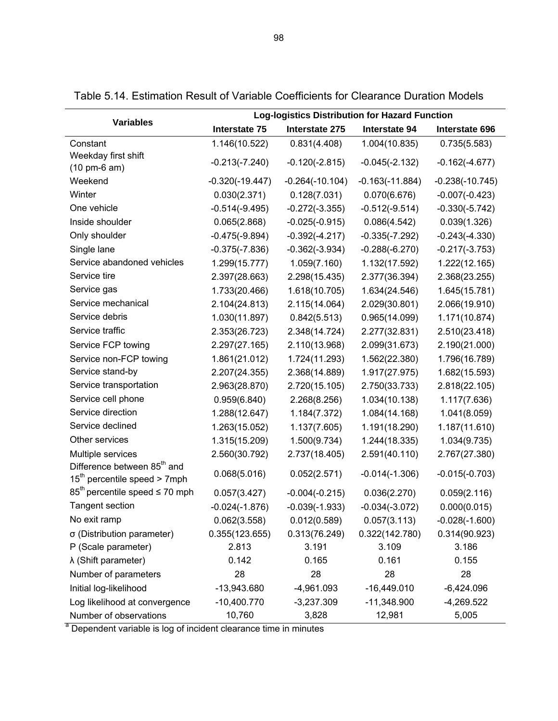|                                                                           | <b>Log-logistics Distribution for Hazard Function</b> |                   |                   |                   |
|---------------------------------------------------------------------------|-------------------------------------------------------|-------------------|-------------------|-------------------|
| <b>Variables</b>                                                          | Interstate 75                                         | Interstate 275    | Interstate 94     | Interstate 696    |
| Constant                                                                  | 1.146(10.522)                                         | 0.831(4.408)      | 1.004(10.835)     | 0.735(5.583)      |
| Weekday first shift<br>$(10 \text{ pm-}6 \text{ am})$                     | $-0.213(-7.240)$                                      | $-0.120(-2.815)$  | $-0.045(-2.132)$  | $-0.162(-4.677)$  |
| Weekend                                                                   | $-0.320(-19.447)$                                     | $-0.264(-10.104)$ | $-0.163(-11.884)$ | $-0.238(-10.745)$ |
| Winter                                                                    | 0.030(2.371)                                          | 0.128(7.031)      | 0.070(6.676)      | $-0.007(-0.423)$  |
| One vehicle                                                               | $-0.514(-9.495)$                                      | $-0.272(-3.355)$  | $-0.512(-9.514)$  | $-0.330(-5.742)$  |
| Inside shoulder                                                           | 0.065(2.868)                                          | $-0.025(-0.915)$  | 0.086(4.542)      | 0.039(1.326)      |
| Only shoulder                                                             | $-0.475(-9.894)$                                      | $-0.392(-4.217)$  | $-0.335(-7.292)$  | $-0.243(-4.330)$  |
| Single lane                                                               | $-0.375(-7.836)$                                      | $-0.362(-3.934)$  | $-0.288(-6.270)$  | $-0.217(-3.753)$  |
| Service abandoned vehicles                                                | 1.299(15.777)                                         | 1.059(7.160)      | 1.132(17.592)     | 1.222(12.165)     |
| Service tire                                                              | 2.397(28.663)                                         | 2.298(15.435)     | 2.377(36.394)     | 2.368(23.255)     |
| Service gas                                                               | 1.733(20.466)                                         | 1.618(10.705)     | 1.634(24.546)     | 1.645(15.781)     |
| Service mechanical                                                        | 2.104(24.813)                                         | 2.115(14.064)     | 2.029(30.801)     | 2.066(19.910)     |
| Service debris                                                            | 1.030(11.897)                                         | 0.842(5.513)      | 0.965(14.099)     | 1.171(10.874)     |
| Service traffic                                                           | 2.353(26.723)                                         | 2.348(14.724)     | 2.277(32.831)     | 2.510(23.418)     |
| Service FCP towing                                                        | 2.297(27.165)                                         | 2.110(13.968)     | 2.099(31.673)     | 2.190(21.000)     |
| Service non-FCP towing                                                    | 1.861(21.012)                                         | 1.724(11.293)     | 1.562(22.380)     | 1.796(16.789)     |
| Service stand-by                                                          | 2.207(24.355)                                         | 2.368(14.889)     | 1.917(27.975)     | 1.682(15.593)     |
| Service transportation                                                    | 2.963(28.870)                                         | 2.720(15.105)     | 2.750(33.733)     | 2.818(22.105)     |
| Service cell phone                                                        | 0.959(6.840)                                          | 2.268(8.256)      | 1.034(10.138)     | 1.117(7.636)      |
| Service direction                                                         | 1.288(12.647)                                         | 1.184(7.372)      | 1.084(14.168)     | 1.041(8.059)      |
| Service declined                                                          | 1.263(15.052)                                         | 1.137(7.605)      | 1.191(18.290)     | 1.187(11.610)     |
| Other services                                                            | 1.315(15.209)                                         | 1.500(9.734)      | 1.244(18.335)     | 1.034(9.735)      |
| Multiple services                                                         | 2.560(30.792)                                         | 2.737(18.405)     | 2.591(40.110)     | 2.767(27.380)     |
| Difference between 85 <sup>th</sup> and<br>$15th$ percentile speed > 7mph | 0.068(5.016)                                          | 0.052(2.571)      | $-0.014(-1.306)$  | $-0.015(-0.703)$  |
| $85th$ percentile speed $\leq 70$ mph                                     | 0.057(3.427)                                          | $-0.004(-0.215)$  | 0.036(2.270)      | 0.059(2.116)      |
| <b>Tangent section</b>                                                    | $-0.024(-1.876)$                                      | $-0.039(-1.933)$  | $-0.034(-3.072)$  | 0.000(0.015)      |
| No exit ramp                                                              | 0.062(3.558)                                          | 0.012(0.589)      | 0.057(3.113)      | $-0.028(-1.600)$  |
| σ (Distribution parameter)                                                | 0.355(123.655)                                        | 0.313(76.249)     | 0.322(142.780)    | 0.314(90.923)     |
| P (Scale parameter)                                                       | 2.813                                                 | 3.191             | 3.109             | 3.186             |
| λ (Shift parameter)                                                       | 0.142                                                 | 0.165             | 0.161             | 0.155             |
| Number of parameters                                                      | 28                                                    | 28                | 28                | 28                |
| Initial log-likelihood                                                    | -13,943.680                                           | $-4,961.093$      | $-16,449.010$     | $-6,424.096$      |
| Log likelihood at convergence                                             | $-10,400.770$                                         | $-3,237.309$      | $-11,348.900$     | $-4,269.522$      |
| Number of observations                                                    | 10,760                                                | 3,828             | 12,981            | 5,005             |
| а<br>Dependent variable is log of incident clearance time in minutes      |                                                       |                   |                   |                   |

Table 5.14. Estimation Result of Variable Coefficients for Clearance Duration Models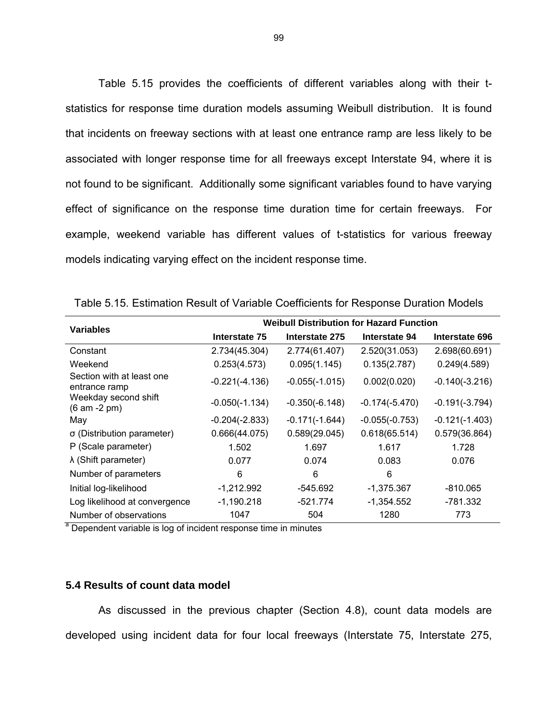Table 5.15 provides the coefficients of different variables along with their tstatistics for response time duration models assuming Weibull distribution. It is found that incidents on freeway sections with at least one entrance ramp are less likely to be associated with longer response time for all freeways except Interstate 94, where it is not found to be significant. Additionally some significant variables found to have varying effect of significance on the response time duration time for certain freeways. For example, weekend variable has different values of t-statistics for various freeway models indicating varying effect on the incident response time.

| <b>Variables</b>                                               | <b>Weibull Distribution for Hazard Function</b> |                  |                  |                  |
|----------------------------------------------------------------|-------------------------------------------------|------------------|------------------|------------------|
|                                                                | Interstate 75                                   | Interstate 275   | Interstate 94    | Interstate 696   |
| Constant                                                       | 2.734(45.304)                                   | 2.774(61.407)    | 2.520(31.053)    | 2.698(60.691)    |
| Weekend                                                        | 0.253(4.573)                                    | 0.095(1.145)     | 0.135(2.787)     | 0.249(4.589)     |
| Section with at least one<br>entrance ramp                     | $-0.221(-4.136)$                                | $-0.055(-1.015)$ | 0.002(0.020)     | $-0.140(-3.216)$ |
| Weekday second shift<br>$(6 am - 2 pm)$                        | $-0.050(-1.134)$                                | $-0.350(-6.148)$ | $-0.174(-5.470)$ | $-0.191(-3.794)$ |
| May                                                            | $-0.204(-2.833)$                                | $-0.171(-1.644)$ | $-0.055(-0.753)$ | $-0.121(-1.403)$ |
| σ (Distribution parameter)                                     | 0.666(44.075)                                   | 0.589(29.045)    | 0.618(65.514)    | 0.579(36.864)    |
| P (Scale parameter)                                            | 1.502                                           | 1.697            | 1.617            | 1.728            |
| $\lambda$ (Shift parameter)                                    | 0.077                                           | 0.074            | 0.083            | 0.076            |
| Number of parameters                                           | 6                                               | 6                | 6                |                  |
| Initial log-likelihood                                         | $-1,212.992$                                    | -545.692         | $-1,375.367$     | $-810.065$       |
| Log likelihood at convergence                                  | $-1,190.218$                                    | $-521.774$       | $-1,354.552$     | -781.332         |
| Number of observations                                         | 1047                                            | 504              | 1280             | 773              |
| Dependent variable is log of incident response time in minutes |                                                 |                  |                  |                  |

Table 5.15. Estimation Result of Variable Coefficients for Response Duration Models

## **5.4 Results of count data model**

As discussed in the previous chapter (Section 4.8), count data models are developed using incident data for four local freeways (Interstate 75, Interstate 275,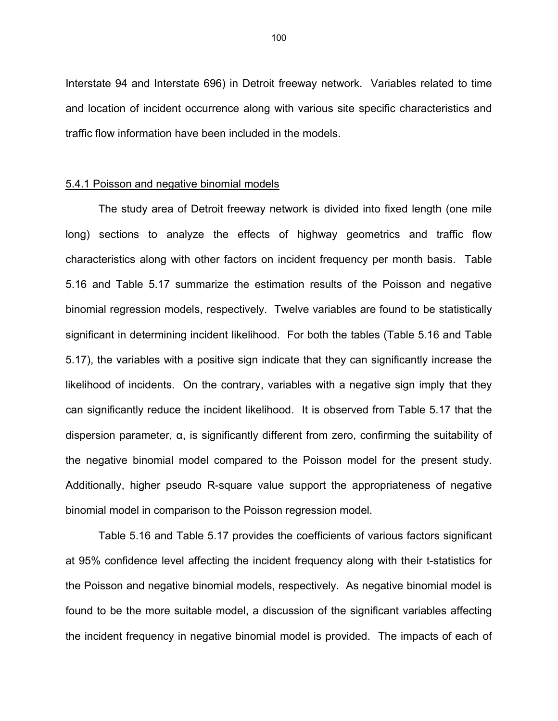Interstate 94 and Interstate 696) in Detroit freeway network. Variables related to time and location of incident occurrence along with various site specific characteristics and traffic flow information have been included in the models.

### 5.4.1 Poisson and negative binomial models

The study area of Detroit freeway network is divided into fixed length (one mile long) sections to analyze the effects of highway geometrics and traffic flow characteristics along with other factors on incident frequency per month basis. Table 5.16 and Table 5.17 summarize the estimation results of the Poisson and negative binomial regression models, respectively. Twelve variables are found to be statistically significant in determining incident likelihood. For both the tables (Table 5.16 and Table 5.17), the variables with a positive sign indicate that they can significantly increase the likelihood of incidents. On the contrary, variables with a negative sign imply that they can significantly reduce the incident likelihood. It is observed from Table 5.17 that the dispersion parameter, α, is significantly different from zero, confirming the suitability of the negative binomial model compared to the Poisson model for the present study. Additionally, higher pseudo R-square value support the appropriateness of negative binomial model in comparison to the Poisson regression model.

Table 5.16 and Table 5.17 provides the coefficients of various factors significant at 95% confidence level affecting the incident frequency along with their t-statistics for the Poisson and negative binomial models, respectively. As negative binomial model is found to be the more suitable model, a discussion of the significant variables affecting the incident frequency in negative binomial model is provided. The impacts of each of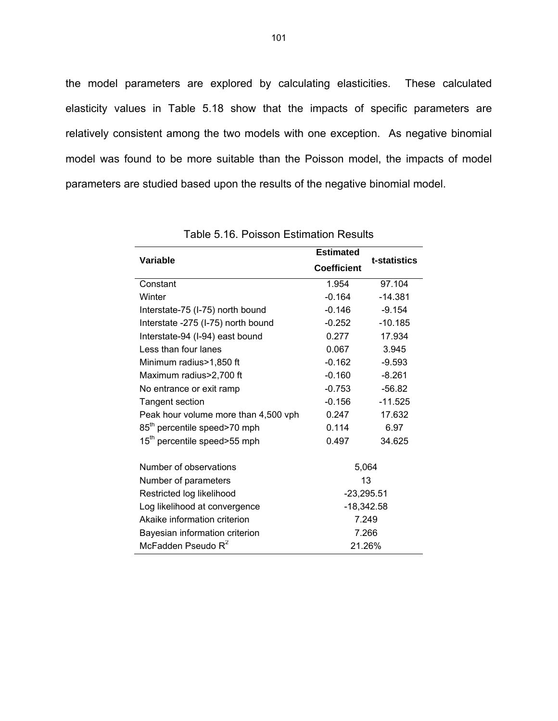the model parameters are explored by calculating elasticities. These calculated elasticity values in Table 5.18 show that the impacts of specific parameters are relatively consistent among the two models with one exception. As negative binomial model was found to be more suitable than the Poisson model, the impacts of model parameters are studied based upon the results of the negative binomial model.

| Variable                                 | <b>Estimated</b><br>t-statistics |           |
|------------------------------------------|----------------------------------|-----------|
|                                          | <b>Coefficient</b>               |           |
| Constant                                 | 1.954                            | 97.104    |
| Winter                                   | $-0.164$                         | $-14.381$ |
| Interstate-75 (I-75) north bound         | $-0.146$                         | $-9.154$  |
| Interstate -275 (I-75) north bound       | $-0.252$                         | $-10.185$ |
| Interstate-94 (I-94) east bound          | 0.277                            | 17.934    |
| Less than four lanes                     | 0.067                            | 3.945     |
| Minimum radius>1,850 ft                  | $-0.162$                         | $-9.593$  |
| Maximum radius>2,700 ft                  | $-0.160$                         | $-8.261$  |
| No entrance or exit ramp                 | $-0.753$                         | $-56.82$  |
| <b>Tangent section</b>                   | $-0.156$                         | $-11.525$ |
| Peak hour volume more than 4,500 vph     | 0.247                            | 17.632    |
| 85 <sup>th</sup> percentile speed>70 mph | 0.114                            | 6.97      |
| 15 <sup>th</sup> percentile speed>55 mph | 0.497                            | 34.625    |
| Number of observations                   |                                  | 5,064     |
| Number of parameters                     | 13                               |           |
| Restricted log likelihood                | $-23,295.51$                     |           |
| Log likelihood at convergence            | $-18,342.58$                     |           |
| Akaike information criterion             | 7.249                            |           |
| Bayesian information criterion           | 7.266                            |           |
| McFadden Pseudo R <sup>2</sup>           | 21.26%                           |           |

Table 5.16. Poisson Estimation Results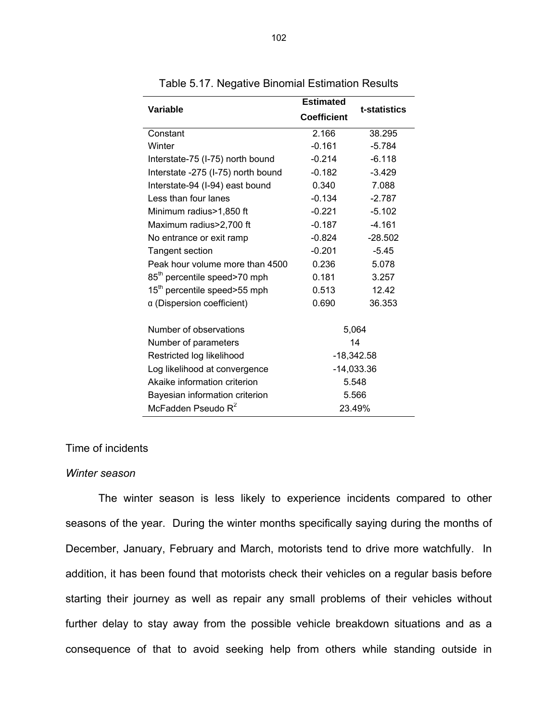|                                          | <b>Estimated</b>   |              |  |
|------------------------------------------|--------------------|--------------|--|
| Variable                                 | <b>Coefficient</b> | t-statistics |  |
| Constant                                 | 2.166              | 38.295       |  |
| Winter                                   | $-0.161$           | $-5.784$     |  |
| Interstate-75 (I-75) north bound         | $-0.214$           | $-6.118$     |  |
| Interstate -275 (I-75) north bound       | $-0.182$           | $-3.429$     |  |
| Interstate-94 (I-94) east bound          | 0.340              | 7.088        |  |
| Less than four lanes                     | $-0.134$           | $-2.787$     |  |
| Minimum radius>1,850 ft                  | $-0.221$           | $-5.102$     |  |
| Maximum radius>2,700 ft                  | $-0.187$           | $-4.161$     |  |
| No entrance or exit ramp                 | $-0.824$           | $-28.502$    |  |
| <b>Tangent section</b>                   | $-0.201$           | $-5.45$      |  |
| Peak hour volume more than 4500          | 0.236              | 5.078        |  |
| 85 <sup>th</sup> percentile speed>70 mph | 0.181              | 3.257        |  |
| 15 <sup>th</sup> percentile speed>55 mph | 0.513              | 12.42        |  |
| a (Dispersion coefficient)               | 0.690              | 36.353       |  |
| Number of observations                   |                    | 5,064        |  |
| Number of parameters                     | 14                 |              |  |
| Restricted log likelihood                | $-18,342.58$       |              |  |
| Log likelihood at convergence            | $-14,033.36$       |              |  |
| Akaike information criterion             | 5.548              |              |  |
| Bayesian information criterion           | 5.566              |              |  |
| McFadden Pseudo R <sup>2</sup>           | 23.49%             |              |  |

Table 5.17. Negative Binomial Estimation Results

### Time of incidents

#### *Winter season*

The winter season is less likely to experience incidents compared to other seasons of the year. During the winter months specifically saying during the months of December, January, February and March, motorists tend to drive more watchfully. In addition, it has been found that motorists check their vehicles on a regular basis before starting their journey as well as repair any small problems of their vehicles without further delay to stay away from the possible vehicle breakdown situations and as a consequence of that to avoid seeking help from others while standing outside in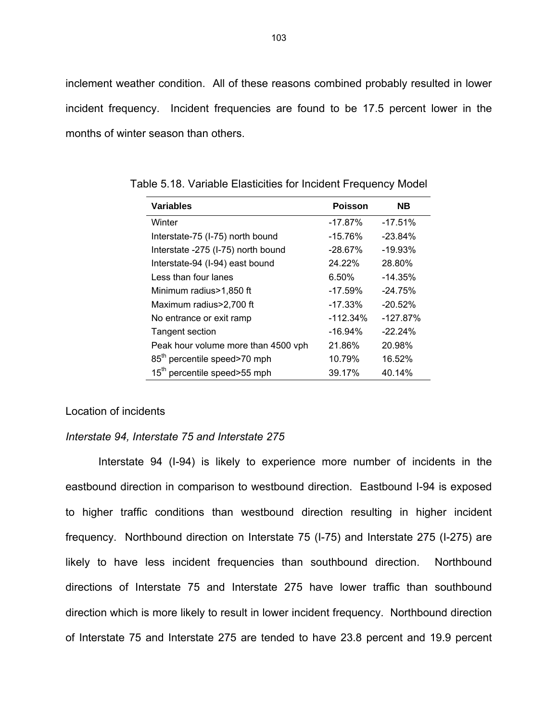inclement weather condition. All of these reasons combined probably resulted in lower incident frequency. Incident frequencies are found to be 17.5 percent lower in the months of winter season than others.

| <b>Variables</b>                         | <b>Poisson</b> | <b>NB</b>  |
|------------------------------------------|----------------|------------|
| Winter                                   | $-17.87\%$     | $-17.51%$  |
| Interstate-75 (I-75) north bound         | $-15.76%$      | $-23.84\%$ |
| Interstate -275 (I-75) north bound       | $-28.67%$      | $-19.93%$  |
| Interstate-94 (I-94) east bound          | 24.22%         | 28.80%     |
| Less than four lanes                     | $6.50\%$       | $-14.35%$  |
| Minimum radius>1,850 ft                  | $-17.59\%$     | $-24.75%$  |
| Maximum radius>2,700 ft                  | $-17.33\%$     | $-20.52%$  |
| No entrance or exit ramp                 | $-112.34%$     | $-127.87%$ |
| <b>Tangent section</b>                   | $-16.94\%$     | $-22.24%$  |
| Peak hour volume more than 4500 vph      | 21.86%         | 20.98%     |
| 85 <sup>th</sup> percentile speed>70 mph | 10.79%         | 16.52%     |
| 15 <sup>th</sup> percentile speed>55 mph | 39.17%         | 40.14%     |

Table 5.18. Variable Elasticities for Incident Frequency Model

### Location of incidents

### *Interstate 94, Interstate 75 and Interstate 275*

Interstate 94 (I-94) is likely to experience more number of incidents in the eastbound direction in comparison to westbound direction. Eastbound I-94 is exposed to higher traffic conditions than westbound direction resulting in higher incident frequency. Northbound direction on Interstate 75 (I-75) and Interstate 275 (I-275) are likely to have less incident frequencies than southbound direction. Northbound directions of Interstate 75 and Interstate 275 have lower traffic than southbound direction which is more likely to result in lower incident frequency. Northbound direction of Interstate 75 and Interstate 275 are tended to have 23.8 percent and 19.9 percent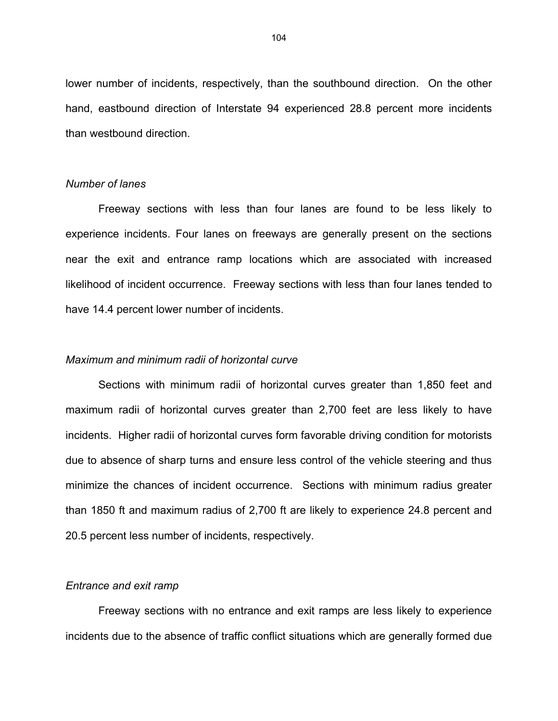lower number of incidents, respectively, than the southbound direction. On the other hand, eastbound direction of Interstate 94 experienced 28.8 percent more incidents than westbound direction.

### *Number of lanes*

Freeway sections with less than four lanes are found to be less likely to experience incidents. Four lanes on freeways are generally present on the sections near the exit and entrance ramp locations which are associated with increased likelihood of incident occurrence. Freeway sections with less than four lanes tended to have 14.4 percent lower number of incidents.

### *Maximum and minimum radii of horizontal curve*

Sections with minimum radii of horizontal curves greater than 1,850 feet and maximum radii of horizontal curves greater than 2,700 feet are less likely to have incidents. Higher radii of horizontal curves form favorable driving condition for motorists due to absence of sharp turns and ensure less control of the vehicle steering and thus minimize the chances of incident occurrence. Sections with minimum radius greater than 1850 ft and maximum radius of 2,700 ft are likely to experience 24.8 percent and 20.5 percent less number of incidents, respectively.

### *Entrance and exit ramp*

Freeway sections with no entrance and exit ramps are less likely to experience incidents due to the absence of traffic conflict situations which are generally formed due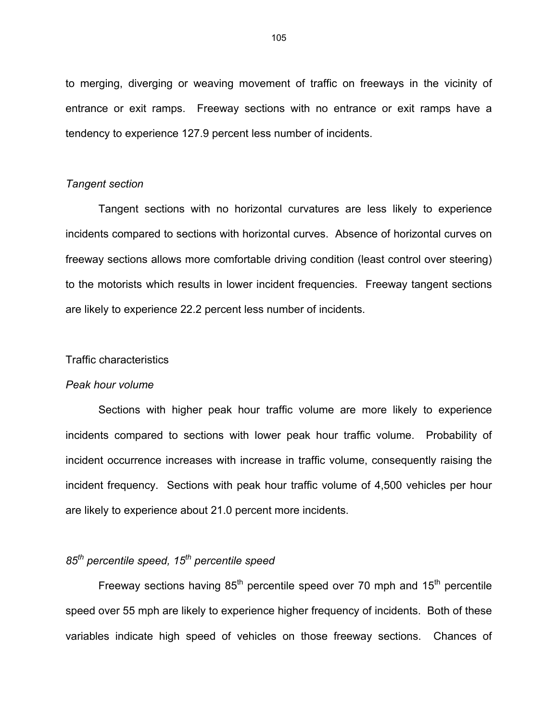to merging, diverging or weaving movement of traffic on freeways in the vicinity of entrance or exit ramps. Freeway sections with no entrance or exit ramps have a tendency to experience 127.9 percent less number of incidents.

### *Tangent section*

Tangent sections with no horizontal curvatures are less likely to experience incidents compared to sections with horizontal curves. Absence of horizontal curves on freeway sections allows more comfortable driving condition (least control over steering) to the motorists which results in lower incident frequencies. Freeway tangent sections are likely to experience 22.2 percent less number of incidents.

### Traffic characteristics

#### *Peak hour volume*

Sections with higher peak hour traffic volume are more likely to experience incidents compared to sections with lower peak hour traffic volume. Probability of incident occurrence increases with increase in traffic volume, consequently raising the incident frequency. Sections with peak hour traffic volume of 4,500 vehicles per hour are likely to experience about 21.0 percent more incidents.

# *85th percentile speed, 15th percentile speed*

Freeway sections having  $85<sup>th</sup>$  percentile speed over 70 mph and  $15<sup>th</sup>$  percentile speed over 55 mph are likely to experience higher frequency of incidents. Both of these variables indicate high speed of vehicles on those freeway sections. Chances of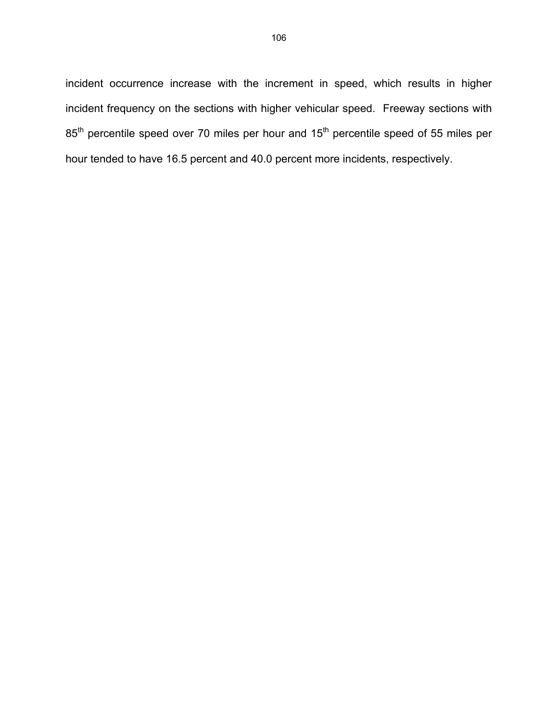incident occurrence increase with the increment in speed, which results in higher incident frequency on the sections with higher vehicular speed. Freeway sections with 85<sup>th</sup> percentile speed over 70 miles per hour and 15<sup>th</sup> percentile speed of 55 miles per hour tended to have 16.5 percent and 40.0 percent more incidents, respectively.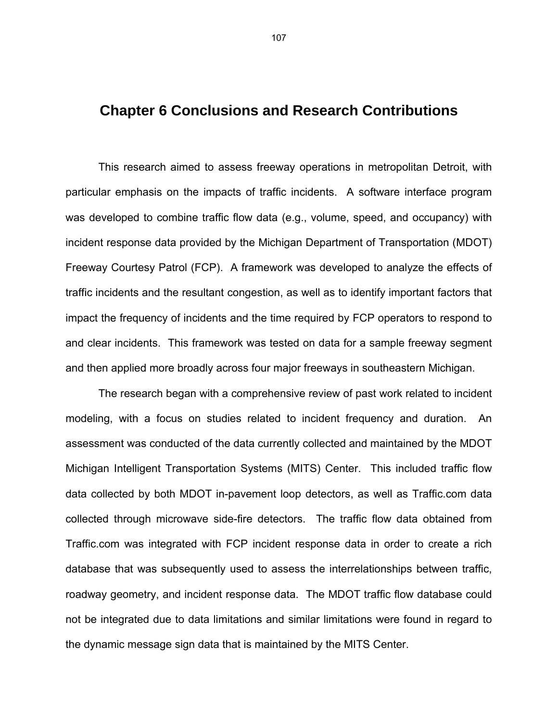# **Chapter 6 Conclusions and Research Contributions**

This research aimed to assess freeway operations in metropolitan Detroit, with particular emphasis on the impacts of traffic incidents. A software interface program was developed to combine traffic flow data (e.g., volume, speed, and occupancy) with incident response data provided by the Michigan Department of Transportation (MDOT) Freeway Courtesy Patrol (FCP). A framework was developed to analyze the effects of traffic incidents and the resultant congestion, as well as to identify important factors that impact the frequency of incidents and the time required by FCP operators to respond to and clear incidents. This framework was tested on data for a sample freeway segment and then applied more broadly across four major freeways in southeastern Michigan.

 The research began with a comprehensive review of past work related to incident modeling, with a focus on studies related to incident frequency and duration. An assessment was conducted of the data currently collected and maintained by the MDOT Michigan Intelligent Transportation Systems (MITS) Center. This included traffic flow data collected by both MDOT in-pavement loop detectors, as well as Traffic.com data collected through microwave side-fire detectors. The traffic flow data obtained from Traffic.com was integrated with FCP incident response data in order to create a rich database that was subsequently used to assess the interrelationships between traffic, roadway geometry, and incident response data. The MDOT traffic flow database could not be integrated due to data limitations and similar limitations were found in regard to the dynamic message sign data that is maintained by the MITS Center.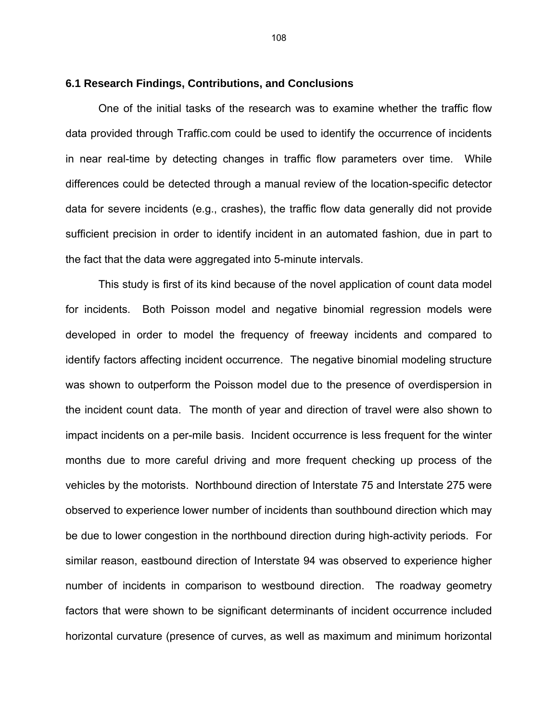### **6.1 Research Findings, Contributions, and Conclusions**

 One of the initial tasks of the research was to examine whether the traffic flow data provided through Traffic.com could be used to identify the occurrence of incidents in near real-time by detecting changes in traffic flow parameters over time. While differences could be detected through a manual review of the location-specific detector data for severe incidents (e.g., crashes), the traffic flow data generally did not provide sufficient precision in order to identify incident in an automated fashion, due in part to the fact that the data were aggregated into 5-minute intervals.

This study is first of its kind because of the novel application of count data model for incidents. Both Poisson model and negative binomial regression models were developed in order to model the frequency of freeway incidents and compared to identify factors affecting incident occurrence. The negative binomial modeling structure was shown to outperform the Poisson model due to the presence of overdispersion in the incident count data. The month of year and direction of travel were also shown to impact incidents on a per-mile basis. Incident occurrence is less frequent for the winter months due to more careful driving and more frequent checking up process of the vehicles by the motorists. Northbound direction of Interstate 75 and Interstate 275 were observed to experience lower number of incidents than southbound direction which may be due to lower congestion in the northbound direction during high-activity periods. For similar reason, eastbound direction of Interstate 94 was observed to experience higher number of incidents in comparison to westbound direction. The roadway geometry factors that were shown to be significant determinants of incident occurrence included horizontal curvature (presence of curves, as well as maximum and minimum horizontal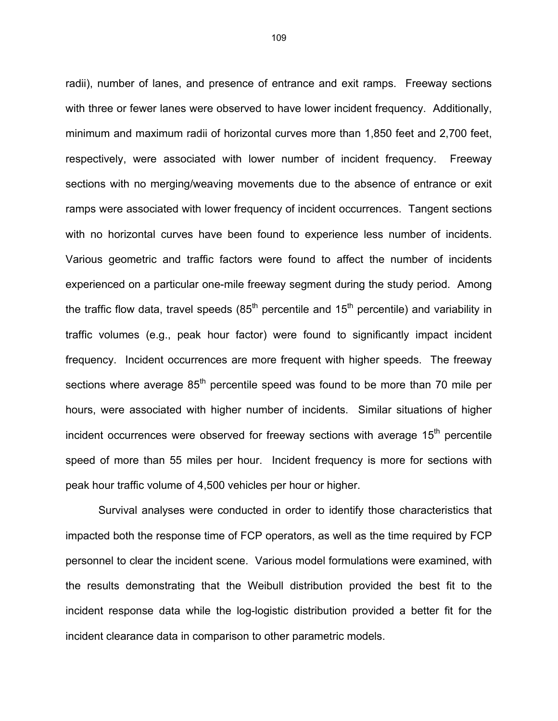radii), number of lanes, and presence of entrance and exit ramps. Freeway sections with three or fewer lanes were observed to have lower incident frequency. Additionally, minimum and maximum radii of horizontal curves more than 1,850 feet and 2,700 feet, respectively, were associated with lower number of incident frequency. Freeway sections with no merging/weaving movements due to the absence of entrance or exit ramps were associated with lower frequency of incident occurrences. Tangent sections with no horizontal curves have been found to experience less number of incidents. Various geometric and traffic factors were found to affect the number of incidents experienced on a particular one-mile freeway segment during the study period. Among the traffic flow data, travel speeds  $(85<sup>th</sup>$  percentile and  $15<sup>th</sup>$  percentile) and variability in traffic volumes (e.g., peak hour factor) were found to significantly impact incident frequency. Incident occurrences are more frequent with higher speeds. The freeway sections where average 85<sup>th</sup> percentile speed was found to be more than 70 mile per hours, were associated with higher number of incidents. Similar situations of higher incident occurrences were observed for freeway sections with average  $15<sup>th</sup>$  percentile speed of more than 55 miles per hour. Incident frequency is more for sections with peak hour traffic volume of 4,500 vehicles per hour or higher.

Survival analyses were conducted in order to identify those characteristics that impacted both the response time of FCP operators, as well as the time required by FCP personnel to clear the incident scene. Various model formulations were examined, with the results demonstrating that the Weibull distribution provided the best fit to the incident response data while the log-logistic distribution provided a better fit for the incident clearance data in comparison to other parametric models.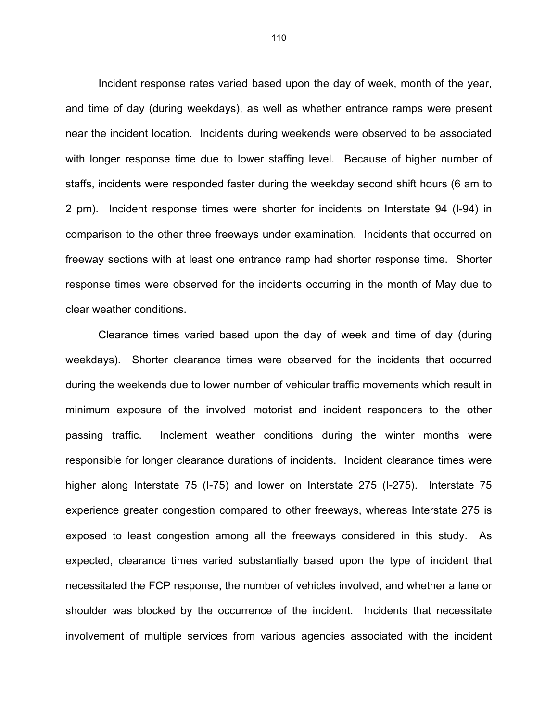Incident response rates varied based upon the day of week, month of the year, and time of day (during weekdays), as well as whether entrance ramps were present near the incident location. Incidents during weekends were observed to be associated with longer response time due to lower staffing level. Because of higher number of staffs, incidents were responded faster during the weekday second shift hours (6 am to 2 pm). Incident response times were shorter for incidents on Interstate 94 (I-94) in comparison to the other three freeways under examination. Incidents that occurred on freeway sections with at least one entrance ramp had shorter response time. Shorter response times were observed for the incidents occurring in the month of May due to clear weather conditions.

Clearance times varied based upon the day of week and time of day (during weekdays). Shorter clearance times were observed for the incidents that occurred during the weekends due to lower number of vehicular traffic movements which result in minimum exposure of the involved motorist and incident responders to the other passing traffic. Inclement weather conditions during the winter months were responsible for longer clearance durations of incidents. Incident clearance times were higher along Interstate 75 (I-75) and lower on Interstate 275 (I-275). Interstate 75 experience greater congestion compared to other freeways, whereas Interstate 275 is exposed to least congestion among all the freeways considered in this study. As expected, clearance times varied substantially based upon the type of incident that necessitated the FCP response, the number of vehicles involved, and whether a lane or shoulder was blocked by the occurrence of the incident. Incidents that necessitate involvement of multiple services from various agencies associated with the incident

110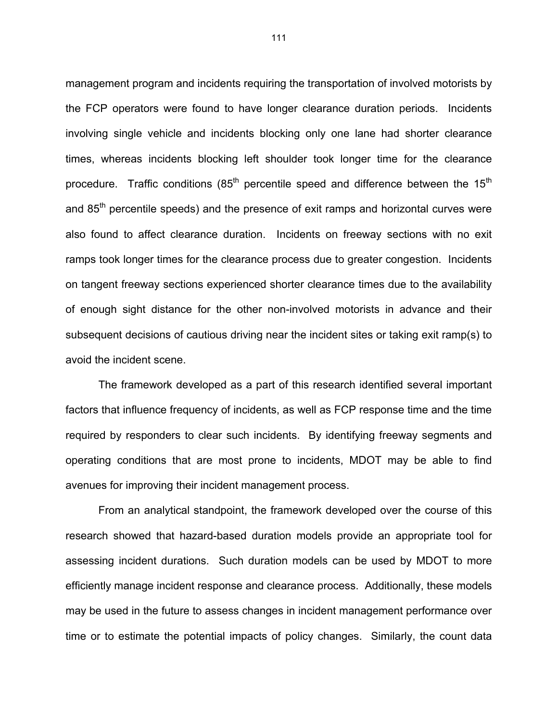management program and incidents requiring the transportation of involved motorists by the FCP operators were found to have longer clearance duration periods. Incidents involving single vehicle and incidents blocking only one lane had shorter clearance times, whereas incidents blocking left shoulder took longer time for the clearance procedure. Traffic conditions  $(85<sup>th</sup>$  percentile speed and difference between the 15<sup>th</sup> and 85<sup>th</sup> percentile speeds) and the presence of exit ramps and horizontal curves were also found to affect clearance duration. Incidents on freeway sections with no exit ramps took longer times for the clearance process due to greater congestion. Incidents on tangent freeway sections experienced shorter clearance times due to the availability of enough sight distance for the other non-involved motorists in advance and their subsequent decisions of cautious driving near the incident sites or taking exit ramp(s) to avoid the incident scene.

The framework developed as a part of this research identified several important factors that influence frequency of incidents, as well as FCP response time and the time required by responders to clear such incidents. By identifying freeway segments and operating conditions that are most prone to incidents, MDOT may be able to find avenues for improving their incident management process.

From an analytical standpoint, the framework developed over the course of this research showed that hazard-based duration models provide an appropriate tool for assessing incident durations. Such duration models can be used by MDOT to more efficiently manage incident response and clearance process. Additionally, these models may be used in the future to assess changes in incident management performance over time or to estimate the potential impacts of policy changes. Similarly, the count data

111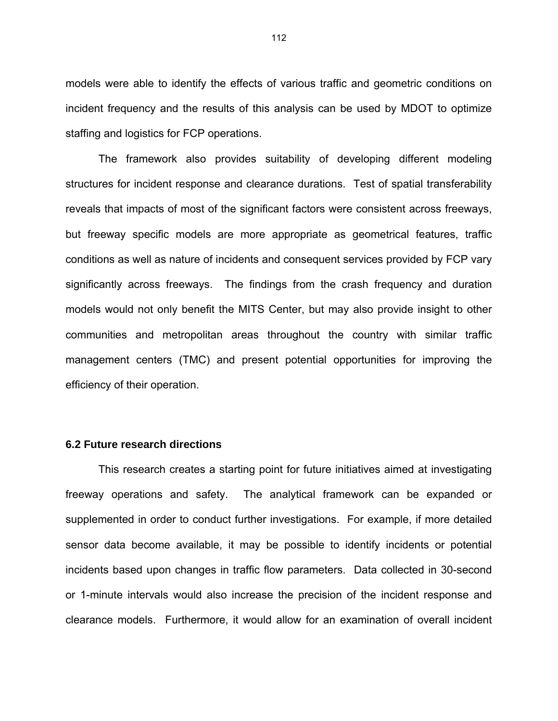models were able to identify the effects of various traffic and geometric conditions on incident frequency and the results of this analysis can be used by MDOT to optimize staffing and logistics for FCP operations.

The framework also provides suitability of developing different modeling structures for incident response and clearance durations. Test of spatial transferability reveals that impacts of most of the significant factors were consistent across freeways, but freeway specific models are more appropriate as geometrical features, traffic conditions as well as nature of incidents and consequent services provided by FCP vary significantly across freeways. The findings from the crash frequency and duration models would not only benefit the MITS Center, but may also provide insight to other communities and metropolitan areas throughout the country with similar traffic management centers (TMC) and present potential opportunities for improving the efficiency of their operation.

### **6.2 Future research directions**

This research creates a starting point for future initiatives aimed at investigating freeway operations and safety. The analytical framework can be expanded or supplemented in order to conduct further investigations. For example, if more detailed sensor data become available, it may be possible to identify incidents or potential incidents based upon changes in traffic flow parameters. Data collected in 30-second or 1-minute intervals would also increase the precision of the incident response and clearance models. Furthermore, it would allow for an examination of overall incident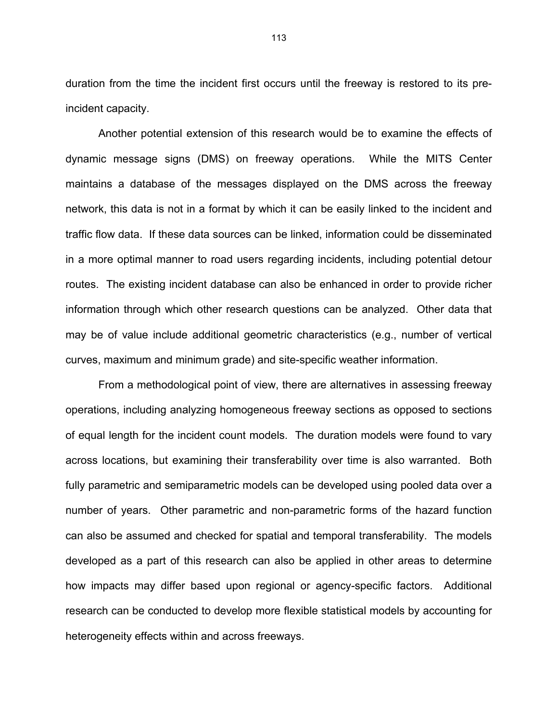duration from the time the incident first occurs until the freeway is restored to its preincident capacity.

Another potential extension of this research would be to examine the effects of dynamic message signs (DMS) on freeway operations. While the MITS Center maintains a database of the messages displayed on the DMS across the freeway network, this data is not in a format by which it can be easily linked to the incident and traffic flow data. If these data sources can be linked, information could be disseminated in a more optimal manner to road users regarding incidents, including potential detour routes. The existing incident database can also be enhanced in order to provide richer information through which other research questions can be analyzed. Other data that may be of value include additional geometric characteristics (e.g., number of vertical curves, maximum and minimum grade) and site-specific weather information.

From a methodological point of view, there are alternatives in assessing freeway operations, including analyzing homogeneous freeway sections as opposed to sections of equal length for the incident count models. The duration models were found to vary across locations, but examining their transferability over time is also warranted. Both fully parametric and semiparametric models can be developed using pooled data over a number of years. Other parametric and non-parametric forms of the hazard function can also be assumed and checked for spatial and temporal transferability. The models developed as a part of this research can also be applied in other areas to determine how impacts may differ based upon regional or agency-specific factors. Additional research can be conducted to develop more flexible statistical models by accounting for heterogeneity effects within and across freeways.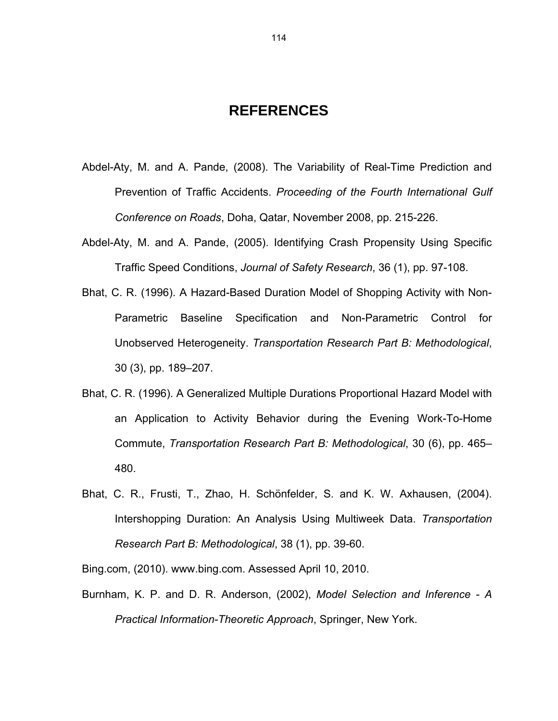# **REFERENCES**

- Abdel-Aty, M. and A. Pande, (2008). The Variability of Real-Time Prediction and Prevention of Traffic Accidents. *Proceeding of the Fourth International Gulf Conference on Roads*, Doha, Qatar, November 2008, pp. 215-226.
- Abdel-Aty, M. and A. Pande, (2005). Identifying Crash Propensity Using Specific Traffic Speed Conditions, *Journal of Safety Research*, 36 (1), pp. 97-108.
- Bhat, C. R. (1996). A Hazard-Based Duration Model of Shopping Activity with Non-Parametric Baseline Specification and Non-Parametric Control for Unobserved Heterogeneity. *Transportation Research Part B: Methodological*, 30 (3), pp. 189–207.
- Bhat, C. R. (1996). A Generalized Multiple Durations Proportional Hazard Model with an Application to Activity Behavior during the Evening Work-To-Home Commute, *Transportation Research Part B: Methodological*, 30 (6), pp. 465– 480.
- Bhat, C. R., Frusti, T., Zhao, H. Schönfelder, S. and K. W. Axhausen, (2004). Intershopping Duration: An Analysis Using Multiweek Data. *Transportation Research Part B: Methodological*, 38 (1), pp. 39-60.

Bing.com, (2010). www.bing.com. Assessed April 10, 2010.

Burnham, K. P. and D. R. Anderson, (2002), *Model Selection and Inference - A Practical Information-Theoretic Approach*, Springer, New York.

114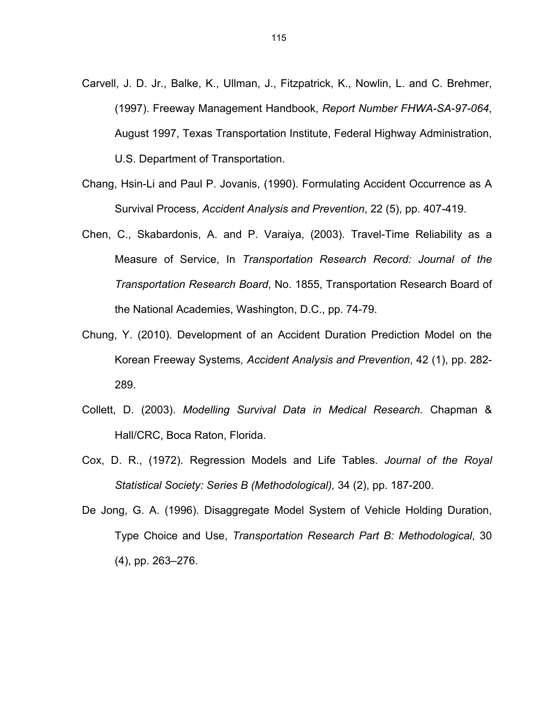- Carvell, J. D. Jr., Balke, K., Ullman, J., Fitzpatrick, K., Nowlin, L. and C. Brehmer, (1997). Freeway Management Handbook, *Report Number FHWA-SA-97-064*, August 1997, Texas Transportation Institute, Federal Highway Administration, U.S. Department of Transportation.
- Chang, Hsin-Li and Paul P. Jovanis, (1990). Formulating Accident Occurrence as A Survival Process, *Accident Analysis and Prevention*, 22 (5), pp. 407-419.
- Chen, C., Skabardonis, A. and P. Varaiya, (2003). Travel-Time Reliability as a Measure of Service, In *Transportation Research Record: Journal of the Transportation Research Board*, No. 1855, Transportation Research Board of the National Academies, Washington, D.C., pp. 74-79.
- Chung, Y. (2010). Development of an Accident Duration Prediction Model on the Korean Freeway Systems*, Accident Analysis and Prevention*, 42 (1), pp. 282- 289.
- Collett, D. (2003). *Modelling Survival Data in Medical Research*. Chapman & Hall/CRC, Boca Raton, Florida.
- Cox, D. R., (1972). Regression Models and Life Tables. *Journal of the Royal Statistical Society: Series B (Methodological),* 34 (2), pp. 187-200.
- De Jong, G. A. (1996). Disaggregate Model System of Vehicle Holding Duration, Type Choice and Use, *Transportation Research Part B: Methodological*, 30 (4), pp. 263–276.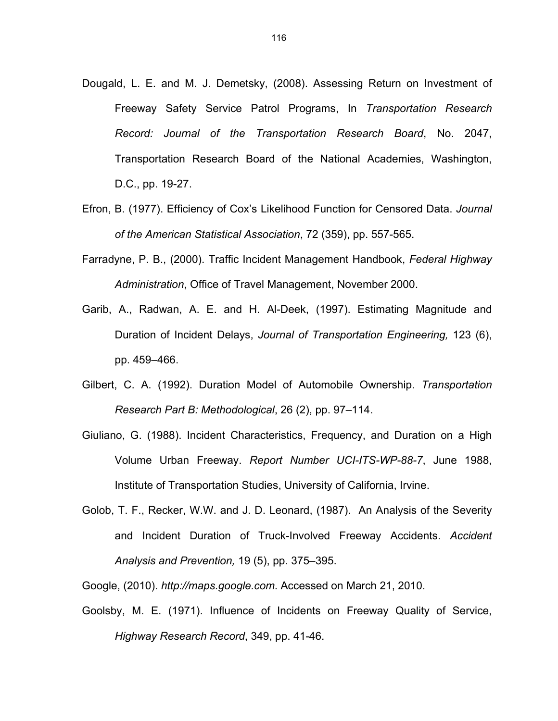- Dougald, L. E. and M. J. Demetsky, (2008). Assessing Return on Investment of Freeway Safety Service Patrol Programs, In *Transportation Research Record: Journal of the Transportation Research Board*, No. 2047, Transportation Research Board of the National Academies, Washington, D.C., pp. 19-27.
- Efron, B. (1977). Efficiency of Cox's Likelihood Function for Censored Data. *Journal of the American Statistical Association*, 72 (359), pp. 557-565.
- Farradyne, P. B., (2000). Traffic Incident Management Handbook, *Federal Highway Administration*, Office of Travel Management, November 2000.
- Garib, A., Radwan, A. E. and H. Al-Deek, (1997). Estimating Magnitude and Duration of Incident Delays, *Journal of Transportation Engineering,* 123 (6), pp. 459–466.
- Gilbert, C. A. (1992). Duration Model of Automobile Ownership. *Transportation Research Part B: Methodological*, 26 (2), pp. 97–114.
- Giuliano, G. (1988). Incident Characteristics, Frequency, and Duration on a High Volume Urban Freeway. *Report Number UCI-ITS-WP-88-7*, June 1988, Institute of Transportation Studies, University of California, Irvine.
- Golob, T. F., Recker, W.W. and J. D. Leonard, (1987). An Analysis of the Severity and Incident Duration of Truck-Involved Freeway Accidents. *Accident Analysis and Prevention,* 19 (5), pp. 375–395.

Google, (2010). *http://maps.google.com*. Accessed on March 21, 2010.

Goolsby, M. E. (1971). Influence of Incidents on Freeway Quality of Service, *Highway Research Record*, 349, pp. 41-46.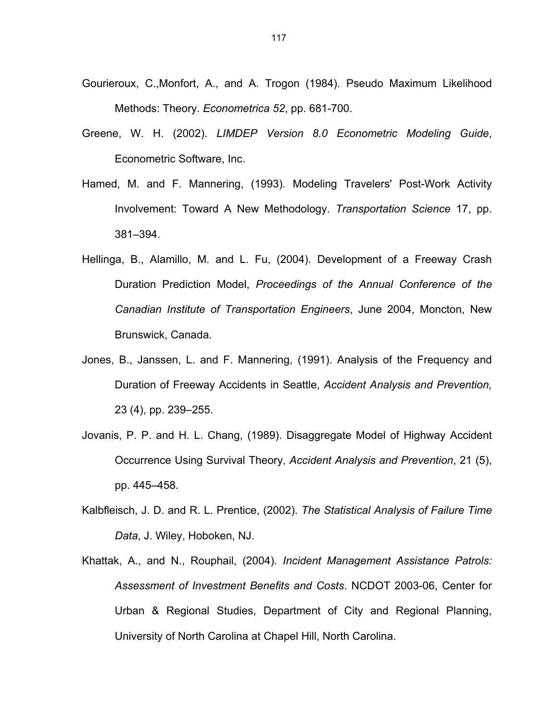- Gourieroux, C.,Monfort, A., and A. Trogon (1984). Pseudo Maximum Likelihood Methods: Theory. *Econometrica 52*, pp. 681-700.
- Greene, W. H. (2002). *LIMDEP Version 8.0 Econometric Modeling Guide*, Econometric Software, Inc.
- Hamed, M. and F. Mannering, (1993). Modeling Travelers' Post-Work Activity Involvement: Toward A New Methodology. *Transportation Science* 17, pp. 381–394.
- Hellinga, B., Alamillo, M. and L. Fu, (2004). Development of a Freeway Crash Duration Prediction Model, *Proceedings of the Annual Conference of the Canadian Institute of Transportation Engineers*, June 2004, Moncton, New Brunswick, Canada.
- Jones, B., Janssen, L. and F. Mannering, (1991). Analysis of the Frequency and Duration of Freeway Accidents in Seattle, *Accident Analysis and Prevention,* 23 (4), pp. 239–255.
- Jovanis, P. P. and H. L. Chang, (1989). Disaggregate Model of Highway Accident Occurrence Using Survival Theory, *Accident Analysis and Prevention*, 21 (5), pp. 445–458.
- Kalbfleisch, J. D. and R. L. Prentice, (2002). *The Statistical Analysis of Failure Time Data*, J. Wiley, Hoboken, NJ.
- Khattak, A., and N., Rouphail, (2004). *Incident Management Assistance Patrols: Assessment of Investment Benefits and Costs*. NCDOT 2003-06, Center for Urban & Regional Studies, Department of City and Regional Planning, University of North Carolina at Chapel Hill, North Carolina.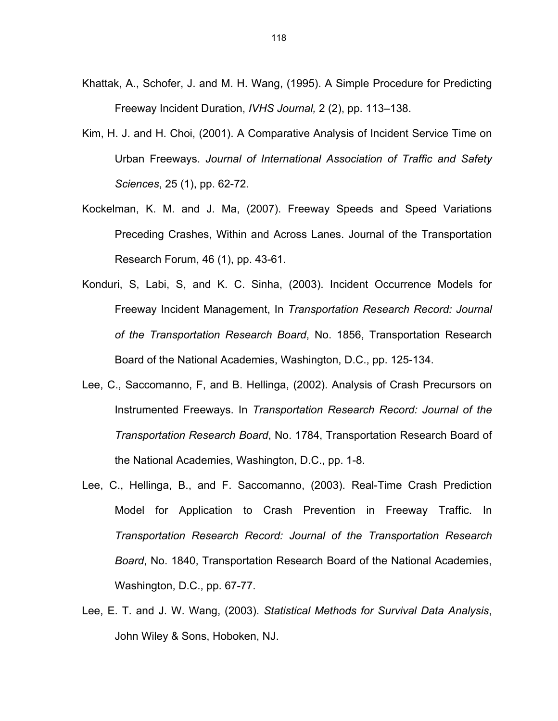- Khattak, A., Schofer, J. and M. H. Wang, (1995). A Simple Procedure for Predicting Freeway Incident Duration, *IVHS Journal,* 2 (2), pp. 113–138.
- Kim, H. J. and H. Choi, (2001). A Comparative Analysis of Incident Service Time on Urban Freeways. *Journal of International Association of Traffic and Safety Sciences*, 25 (1), pp. 62-72.
- Kockelman, K. M. and J. Ma, (2007). Freeway Speeds and Speed Variations Preceding Crashes, Within and Across Lanes. Journal of the Transportation Research Forum, 46 (1), pp. 43-61.
- Konduri, S, Labi, S, and K. C. Sinha, (2003). Incident Occurrence Models for Freeway Incident Management, In *Transportation Research Record: Journal of the Transportation Research Board*, No. 1856, Transportation Research Board of the National Academies, Washington, D.C., pp. 125-134.
- Lee, C., Saccomanno, F, and B. Hellinga, (2002). Analysis of Crash Precursors on Instrumented Freeways. In *Transportation Research Record: Journal of the Transportation Research Board*, No. 1784, Transportation Research Board of the National Academies, Washington, D.C., pp. 1-8.
- Lee, C., Hellinga, B., and F. Saccomanno, (2003). Real-Time Crash Prediction Model for Application to Crash Prevention in Freeway Traffic. In *Transportation Research Record: Journal of the Transportation Research Board*, No. 1840, Transportation Research Board of the National Academies, Washington, D.C., pp. 67-77.
- Lee, E. T. and J. W. Wang, (2003). *Statistical Methods for Survival Data Analysis*, John Wiley & Sons, Hoboken, NJ.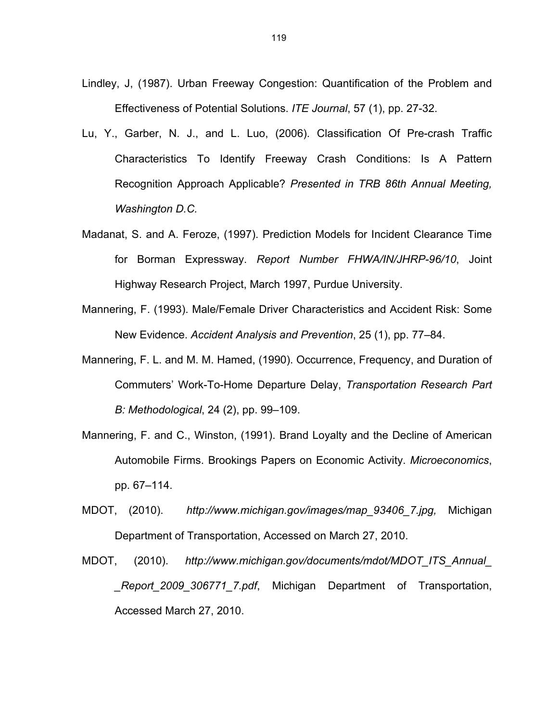- Lindley, J, (1987). Urban Freeway Congestion: Quantification of the Problem and Effectiveness of Potential Solutions. *ITE Journal*, 57 (1), pp. 27-32.
- Lu, Y., Garber, N. J., and L. Luo, (2006). Classification Of Pre-crash Traffic Characteristics To Identify Freeway Crash Conditions: Is A Pattern Recognition Approach Applicable? *Presented in TRB 86th Annual Meeting, Washington D.C.*
- Madanat, S. and A. Feroze, (1997). Prediction Models for Incident Clearance Time for Borman Expressway. *Report Number FHWA/IN/JHRP-96/10*, Joint Highway Research Project, March 1997, Purdue University.
- Mannering, F. (1993). Male/Female Driver Characteristics and Accident Risk: Some New Evidence. *Accident Analysis and Prevention*, 25 (1), pp. 77–84.
- Mannering, F. L. and M. M. Hamed, (1990). Occurrence, Frequency, and Duration of Commuters' Work-To-Home Departure Delay, *Transportation Research Part B: Methodological*, 24 (2), pp. 99–109.
- Mannering, F. and C., Winston, (1991). Brand Loyalty and the Decline of American Automobile Firms. Brookings Papers on Economic Activity. *Microeconomics*, pp. 67–114.
- MDOT, (2010). *http://www.michigan.gov/images/map\_93406\_7.jpg,* Michigan Department of Transportation, Accessed on March 27, 2010.
- MDOT, (2010). *http://www.michigan.gov/documents/mdot/MDOT\_ITS\_Annual\_ \_Report\_2009\_306771\_7.pdf*, Michigan Department of Transportation, Accessed March 27, 2010.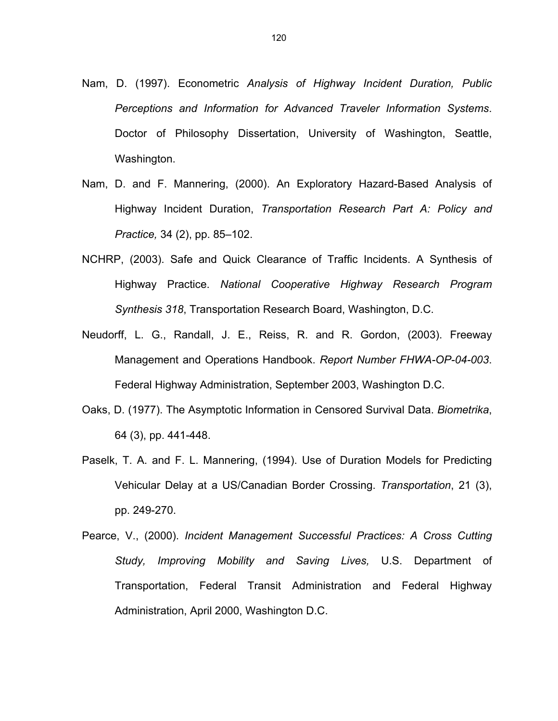- Nam, D. (1997). Econometric *Analysis of Highway Incident Duration, Public Perceptions and Information for Advanced Traveler Information Systems*. Doctor of Philosophy Dissertation, University of Washington, Seattle, Washington.
- Nam, D. and F. Mannering, (2000). An Exploratory Hazard-Based Analysis of Highway Incident Duration, *Transportation Research Part A: Policy and Practice,* 34 (2), pp. 85–102.
- NCHRP, (2003). Safe and Quick Clearance of Traffic Incidents. A Synthesis of Highway Practice. *National Cooperative Highway Research Program Synthesis 318*, Transportation Research Board, Washington, D.C.
- Neudorff, L. G., Randall, J. E., Reiss, R. and R. Gordon, (2003). Freeway Management and Operations Handbook. *Report Number FHWA-OP-04-003*. Federal Highway Administration, September 2003, Washington D.C.
- Oaks, D. (1977). The Asymptotic Information in Censored Survival Data. *Biometrika*, 64 (3), pp. 441-448.
- Paselk, T. A. and F. L. Mannering, (1994). Use of Duration Models for Predicting Vehicular Delay at a US/Canadian Border Crossing. *Transportation*, 21 (3), pp. 249-270.
- Pearce, V., (2000). *Incident Management Successful Practices: A Cross Cutting Study, Improving Mobility and Saving Lives,* U.S. Department of Transportation, Federal Transit Administration and Federal Highway Administration, April 2000, Washington D.C.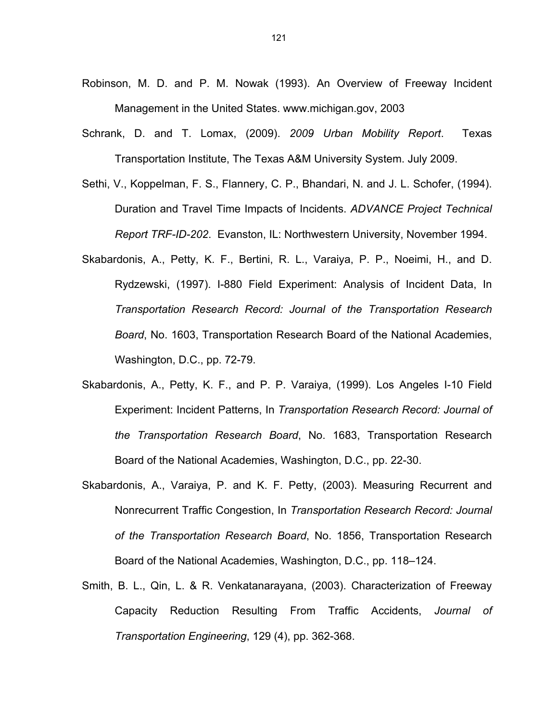- Robinson, M. D. and P. M. Nowak (1993). An Overview of Freeway Incident Management in the United States. www.michigan.gov, 2003
- Schrank, D. and T. Lomax, (2009). *2009 Urban Mobility Report*. Texas Transportation Institute, The Texas A&M University System. July 2009.
- Sethi, V., Koppelman, F. S., Flannery, C. P., Bhandari, N. and J. L. Schofer, (1994). Duration and Travel Time Impacts of Incidents. *ADVANCE Project Technical Report TRF-ID-202*. Evanston, IL: Northwestern University, November 1994.
- Skabardonis, A., Petty, K. F., Bertini, R. L., Varaiya, P. P., Noeimi, H., and D. Rydzewski, (1997). I-880 Field Experiment: Analysis of Incident Data, In *Transportation Research Record: Journal of the Transportation Research Board*, No. 1603, Transportation Research Board of the National Academies, Washington, D.C., pp. 72-79.
- Skabardonis, A., Petty, K. F., and P. P. Varaiya, (1999). Los Angeles I-10 Field Experiment: Incident Patterns, In *Transportation Research Record: Journal of the Transportation Research Board*, No. 1683, Transportation Research Board of the National Academies, Washington, D.C., pp. 22-30.
- Skabardonis, A., Varaiya, P. and K. F. Petty, (2003). Measuring Recurrent and Nonrecurrent Traffic Congestion, In *Transportation Research Record: Journal of the Transportation Research Board*, No. 1856, Transportation Research Board of the National Academies, Washington, D.C., pp. 118–124.
- Smith, B. L., Qin, L. & R. Venkatanarayana, (2003). Characterization of Freeway Capacity Reduction Resulting From Traffic Accidents, *Journal of Transportation Engineering*, 129 (4), pp. 362-368.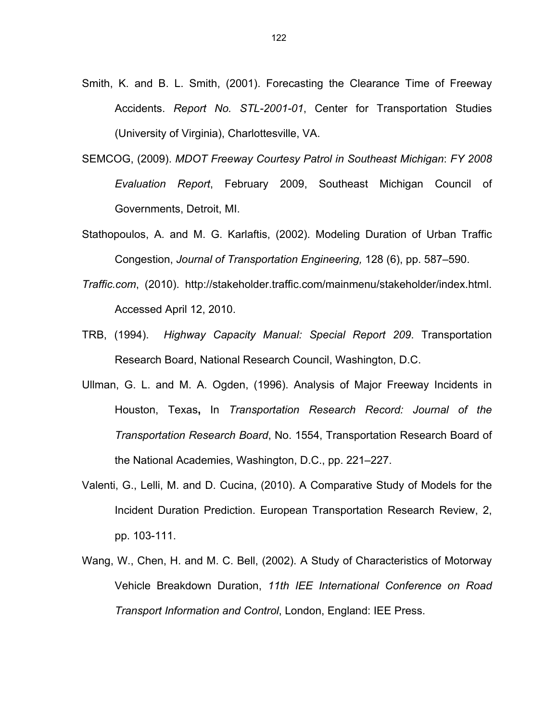- Smith, K. and B. L. Smith, (2001). Forecasting the Clearance Time of Freeway Accidents. *Report No. STL-2001-01*, Center for Transportation Studies (University of Virginia), Charlottesville, VA.
- SEMCOG, (2009). *MDOT Freeway Courtesy Patrol in Southeast Michigan*: *FY 2008 Evaluation Report*, February 2009, Southeast Michigan Council of Governments, Detroit, MI.
- Stathopoulos, A. and M. G. Karlaftis, (2002). Modeling Duration of Urban Traffic Congestion, *Journal of Transportation Engineering,* 128 (6), pp. 587–590.
- *Traffic.com*, (2010). http://stakeholder.traffic.com/mainmenu/stakeholder/index.html. Accessed April 12, 2010.
- TRB, (1994). *Highway Capacity Manual: Special Report 209*. Transportation Research Board, National Research Council, Washington, D.C.
- Ullman, G. L. and M. A. Ogden, (1996). Analysis of Major Freeway Incidents in Houston, Texas**,** In *Transportation Research Record: Journal of the Transportation Research Board*, No. 1554, Transportation Research Board of the National Academies, Washington, D.C., pp. 221–227.
- Valenti, G., Lelli, M. and D. Cucina, (2010). A Comparative Study of Models for the Incident Duration Prediction. European Transportation Research Review, 2, pp. 103-111.
- Wang, W., Chen, H. and M. C. Bell, (2002). A Study of Characteristics of Motorway Vehicle Breakdown Duration, *11th IEE International Conference on Road Transport Information and Control*, London, England: IEE Press.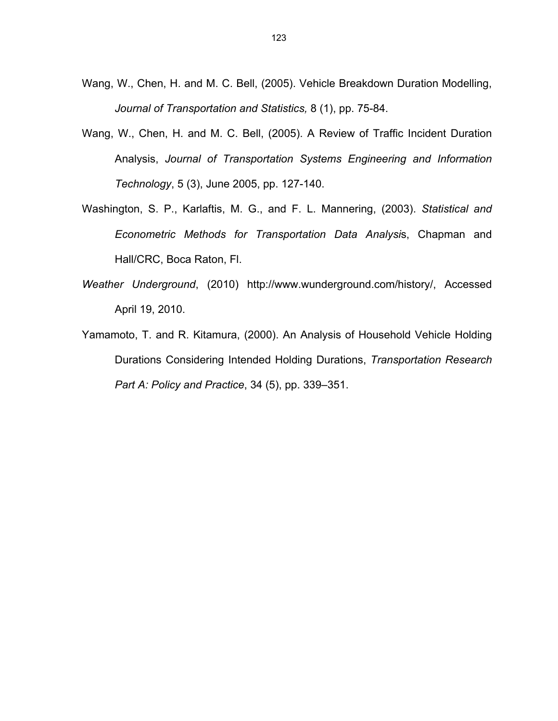- Wang, W., Chen, H. and M. C. Bell, (2005). Vehicle Breakdown Duration Modelling, *Journal of Transportation and Statistics,* 8 (1), pp. 75-84.
- Wang, W., Chen, H. and M. C. Bell, (2005). A Review of Traffic Incident Duration Analysis, *Journal of Transportation Systems Engineering and Information Technology*, 5 (3), June 2005, pp. 127-140.
- Washington, S. P., Karlaftis, M. G., and F. L. Mannering, (2003). *Statistical and Econometric Methods for Transportation Data Analysi*s, Chapman and Hall/CRC, Boca Raton, Fl.
- *Weather Underground*, (2010) http://www.wunderground.com/history/, Accessed April 19, 2010.
- Yamamoto, T. and R. Kitamura, (2000). An Analysis of Household Vehicle Holding Durations Considering Intended Holding Durations, *Transportation Research Part A: Policy and Practice*, 34 (5), pp. 339–351.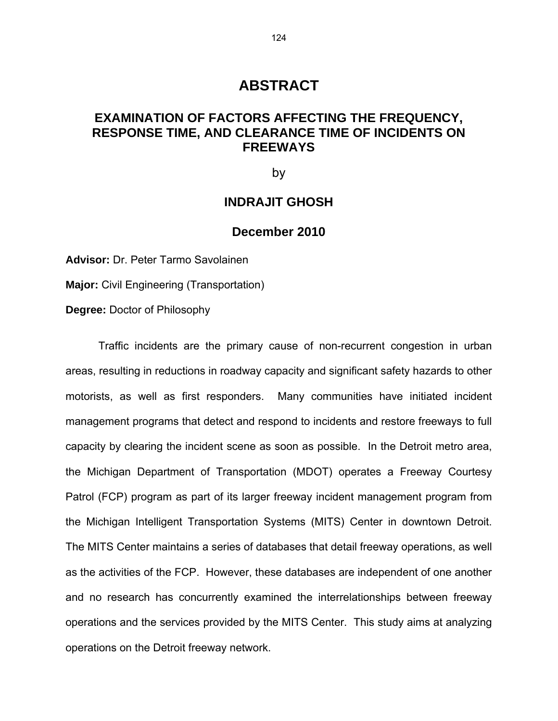# **ABSTRACT**

# **EXAMINATION OF FACTORS AFFECTING THE FREQUENCY, RESPONSE TIME, AND CLEARANCE TIME OF INCIDENTS ON FREEWAYS**

by

# **INDRAJIT GHOSH**

## **December 2010**

**Advisor:** Dr. Peter Tarmo Savolainen

**Major:** Civil Engineering (Transportation)

**Degree:** Doctor of Philosophy

Traffic incidents are the primary cause of non-recurrent congestion in urban areas, resulting in reductions in roadway capacity and significant safety hazards to other motorists, as well as first responders. Many communities have initiated incident management programs that detect and respond to incidents and restore freeways to full capacity by clearing the incident scene as soon as possible. In the Detroit metro area, the Michigan Department of Transportation (MDOT) operates a Freeway Courtesy Patrol (FCP) program as part of its larger freeway incident management program from the Michigan Intelligent Transportation Systems (MITS) Center in downtown Detroit. The MITS Center maintains a series of databases that detail freeway operations, as well as the activities of the FCP. However, these databases are independent of one another and no research has concurrently examined the interrelationships between freeway operations and the services provided by the MITS Center. This study aims at analyzing operations on the Detroit freeway network.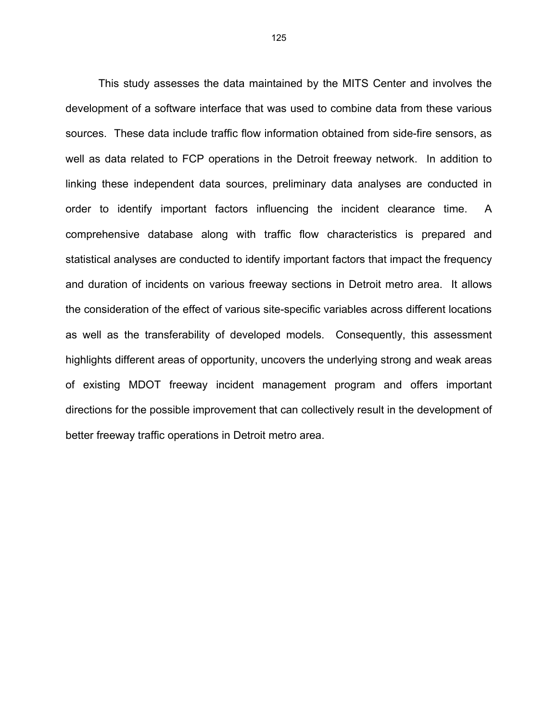This study assesses the data maintained by the MITS Center and involves the development of a software interface that was used to combine data from these various sources. These data include traffic flow information obtained from side-fire sensors, as well as data related to FCP operations in the Detroit freeway network. In addition to linking these independent data sources, preliminary data analyses are conducted in order to identify important factors influencing the incident clearance time. A comprehensive database along with traffic flow characteristics is prepared and statistical analyses are conducted to identify important factors that impact the frequency and duration of incidents on various freeway sections in Detroit metro area. It allows the consideration of the effect of various site-specific variables across different locations as well as the transferability of developed models. Consequently, this assessment highlights different areas of opportunity, uncovers the underlying strong and weak areas of existing MDOT freeway incident management program and offers important directions for the possible improvement that can collectively result in the development of better freeway traffic operations in Detroit metro area.